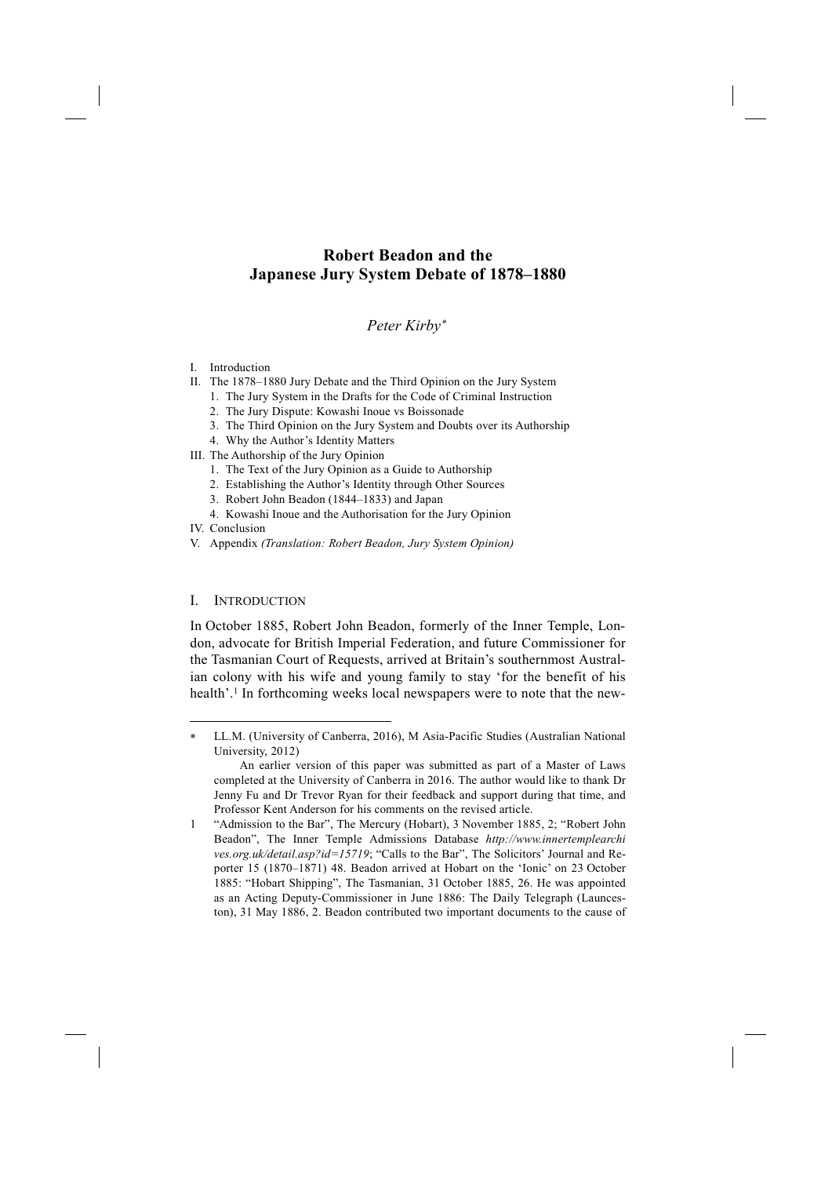# **Robert Beadon and the Japanese Jury System Debate of 1878–1880**

## *Peter Kirby*<sup>∗</sup>

## I. Introduction

- II. The 1878–1880 Jury Debate and the Third Opinion on the Jury System
	- 1. The Jury System in the Drafts for the Code of Criminal Instruction
		- 2. The Jury Dispute: Kowashi Inoue vs Boissonade
		- 3. The Third Opinion on the Jury System and Doubts over its Authorship
	- 4. Why the Author's Identity Matters
- III. The Authorship of the Jury Opinion
	- 1. The Text of the Jury Opinion as a Guide to Authorship
	- 2. Establishing the Author's Identity through Other Sources
	- 3. Robert John Beadon (1844–1833) and Japan
	- 4. Kowashi Inoue and the Authorisation for the Jury Opinion
- IV. Conclusion

-

V. Appendix *(Translation: Robert Beadon, Jury System Opinion)*

## I. INTRODUCTION

In October 1885, Robert John Beadon, formerly of the Inner Temple, London, advocate for British Imperial Federation, and future Commissioner for the Tasmanian Court of Requests, arrived at Britain's southernmost Australian colony with his wife and young family to stay 'for the benefit of his health'.<sup>1</sup> In forthcoming weeks local newspapers were to note that the new-

LL.M. (University of Canberra, 2016), M Asia-Pacific Studies (Australian National University, 2012)

An earlier version of this paper was submitted as part of a Master of Laws completed at the University of Canberra in 2016. The author would like to thank Dr Jenny Fu and Dr Trevor Ryan for their feedback and support during that time, and Professor Kent Anderson for his comments on the revised article.

<sup>1 &</sup>quot;Admission to the Bar", The Mercury (Hobart), 3 November 1885, 2; "Robert John Beadon", The Inner Temple Admissions Database *http://www.innertemplearchi ves.org.uk/detail.asp?id=15719*; "Calls to the Bar", The Solicitors' Journal and Reporter 15 (1870–1871) 48. Beadon arrived at Hobart on the 'Ionic' on 23 October 1885: "Hobart Shipping", The Tasmanian, 31 October 1885, 26. He was appointed as an Acting Deputy-Commissioner in June 1886: The Daily Telegraph (Launceston), 31 May 1886, 2. Beadon contributed two important documents to the cause of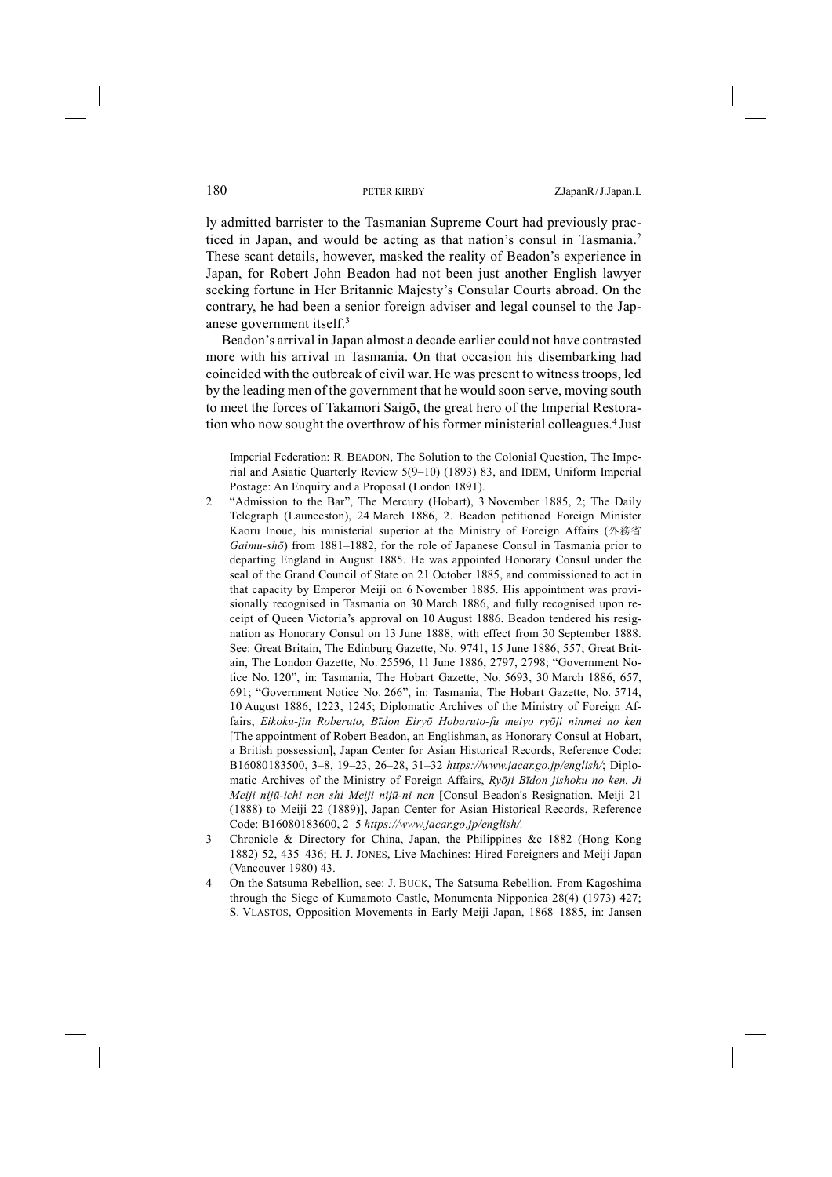ly admitted barrister to the Tasmanian Supreme Court had previously practiced in Japan, and would be acting as that nation's consul in Tasmania.2 These scant details, however, masked the reality of Beadon's experience in Japan, for Robert John Beadon had not been just another English lawyer seeking fortune in Her Britannic Majesty's Consular Courts abroad. On the contrary, he had been a senior foreign adviser and legal counsel to the Japanese government itself.3

Beadon's arrival in Japan almost a decade earlier could not have contrasted more with his arrival in Tasmania. On that occasion his disembarking had coincided with the outbreak of civil war. He was present to witness troops, led by the leading men of the government that he would soon serve, moving south to meet the forces of Takamori Saigō, the great hero of the Imperial Restoration who now sought the overthrow of his former ministerial colleagues.4 Just

- 2 "Admission to the Bar", The Mercury (Hobart), 3 November 1885, 2; The Daily Telegraph (Launceston), 24 March 1886, 2. Beadon petitioned Foreign Minister Kaoru Inoue, his ministerial superior at the Ministry of Foreign Affairs (外務省 *Gaimu-shō*) from 1881–1882, for the role of Japanese Consul in Tasmania prior to departing England in August 1885. He was appointed Honorary Consul under the seal of the Grand Council of State on 21 October 1885, and commissioned to act in that capacity by Emperor Meiji on 6 November 1885. His appointment was provisionally recognised in Tasmania on 30 March 1886, and fully recognised upon receipt of Queen Victoria's approval on 10 August 1886. Beadon tendered his resignation as Honorary Consul on 13 June 1888, with effect from 30 September 1888. See: Great Britain, The Edinburg Gazette, No. 9741, 15 June 1886, 557; Great Britain, The London Gazette, No. 25596, 11 June 1886, 2797, 2798; "Government Notice No. 120", in: Tasmania, The Hobart Gazette, No. 5693, 30 March 1886, 657, 691; "Government Notice No. 266", in: Tasmania, The Hobart Gazette, No. 5714, 10 August 1886, 1223, 1245; Diplomatic Archives of the Ministry of Foreign Affairs, *Eikoku-jin Roberuto, Bīdon Eiryō Hobaruto-fu meiyo ryōji ninmei no ken* [The appointment of Robert Beadon, an Englishman, as Honorary Consul at Hobart, a British possession], Japan Center for Asian Historical Records, Reference Code: B16080183500, 3–8, 19–23, 26–28, 31–32 *https://www.jacar.go.jp/english/*; Diplomatic Archives of the Ministry of Foreign Affairs, *Ryōji Bīdon jishoku no ken. Ji Meiji nijū-ichi nen shi Meiji nijū-ni nen* [Consul Beadon's Resignation. Meiji 21 (1888) to Meiji 22 (1889)], Japan Center for Asian Historical Records, Reference Code: B16080183600, 2–5 *https://www.jacar.go.jp/english/.*
- 3 Chronicle & Directory for China, Japan, the Philippines &c 1882 (Hong Kong 1882) 52, 435–436; H. J. JONES, Live Machines: Hired Foreigners and Meiji Japan (Vancouver 1980) 43.
- 4 On the Satsuma Rebellion, see: J. BUCK, The Satsuma Rebellion. From Kagoshima through the Siege of Kumamoto Castle, Monumenta Nipponica 28(4) (1973) 427; S. VLASTOS, Opposition Movements in Early Meiji Japan, 1868–1885, in: Jansen

Imperial Federation: R. BEADON, The Solution to the Colonial Question, The Imperial and Asiatic Quarterly Review 5(9–10) (1893) 83, and IDEM, Uniform Imperial Postage: An Enquiry and a Proposal (London 1891).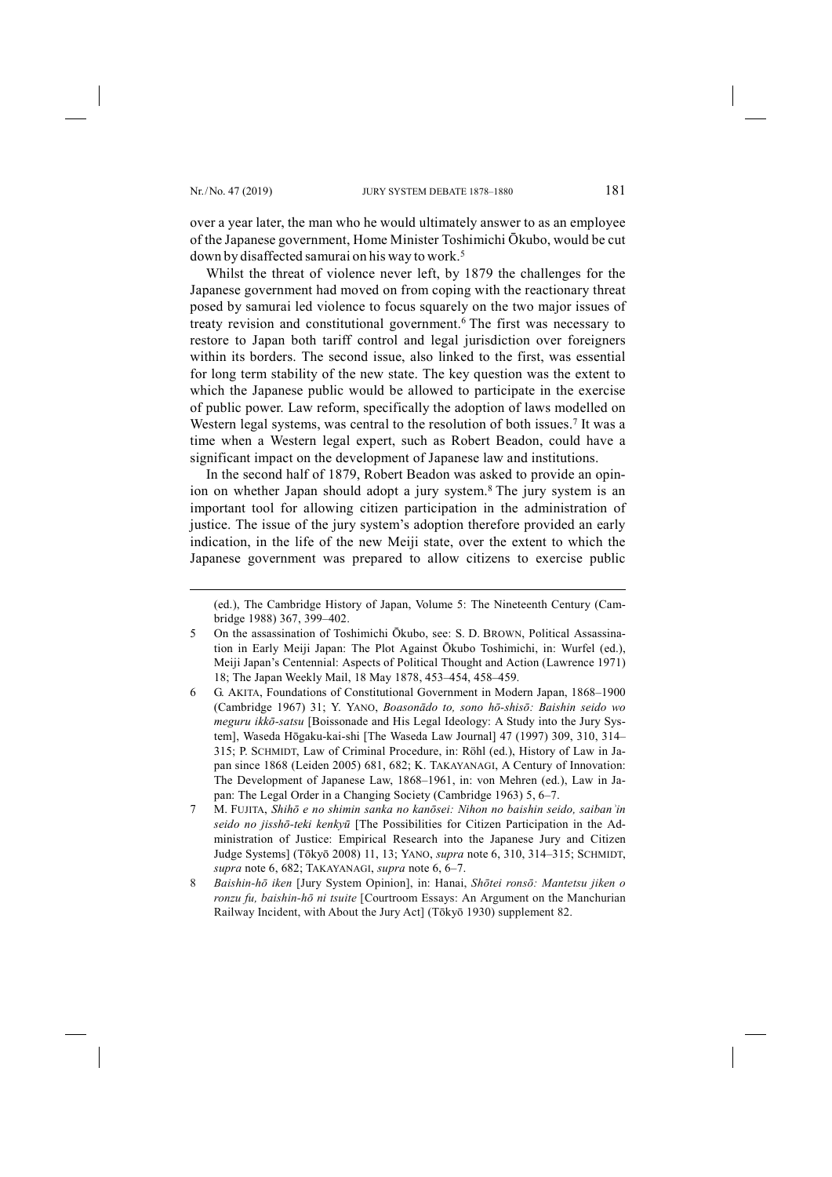-

over a year later, the man who he would ultimately answer to as an employee of the Japanese government, Home Minister Toshimichi Ōkubo, would be cut down by disaffected samurai on his way to work.<sup>5</sup>

Whilst the threat of violence never left, by 1879 the challenges for the Japanese government had moved on from coping with the reactionary threat posed by samurai led violence to focus squarely on the two major issues of treaty revision and constitutional government.6 The first was necessary to restore to Japan both tariff control and legal jurisdiction over foreigners within its borders. The second issue, also linked to the first, was essential for long term stability of the new state. The key question was the extent to which the Japanese public would be allowed to participate in the exercise of public power. Law reform, specifically the adoption of laws modelled on Western legal systems, was central to the resolution of both issues.<sup>7</sup> It was a time when a Western legal expert, such as Robert Beadon, could have a significant impact on the development of Japanese law and institutions.

In the second half of 1879, Robert Beadon was asked to provide an opinion on whether Japan should adopt a jury system.8 The jury system is an important tool for allowing citizen participation in the administration of justice. The issue of the jury system's adoption therefore provided an early indication, in the life of the new Meiji state, over the extent to which the Japanese government was prepared to allow citizens to exercise public

<sup>(</sup>ed.), The Cambridge History of Japan, Volume 5: The Nineteenth Century (Cambridge 1988) 367, 399–402.

<sup>5</sup> On the assassination of Toshimichi Ōkubo, see: S. D. BROWN, Political Assassination in Early Meiji Japan: The Plot Against Ōkubo Toshimichi, in: Wurfel (ed.), Meiji Japan's Centennial: Aspects of Political Thought and Action (Lawrence 1971) 18; The Japan Weekly Mail, 18 May 1878, 453–454, 458–459.

<sup>6</sup> G. AKITA, Foundations of Constitutional Government in Modern Japan, 1868–1900 (Cambridge 1967) 31; Y. YANO, *Boasonādo to, sono hō-shisō: Baishin seido wo meguru ikkō-satsu* [Boissonade and His Legal Ideology: A Study into the Jury System], Waseda Hōgaku-kai-shi [The Waseda Law Journal] 47 (1997) 309, 310, 314– 315; P. SCHMIDT, Law of Criminal Procedure, in: Röhl (ed.), History of Law in Japan since 1868 (Leiden 2005) 681, 682; K. TAKAYANAGI, A Century of Innovation: The Development of Japanese Law, 1868–1961, in: von Mehren (ed.), Law in Japan: The Legal Order in a Changing Society (Cambridge 1963) 5, 6–7.

<sup>7</sup> M. FUJITA, *Shihō e no shimin sanka no kanōsei: Nihon no baishin seido, saibanʾin seido no jisshō-teki kenkyū* [The Possibilities for Citizen Participation in the Administration of Justice: Empirical Research into the Japanese Jury and Citizen Judge Systems] (Tōkyō 2008) 11, 13; YANO, *supra* note 6, 310, 314–315; SCHMIDT, *supra* note 6, 682; TAKAYANAGI, *supra* note 6, 6–7.

<sup>8</sup> *Baishin-hō iken* [Jury System Opinion], in: Hanai, *Shōtei ronsō: Mantetsu jiken o ronzu fu, baishin-hō ni tsuite* [Courtroom Essays: An Argument on the Manchurian Railway Incident, with About the Jury Act] (Tōkyō 1930) supplement 82.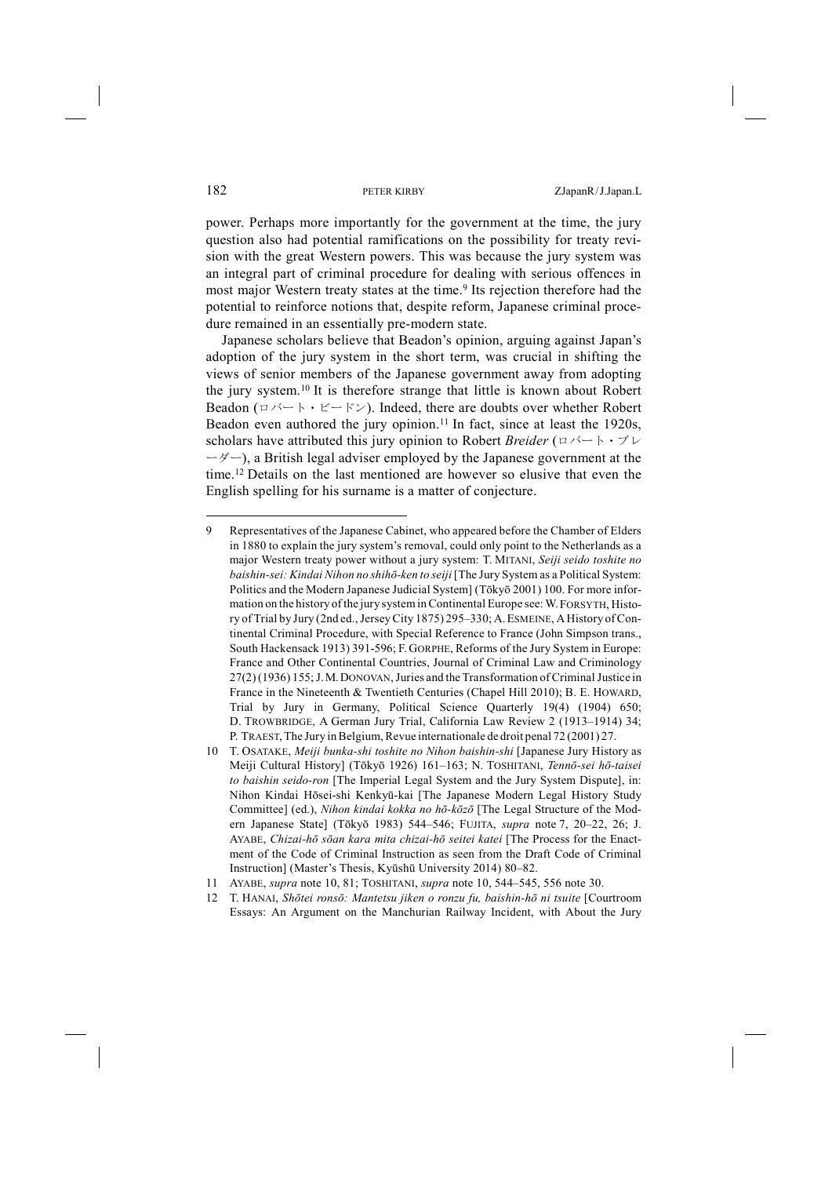power. Perhaps more importantly for the government at the time, the jury question also had potential ramifications on the possibility for treaty revision with the great Western powers. This was because the jury system was an integral part of criminal procedure for dealing with serious offences in most major Western treaty states at the time.<sup>9</sup> Its rejection therefore had the potential to reinforce notions that, despite reform, Japanese criminal procedure remained in an essentially pre-modern state.

Japanese scholars believe that Beadon's opinion, arguing against Japan's adoption of the jury system in the short term, was crucial in shifting the views of senior members of the Japanese government away from adopting the jury system.10 It is therefore strange that little is known about Robert Beadon ( $\Box \times \Box + \cdot \Box = \Box \times \Box$ ). Indeed, there are doubts over whether Robert Beadon even authored the jury opinion.<sup>11</sup> In fact, since at least the  $1920s$ , scholars have attributed this jury opinion to Robert *Breider*  $(\square \wedge \square \wedge \square \wedge \square \vee \square$  $-\xi$  –  $\zeta$ , a British legal adviser employed by the Japanese government at the time.12 Details on the last mentioned are however so elusive that even the English spelling for his surname is a matter of conjecture.

<sup>9</sup> Representatives of the Japanese Cabinet, who appeared before the Chamber of Elders in 1880 to explain the jury system's removal, could only point to the Netherlands as a major Western treaty power without a jury system: T. MITANI, *Seiji seido toshite no baishin-sei: Kindai Nihon no shihō-ken to seiji* [The Jury System as a Political System: Politics and the Modern Japanese Judicial System] (Tōkyō 2001) 100. For more information on the history of the jury system in Continental Europe see: W. FORSYTH, History of Trial by Jury (2nd ed., Jersey City 1875) 295–330; A. ESMEINE, A History of Continental Criminal Procedure, with Special Reference to France (John Simpson trans., South Hackensack 1913) 391-596; F.GORPHE, Reforms of the Jury System in Europe: France and Other Continental Countries, Journal of Criminal Law and Criminology 27(2)(1936) 155;J.M.DONOVAN, Juries and the Transformation of CriminalJustice in France in the Nineteenth & Twentieth Centuries (Chapel Hill 2010); B. E. HOWARD, Trial by Jury in Germany, Political Science Quarterly 19(4) (1904) 650; D. TROWBRIDGE, A German Jury Trial, California Law Review 2 (1913–1914) 34; P. TRAEST, The Jury in Belgium, Revue internationale de droit penal 72 (2001) 27.

<sup>10</sup> T. OSATAKE, *Meiji bunka-shi toshite no Nihon baishin-shi* [Japanese Jury History as Meiji Cultural History] (Tōkyō 1926) 161–163; N. TOSHITANI, *Tennō-sei hō-taisei to baishin seido-ron* [The Imperial Legal System and the Jury System Dispute], in: Nihon Kindai Hōsei-shi Kenkyū-kai [The Japanese Modern Legal History Study Committee] (ed.), *Nihon kindai kokka no hō-kōzō* [The Legal Structure of the Modern Japanese State] (Tōkyō 1983) 544–546; FUJITA, *supra* note 7, 20–22, 26; J. AYABE, *Chizai-hō sōan kara mita chizai-hō seitei katei* [The Process for the Enactment of the Code of Criminal Instruction as seen from the Draft Code of Criminal Instruction] (Master's Thesis, Kyūshū University 2014) 80–82.

<sup>11</sup> AYABE, *supra* note 10, 81; TOSHITANI, *supra* note 10, 544–545, 556 note 30.

<sup>12</sup> T. HANAI, *Shōtei ronsō: Mantetsu jiken o ronzu fu, baishin-hō ni tsuite* [Courtroom Essays: An Argument on the Manchurian Railway Incident, with About the Jury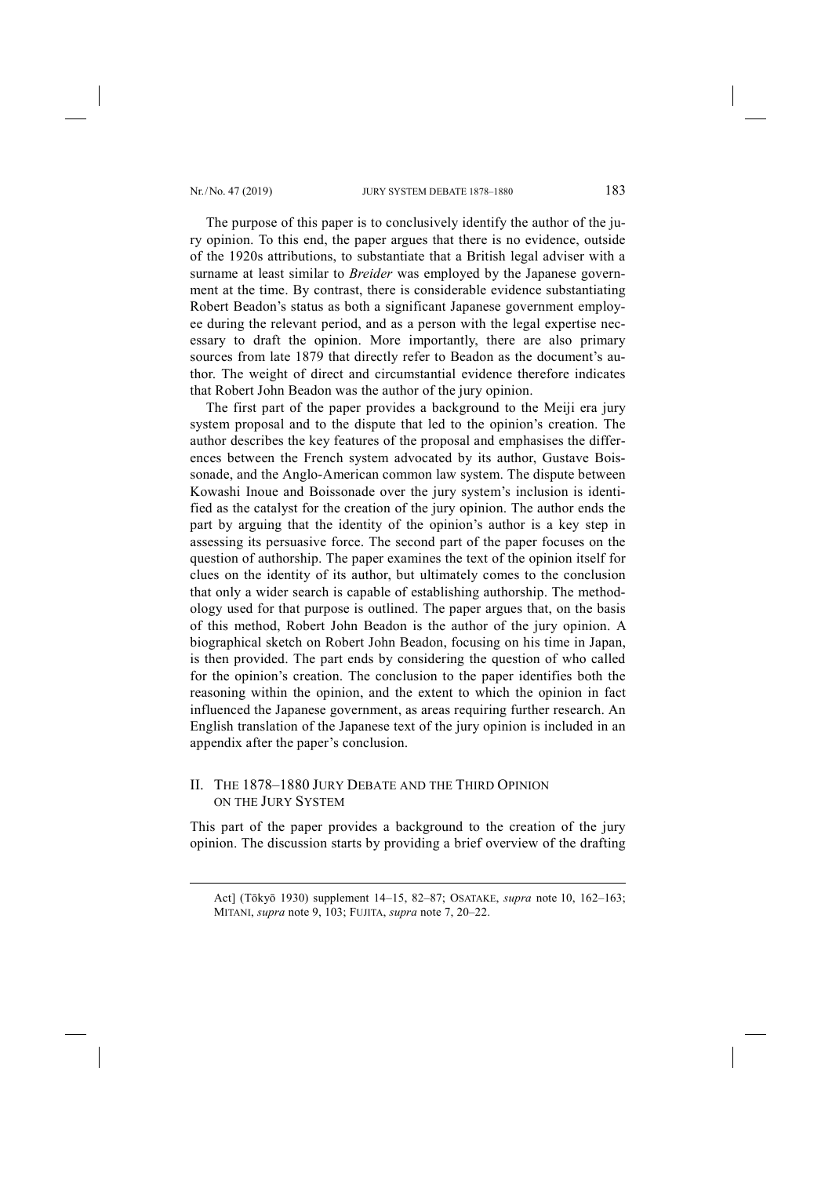-

The purpose of this paper is to conclusively identify the author of the jury opinion. To this end, the paper argues that there is no evidence, outside of the 1920s attributions, to substantiate that a British legal adviser with a surname at least similar to *Breider* was employed by the Japanese government at the time. By contrast, there is considerable evidence substantiating Robert Beadon's status as both a significant Japanese government employee during the relevant period, and as a person with the legal expertise necessary to draft the opinion. More importantly, there are also primary sources from late 1879 that directly refer to Beadon as the document's author. The weight of direct and circumstantial evidence therefore indicates that Robert John Beadon was the author of the jury opinion.

The first part of the paper provides a background to the Meiji era jury system proposal and to the dispute that led to the opinion's creation. The author describes the key features of the proposal and emphasises the differences between the French system advocated by its author, Gustave Boissonade, and the Anglo-American common law system. The dispute between Kowashi Inoue and Boissonade over the jury system's inclusion is identified as the catalyst for the creation of the jury opinion. The author ends the part by arguing that the identity of the opinion's author is a key step in assessing its persuasive force. The second part of the paper focuses on the question of authorship. The paper examines the text of the opinion itself for clues on the identity of its author, but ultimately comes to the conclusion that only a wider search is capable of establishing authorship. The methodology used for that purpose is outlined. The paper argues that, on the basis of this method, Robert John Beadon is the author of the jury opinion. A biographical sketch on Robert John Beadon, focusing on his time in Japan, is then provided. The part ends by considering the question of who called for the opinion's creation. The conclusion to the paper identifies both the reasoning within the opinion, and the extent to which the opinion in fact influenced the Japanese government, as areas requiring further research. An English translation of the Japanese text of the jury opinion is included in an appendix after the paper's conclusion.

## II. THE 1878–1880 JURY DEBATE AND THE THIRD OPINION ON THE JURY SYSTEM

This part of the paper provides a background to the creation of the jury opinion. The discussion starts by providing a brief overview of the drafting

Act] (Tōkyō 1930) supplement 14–15, 82–87; OSATAKE, *supra* note 10, 162–163; MITANI, *supra* note 9, 103; FUJITA, *supra* note 7, 20–22.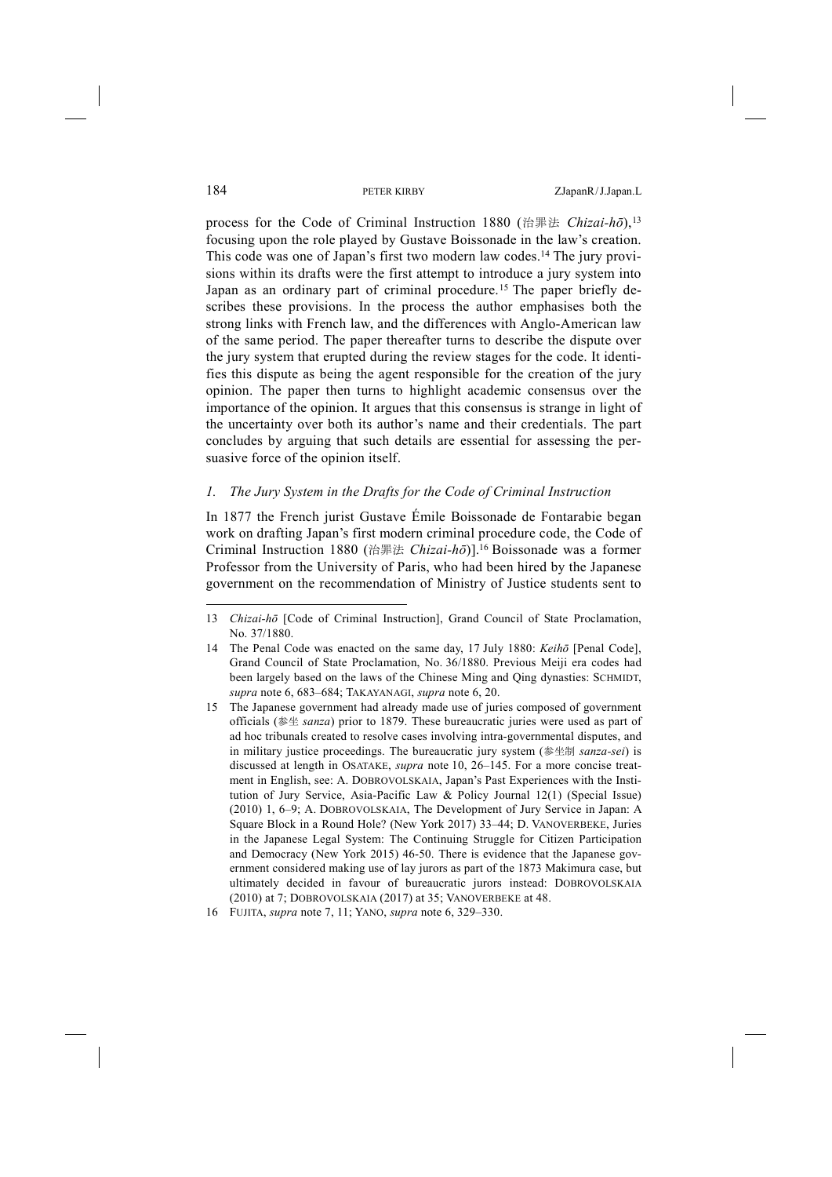process for the Code of Criminal Instruction 1880 (治罪法 *Chizai-hō*),13 focusing upon the role played by Gustave Boissonade in the law's creation. This code was one of Japan's first two modern law codes.14 The jury provisions within its drafts were the first attempt to introduce a jury system into Japan as an ordinary part of criminal procedure.<sup>15</sup> The paper briefly describes these provisions. In the process the author emphasises both the strong links with French law, and the differences with Anglo-American law of the same period. The paper thereafter turns to describe the dispute over the jury system that erupted during the review stages for the code. It identifies this dispute as being the agent responsible for the creation of the jury opinion. The paper then turns to highlight academic consensus over the importance of the opinion. It argues that this consensus is strange in light of the uncertainty over both its author's name and their credentials. The part concludes by arguing that such details are essential for assessing the persuasive force of the opinion itself.

## *1. The Jury System in the Drafts for the Code of Criminal Instruction*

In 1877 the French jurist Gustave Émile Boissonade de Fontarabie began work on drafting Japan's first modern criminal procedure code, the Code of Criminal Instruction 1880 (治罪法 *Chizai-hō*)].16 Boissonade was a former Professor from the University of Paris, who had been hired by the Japanese government on the recommendation of Ministry of Justice students sent to

<sup>13</sup> *Chizai-hō* [Code of Criminal Instruction], Grand Council of State Proclamation, No. 37/1880.

<sup>14</sup> The Penal Code was enacted on the same day, 17 July 1880: *Keihō* [Penal Code], Grand Council of State Proclamation, No. 36/1880. Previous Meiji era codes had been largely based on the laws of the Chinese Ming and Qing dynasties: SCHMIDT, *supra* note 6, 683–684; TAKAYANAGI, *supra* note 6, 20.

<sup>15</sup> The Japanese government had already made use of juries composed of government officials (参坐 *sanza*) prior to 1879. These bureaucratic juries were used as part of ad hoc tribunals created to resolve cases involving intra-governmental disputes, and in military justice proceedings. The bureaucratic jury system (参坐制 *sanza-sei*) is discussed at length in OSATAKE, *supra* note 10, 26–145. For a more concise treatment in English, see: A. DOBROVOLSKAIA, Japan's Past Experiences with the Institution of Jury Service, Asia-Pacific Law & Policy Journal 12(1) (Special Issue) (2010) 1, 6–9; A. DOBROVOLSKAIA, The Development of Jury Service in Japan: A Square Block in a Round Hole? (New York 2017) 33–44; D. VANOVERBEKE, Juries in the Japanese Legal System: The Continuing Struggle for Citizen Participation and Democracy (New York 2015) 46-50. There is evidence that the Japanese government considered making use of lay jurors as part of the 1873 Makimura case, but ultimately decided in favour of bureaucratic jurors instead: DOBROVOLSKAIA (2010) at 7; DOBROVOLSKAIA (2017) at 35; VANOVERBEKE at 48.

<sup>16</sup> FUJITA, *supra* note 7, 11; YANO, *supra* note 6, 329–330.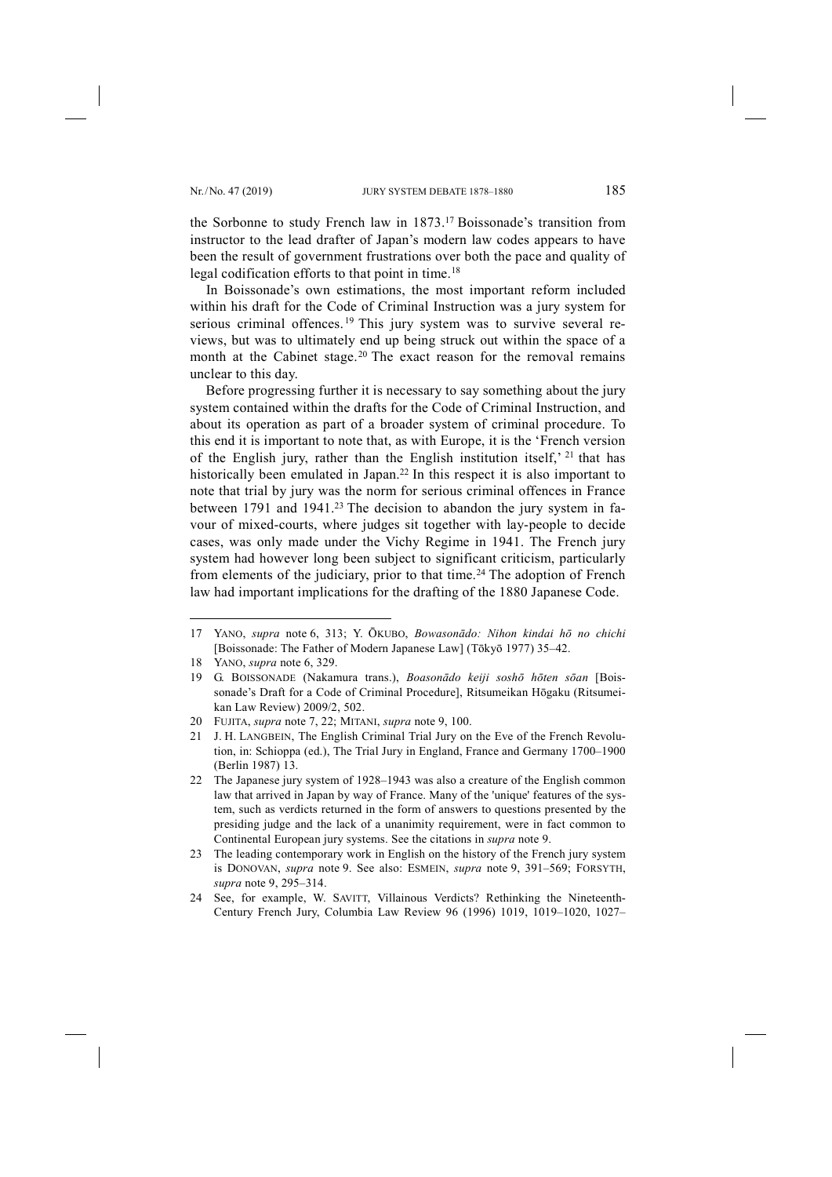the Sorbonne to study French law in 1873.17 Boissonade's transition from instructor to the lead drafter of Japan's modern law codes appears to have been the result of government frustrations over both the pace and quality of legal codification efforts to that point in time.<sup>18</sup>

In Boissonade's own estimations, the most important reform included within his draft for the Code of Criminal Instruction was a jury system for serious criminal offences.<sup>19</sup> This jury system was to survive several reviews, but was to ultimately end up being struck out within the space of a month at the Cabinet stage.<sup>20</sup> The exact reason for the removal remains unclear to this day.

Before progressing further it is necessary to say something about the jury system contained within the drafts for the Code of Criminal Instruction, and about its operation as part of a broader system of criminal procedure. To this end it is important to note that, as with Europe, it is the 'French version of the English jury, rather than the English institution itself,' 21 that has historically been emulated in Japan.<sup>22</sup> In this respect it is also important to note that trial by jury was the norm for serious criminal offences in France between 1791 and 1941.<sup>23</sup> The decision to abandon the jury system in favour of mixed-courts, where judges sit together with lay-people to decide cases, was only made under the Vichy Regime in 1941. The French jury system had however long been subject to significant criticism, particularly from elements of the judiciary, prior to that time.<sup>24</sup> The adoption of French law had important implications for the drafting of the 1880 Japanese Code.

<sup>17</sup> YANO, *supra* note 6, 313; Y. ŌKUBO, *Bowasonādo: Nihon kindai hō no chichi*  [Boissonade: The Father of Modern Japanese Law] (Tōkyō 1977) 35–42.

<sup>18</sup> YANO, *supra* note 6, 329.

<sup>19</sup> G. BOISSONADE (Nakamura trans.), *Boasonādo keiji soshō hōten sōan* [Boissonade's Draft for a Code of Criminal Procedure], Ritsumeikan Hōgaku (Ritsumeikan Law Review) 2009/2, 502.

<sup>20</sup> FUJITA, *supra* note 7, 22; MITANI, *supra* note 9, 100.

<sup>21</sup> J. H. LANGBEIN, The English Criminal Trial Jury on the Eve of the French Revolution, in: Schioppa (ed.), The Trial Jury in England, France and Germany 1700–1900 (Berlin 1987) 13.

<sup>22</sup> The Japanese jury system of 1928–1943 was also a creature of the English common law that arrived in Japan by way of France. Many of the 'unique' features of the system, such as verdicts returned in the form of answers to questions presented by the presiding judge and the lack of a unanimity requirement, were in fact common to Continental European jury systems. See the citations in *supra* note 9.

<sup>23</sup> The leading contemporary work in English on the history of the French jury system is DONOVAN, *supra* note 9. See also: ESMEIN, *supra* note 9, 391–569; FORSYTH, *supra* note 9, 295–314.

<sup>24</sup> See, for example, W. SAVITT, Villainous Verdicts? Rethinking the Nineteenth-Century French Jury, Columbia Law Review 96 (1996) 1019, 1019–1020, 1027–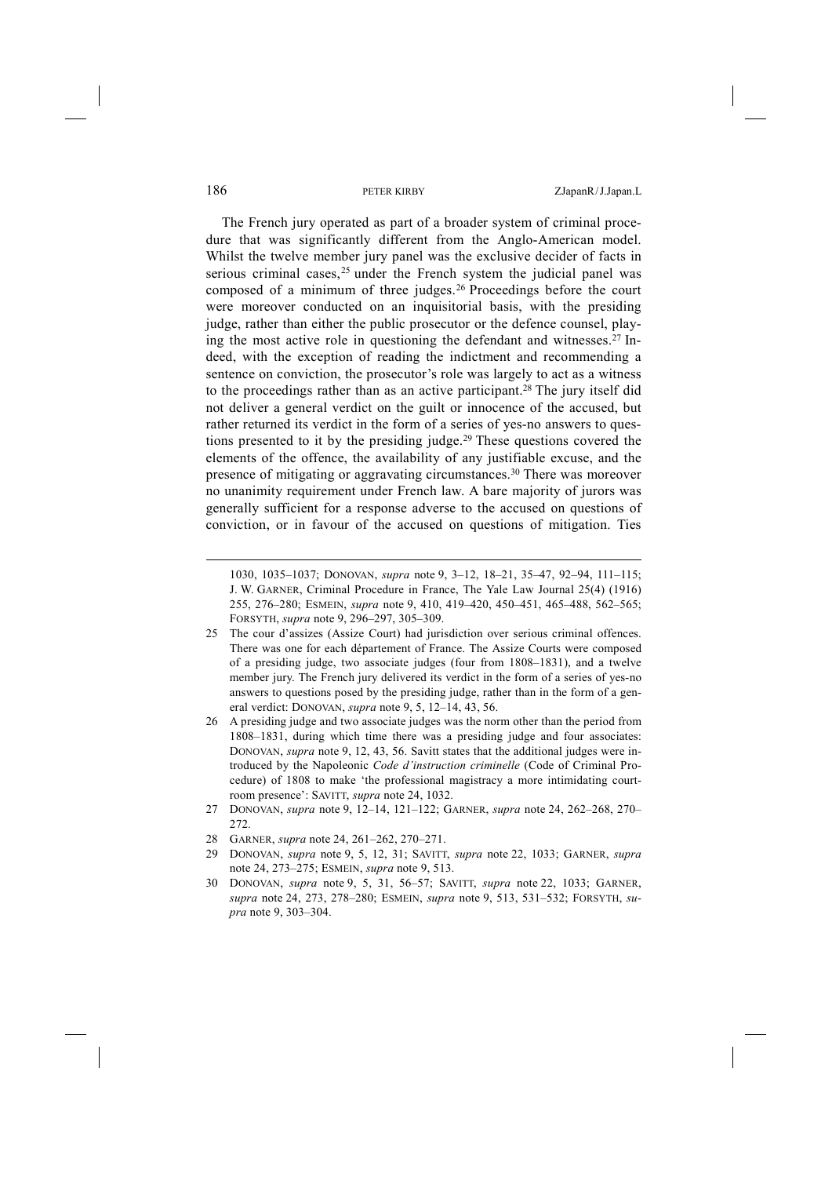The French jury operated as part of a broader system of criminal procedure that was significantly different from the Anglo-American model. Whilst the twelve member jury panel was the exclusive decider of facts in serious criminal cases,  $25$  under the French system the judicial panel was composed of a minimum of three judges.26 Proceedings before the court were moreover conducted on an inquisitorial basis, with the presiding judge, rather than either the public prosecutor or the defence counsel, playing the most active role in questioning the defendant and witnesses.27 Indeed, with the exception of reading the indictment and recommending a sentence on conviction, the prosecutor's role was largely to act as a witness to the proceedings rather than as an active participant.28 The jury itself did not deliver a general verdict on the guilt or innocence of the accused, but rather returned its verdict in the form of a series of yes-no answers to questions presented to it by the presiding judge.29 These questions covered the elements of the offence, the availability of any justifiable excuse, and the presence of mitigating or aggravating circumstances.30 There was moreover no unanimity requirement under French law. A bare majority of jurors was generally sufficient for a response adverse to the accused on questions of conviction, or in favour of the accused on questions of mitigation. Ties

- 26 A presiding judge and two associate judges was the norm other than the period from 1808–1831, during which time there was a presiding judge and four associates: DONOVAN, *supra* note 9, 12, 43, 56. Savitt states that the additional judges were introduced by the Napoleonic *Code d'instruction criminelle* (Code of Criminal Procedure) of 1808 to make 'the professional magistracy a more intimidating courtroom presence': SAVITT, *supra* note 24, 1032.
- 27 DONOVAN, *supra* note 9, 12–14, 121–122; GARNER, *supra* note 24, 262–268, 270– 272.
- 28 GARNER, *supra* note 24, 261–262, 270–271.
- 29 DONOVAN, *supra* note 9, 5, 12, 31; SAVITT, *supra* note 22, 1033; GARNER, *supra*  note 24, 273–275; ESMEIN, *supra* note 9, 513.
- 30 DONOVAN, *supra* note 9, 5, 31, 56–57; SAVITT, *supra* note 22, 1033; GARNER, *supra* note 24, 273, 278–280; ESMEIN, *supra* note 9, 513, 531–532; FORSYTH, *supra* note 9, 303–304.

<sup>1030, 1035–1037;</sup> DONOVAN, *supra* note 9, 3–12, 18–21, 35–47, 92–94, 111–115; J. W. GARNER, Criminal Procedure in France, The Yale Law Journal 25(4) (1916) 255, 276–280; ESMEIN, *supra* note 9, 410, 419–420, 450–451, 465–488, 562–565; FORSYTH, *supra* note 9, 296–297, 305–309.

<sup>25</sup> The cour d'assizes (Assize Court) had jurisdiction over serious criminal offences. There was one for each département of France. The Assize Courts were composed of a presiding judge, two associate judges (four from 1808–1831), and a twelve member jury. The French jury delivered its verdict in the form of a series of yes-no answers to questions posed by the presiding judge, rather than in the form of a general verdict: DONOVAN, *supra* note 9, 5, 12–14, 43, 56.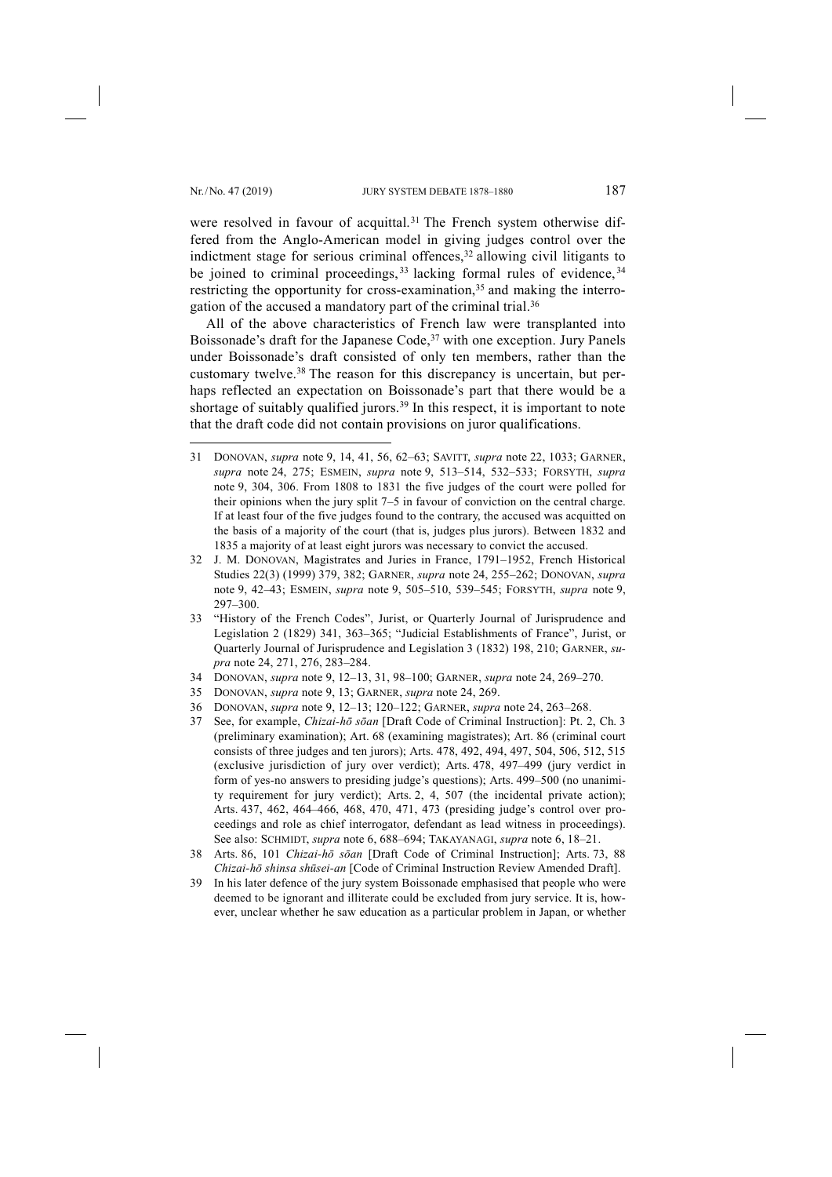-

were resolved in favour of acquittal.<sup>31</sup> The French system otherwise differed from the Anglo-American model in giving judges control over the indictment stage for serious criminal offences,  $32$  allowing civil litigants to be joined to criminal proceedings, <sup>33</sup> lacking formal rules of evidence, <sup>34</sup> restricting the opportunity for cross-examination,<sup>35</sup> and making the interrogation of the accused a mandatory part of the criminal trial.36

All of the above characteristics of French law were transplanted into Boissonade's draft for the Japanese Code,<sup>37</sup> with one exception. Jury Panels under Boissonade's draft consisted of only ten members, rather than the customary twelve.38 The reason for this discrepancy is uncertain, but perhaps reflected an expectation on Boissonade's part that there would be a shortage of suitably qualified jurors.<sup>39</sup> In this respect, it is important to note that the draft code did not contain provisions on juror qualifications.

- 31 DONOVAN, *supra* note 9, 14, 41, 56, 62–63; SAVITT, *supra* note 22, 1033; GARNER, *supra* note 24, 275; ESMEIN, *supra* note 9, 513–514, 532–533; FORSYTH, *supra*  note 9, 304, 306. From 1808 to 1831 the five judges of the court were polled for their opinions when the jury split 7–5 in favour of conviction on the central charge. If at least four of the five judges found to the contrary, the accused was acquitted on the basis of a majority of the court (that is, judges plus jurors). Between 1832 and 1835 a majority of at least eight jurors was necessary to convict the accused.
- 32 J. M. DONOVAN, Magistrates and Juries in France, 1791–1952, French Historical Studies 22(3) (1999) 379, 382; GARNER, *supra* note 24, 255–262; DONOVAN, *supra*  note 9, 42–43; ESMEIN, *supra* note 9, 505–510, 539–545; FORSYTH, *supra* note 9, 297–300.
- 33 "History of the French Codes", Jurist, or Quarterly Journal of Jurisprudence and Legislation 2 (1829) 341, 363–365; "Judicial Establishments of France", Jurist, or Quarterly Journal of Jurisprudence and Legislation 3 (1832) 198, 210; GARNER, *supra* note 24, 271, 276, 283–284.
- 34 DONOVAN, *supra* note 9, 12–13, 31, 98–100; GARNER, *supra* note 24, 269–270.
- 35 DONOVAN, *supra* note 9, 13; GARNER, *supra* note 24, 269.
- 36 DONOVAN, *supra* note 9, 12–13; 120–122; GARNER, *supra* note 24, 263–268.
- 37 See, for example, *Chizai-hō sōan* [Draft Code of Criminal Instruction]: Pt. 2, Ch. 3 (preliminary examination); Art. 68 (examining magistrates); Art. 86 (criminal court consists of three judges and ten jurors); Arts. 478, 492, 494, 497, 504, 506, 512, 515 (exclusive jurisdiction of jury over verdict); Arts. 478, 497–499 (jury verdict in form of yes-no answers to presiding judge's questions); Arts. 499–500 (no unanimity requirement for jury verdict); Arts. 2, 4, 507 (the incidental private action); Arts. 437, 462, 464–466, 468, 470, 471, 473 (presiding judge's control over proceedings and role as chief interrogator, defendant as lead witness in proceedings). See also: SCHMIDT, *supra* note 6, 688–694; TAKAYANAGI, *supra* note 6, 18–21.
- 38 Arts. 86, 101 *Chizai-hō sōan* [Draft Code of Criminal Instruction]; Arts. 73, 88 *Chizai-hō shinsa shūsei-an* [Code of Criminal Instruction Review Amended Draft].
- 39 In his later defence of the jury system Boissonade emphasised that people who were deemed to be ignorant and illiterate could be excluded from jury service. It is, however, unclear whether he saw education as a particular problem in Japan, or whether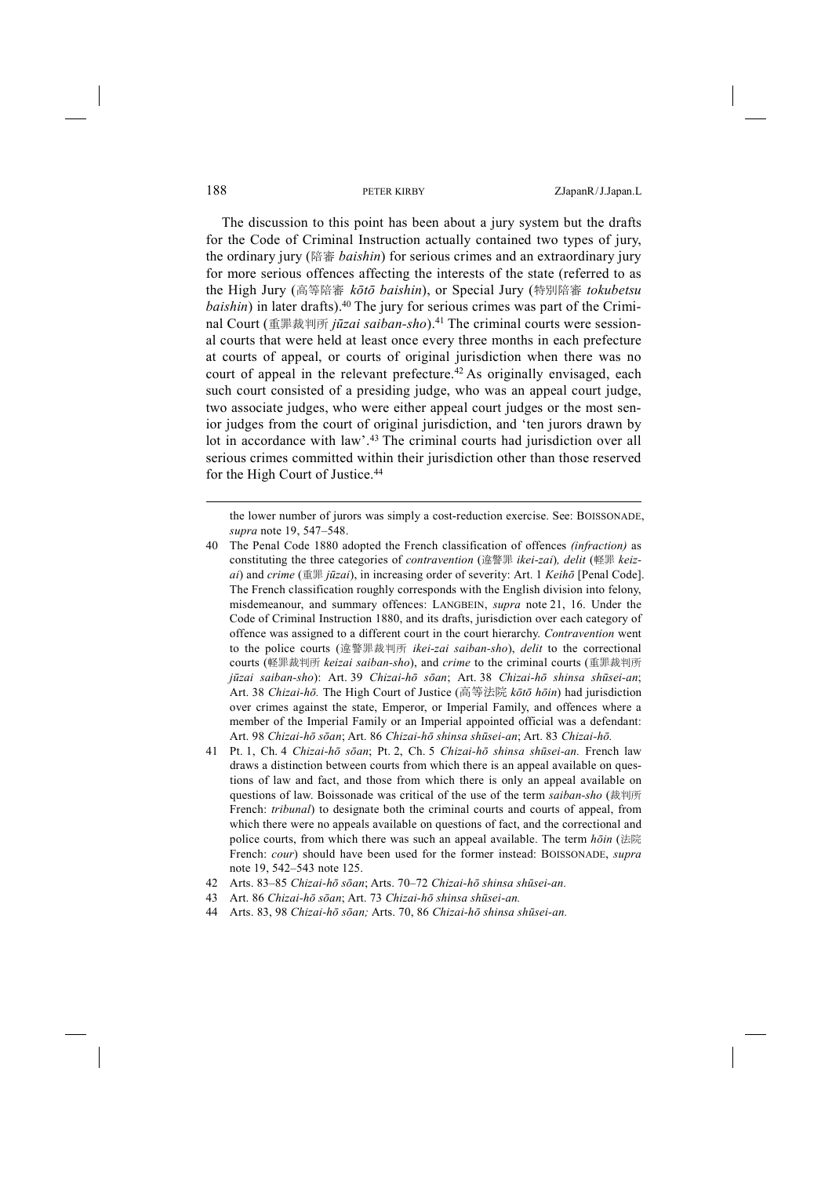The discussion to this point has been about a jury system but the drafts for the Code of Criminal Instruction actually contained two types of jury, the ordinary jury (陪審 *baishin*) for serious crimes and an extraordinary jury for more serious offences affecting the interests of the state (referred to as the High Jury (高等陪審 *kōtō baishin*), or Special Jury (特別陪審 *tokubetsu baishin*) in later drafts).<sup>40</sup> The jury for serious crimes was part of the Criminal Court (重罪裁判所 *jūzai saiban-sho*).41 The criminal courts were sessional courts that were held at least once every three months in each prefecture at courts of appeal, or courts of original jurisdiction when there was no court of appeal in the relevant prefecture.<sup>42</sup> As originally envisaged, each such court consisted of a presiding judge, who was an appeal court judge, two associate judges, who were either appeal court judges or the most senior judges from the court of original jurisdiction, and 'ten jurors drawn by lot in accordance with law'.43 The criminal courts had jurisdiction over all serious crimes committed within their jurisdiction other than those reserved for the High Court of Justice.44

the lower number of jurors was simply a cost-reduction exercise. See: BOISSONADE, *supra* note 19, 547–548.

- 40 The Penal Code 1880 adopted the French classification of offences *(infraction)* as constituting the three categories of *contravention* (違警罪 *ikei-zai*)*, delit* (軽罪 *keizai*) and *crime* (重罪 *jūzai*), in increasing order of severity: Art. 1 *Keihō* [Penal Code]. The French classification roughly corresponds with the English division into felony, misdemeanour, and summary offences: LANGBEIN, *supra* note 21, 16. Under the Code of Criminal Instruction 1880, and its drafts, jurisdiction over each category of offence was assigned to a different court in the court hierarchy. *Contravention* went to the police courts (違警罪裁判所 *ikei-zai saiban-sho*), *delit* to the correctional courts (軽罪裁判所 *keizai saiban-sho*), and *crime* to the criminal courts (重罪裁判所 *jūzai saiban-sho*): Art. 39 *Chizai-hō sōan*; Art. 38 *Chizai-hō shinsa shūsei-an*; Art. 38 *Chizai-hō.* The High Court of Justice (高等法院 *kōtō hōin*) had jurisdiction over crimes against the state, Emperor, or Imperial Family, and offences where a member of the Imperial Family or an Imperial appointed official was a defendant: Art. 98 *Chizai-hō sōan*; Art. 86 *Chizai-hō shinsa shūsei-an*; Art. 83 *Chizai-hō.*
- 41 Pt. 1, Ch. 4 *Chizai-hō sōan*; Pt. 2, Ch. 5 *Chizai-hō shinsa shūsei-an.* French law draws a distinction between courts from which there is an appeal available on questions of law and fact, and those from which there is only an appeal available on questions of law. Boissonade was critical of the use of the term *saiban-sho* (裁判所 French: *tribunal*) to designate both the criminal courts and courts of appeal, from which there were no appeals available on questions of fact, and the correctional and police courts, from which there was such an appeal available. The term *hōin* (法院 French: *cour*) should have been used for the former instead: BOISSONADE, *supra*  note 19, 542–543 note 125.
- 42 Arts. 83–85 *Chizai-hō sōan*; Arts. 70–72 *Chizai-hō shinsa shūsei-an.*
- 43 Art. 86 *Chizai-hō sōan*; Art. 73 *Chizai-hō shinsa shūsei-an.*
- 44 Arts. 83, 98 *Chizai-hō sōan;* Arts. 70, 86 *Chizai-hō shinsa shūsei-an.*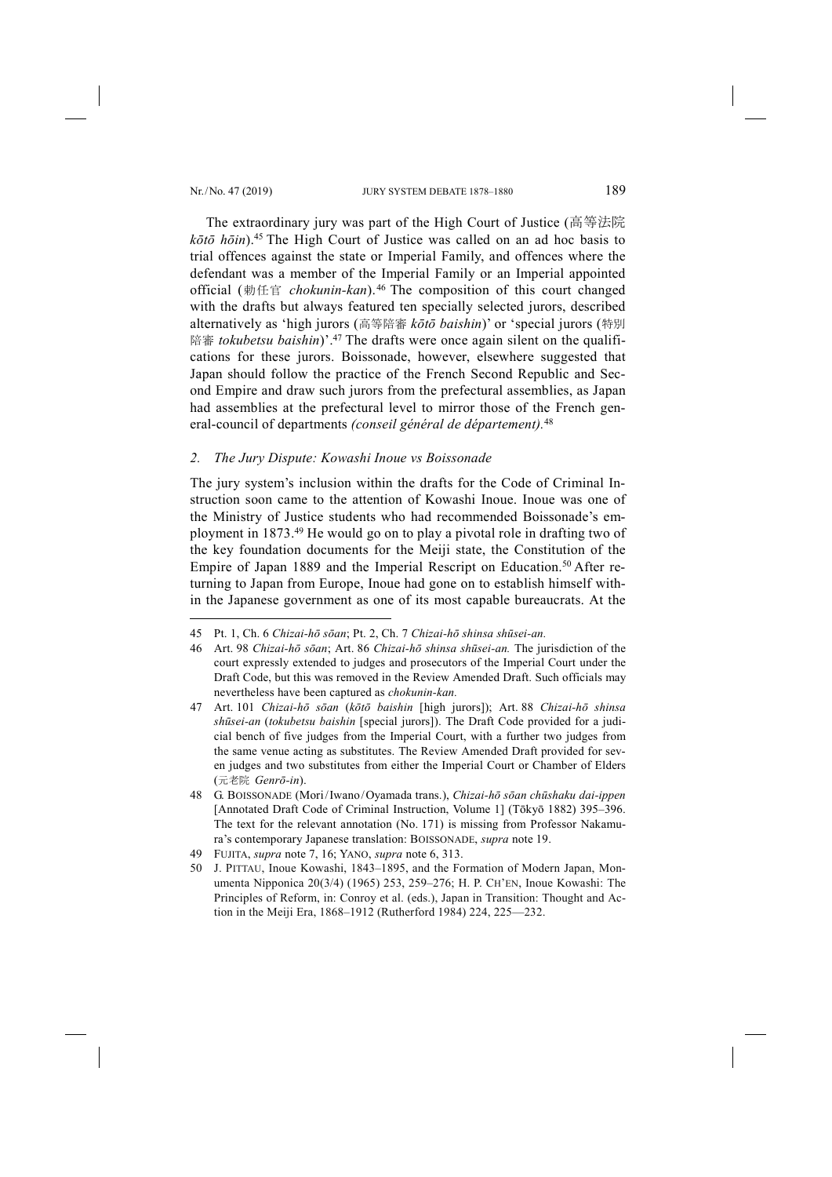-

The extraordinary jury was part of the High Court of Justice (高等法院 *kōtō hōin*).45 The High Court of Justice was called on an ad hoc basis to trial offences against the state or Imperial Family, and offences where the defendant was a member of the Imperial Family or an Imperial appointed official (勅任官 *chokunin-kan*).46 The composition of this court changed with the drafts but always featured ten specially selected jurors, described alternatively as 'high jurors (高等陪審 *kōtō baishin*)' or 'special jurors (特別 陪審 *tokubetsu baishin*)'.47 The drafts were once again silent on the qualifications for these jurors. Boissonade, however, elsewhere suggested that Japan should follow the practice of the French Second Republic and Second Empire and draw such jurors from the prefectural assemblies, as Japan had assemblies at the prefectural level to mirror those of the French general-council of departments *(conseil général de département).* 48

## *2. The Jury Dispute: Kowashi Inoue vs Boissonade*

The jury system's inclusion within the drafts for the Code of Criminal Instruction soon came to the attention of Kowashi Inoue. Inoue was one of the Ministry of Justice students who had recommended Boissonade's employment in 1873.49 He would go on to play a pivotal role in drafting two of the key foundation documents for the Meiji state, the Constitution of the Empire of Japan 1889 and the Imperial Rescript on Education.<sup>50</sup> After returning to Japan from Europe, Inoue had gone on to establish himself within the Japanese government as one of its most capable bureaucrats. At the

<sup>45</sup> Pt. 1, Ch. 6 *Chizai-hō sōan*; Pt. 2, Ch. 7 *Chizai-hō shinsa shūsei-an.*

<sup>46</sup> Art. 98 *Chizai-hō sōan*; Art. 86 *Chizai-hō shinsa shūsei-an.* The jurisdiction of the court expressly extended to judges and prosecutors of the Imperial Court under the Draft Code, but this was removed in the Review Amended Draft. Such officials may nevertheless have been captured as *chokunin-kan.*

<sup>47</sup> Art. 101 *Chizai-hō sōan* (*kōtō baishin* [high jurors]); Art. 88 *Chizai-hō shinsa shūsei-an* (*tokubetsu baishin* [special jurors]). The Draft Code provided for a judicial bench of five judges from the Imperial Court, with a further two judges from the same venue acting as substitutes. The Review Amended Draft provided for seven judges and two substitutes from either the Imperial Court or Chamber of Elders (元老院 *Genrō-in*).

<sup>48</sup> G. BOISSONADE (Mori/Iwano/Oyamada trans.), *Chizai-hō sōan chūshaku dai-ippen*  [Annotated Draft Code of Criminal Instruction, Volume 1] (Tōkyō 1882) 395–396. The text for the relevant annotation (No. 171) is missing from Professor Nakamura's contemporary Japanese translation: BOISSONADE, *supra* note 19.

<sup>49</sup> FUJITA, *supra* note 7, 16; YANO, *supra* note 6, 313.

<sup>50</sup> J. PITTAU, Inoue Kowashi, 1843–1895, and the Formation of Modern Japan, Monumenta Nipponica 20(3/4) (1965) 253, 259–276; H. P. CH'EN, Inoue Kowashi: The Principles of Reform, in: Conroy et al. (eds.), Japan in Transition: Thought and Action in the Meiji Era, 1868–1912 (Rutherford 1984) 224, 225––232.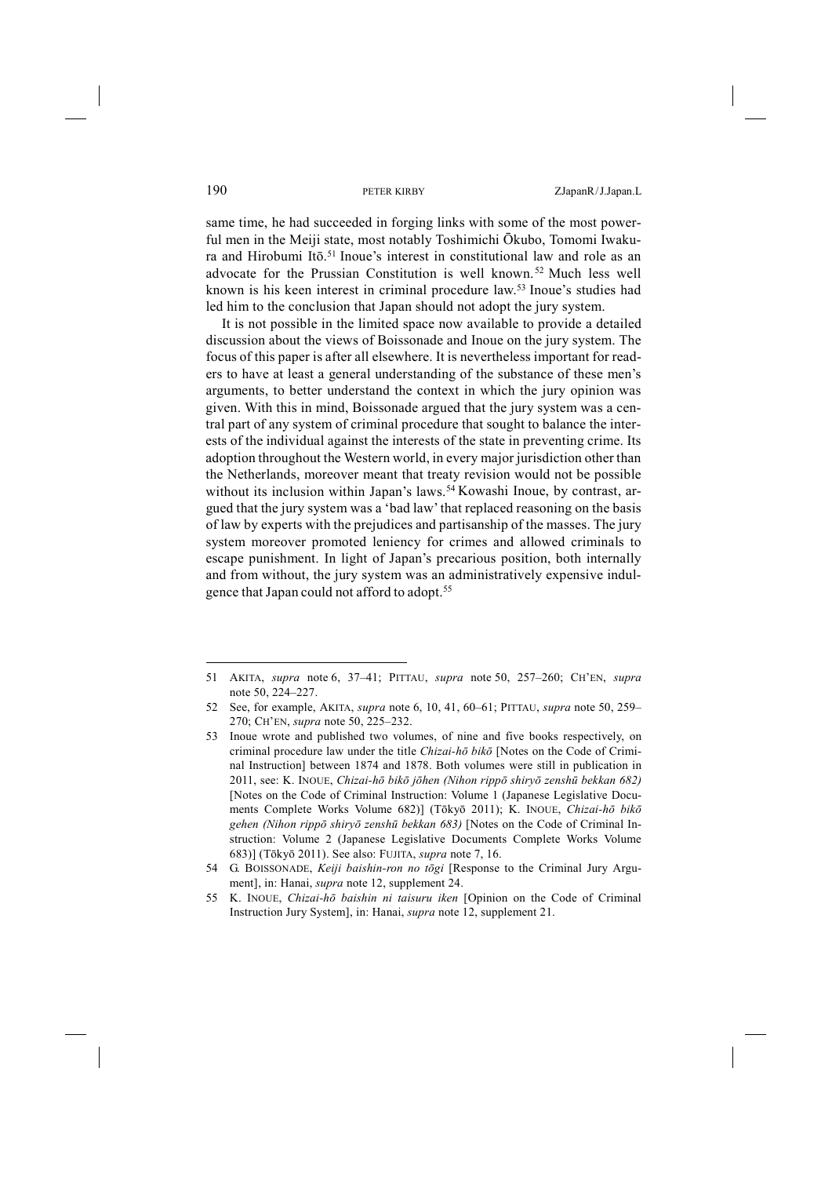same time, he had succeeded in forging links with some of the most powerful men in the Meiji state, most notably Toshimichi Ōkubo, Tomomi Iwakura and Hirobumi Itō.<sup>51</sup> Inoue's interest in constitutional law and role as an advocate for the Prussian Constitution is well known. <sup>52</sup> Much less well known is his keen interest in criminal procedure law.53 Inoue's studies had led him to the conclusion that Japan should not adopt the jury system.

It is not possible in the limited space now available to provide a detailed discussion about the views of Boissonade and Inoue on the jury system. The focus of this paper is after all elsewhere. It is nevertheless important for readers to have at least a general understanding of the substance of these men's arguments, to better understand the context in which the jury opinion was given. With this in mind, Boissonade argued that the jury system was a central part of any system of criminal procedure that sought to balance the interests of the individual against the interests of the state in preventing crime. Its adoption throughout the Western world, in every major jurisdiction other than the Netherlands, moreover meant that treaty revision would not be possible without its inclusion within Japan's laws.<sup>54</sup> Kowashi Inoue, by contrast, argued that the jury system was a 'bad law'that replaced reasoning on the basis of law by experts with the prejudices and partisanship of the masses. The jury system moreover promoted leniency for crimes and allowed criminals to escape punishment. In light of Japan's precarious position, both internally and from without, the jury system was an administratively expensive indulgence that Japan could not afford to adopt.<sup>55</sup>

<sup>51</sup> AKITA, *supra* note 6, 37–41; PITTAU, *supra* note 50, 257–260; CH'EN, *supra*  note 50, 224–227.

<sup>52</sup> See, for example, AKITA, *supra* note 6, 10, 41, 60–61; PITTAU, *supra* note 50, 259– 270; CH'EN, *supra* note 50, 225–232.

<sup>53</sup> Inoue wrote and published two volumes, of nine and five books respectively, on criminal procedure law under the title *Chizai-hō bikō* [Notes on the Code of Criminal Instruction] between 1874 and 1878. Both volumes were still in publication in 2011, see: K. INOUE, *Chizai-hō bikō jōhen (Nihon rippō shiryō zenshū bekkan 682)*  [Notes on the Code of Criminal Instruction: Volume 1 (Japanese Legislative Documents Complete Works Volume 682)] (Tōkyō 2011); K. INOUE, *Chizai-hō bikō gehen (Nihon rippō shiryō zenshū bekkan 683)* [Notes on the Code of Criminal Instruction: Volume 2 (Japanese Legislative Documents Complete Works Volume 683)] (Tōkyō 2011). See also: FUJITA, *supra* note 7, 16.

<sup>54</sup> G. BOISSONADE, *Keiji baishin-ron no tōgi* [Response to the Criminal Jury Argument], in: Hanai, *supra* note 12, supplement 24.

<sup>55</sup> K. INOUE, *Chizai-hō baishin ni taisuru iken* [Opinion on the Code of Criminal Instruction Jury System], in: Hanai, *supra* note 12, supplement 21.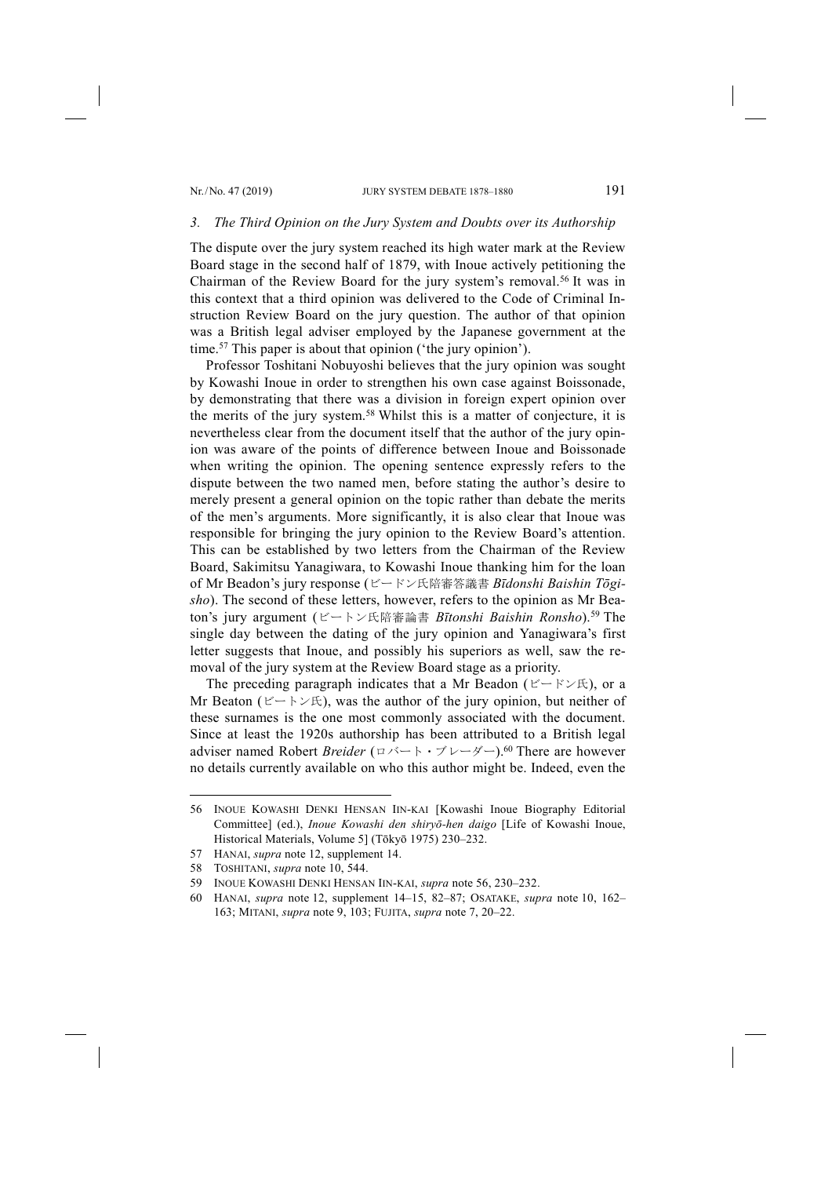### *3. The Third Opinion on the Jury System and Doubts over its Authorship*

The dispute over the jury system reached its high water mark at the Review Board stage in the second half of 1879, with Inoue actively petitioning the Chairman of the Review Board for the jury system's removal.56 It was in this context that a third opinion was delivered to the Code of Criminal Instruction Review Board on the jury question. The author of that opinion was a British legal adviser employed by the Japanese government at the time.57 This paper is about that opinion ('the jury opinion').

Professor Toshitani Nobuyoshi believes that the jury opinion was sought by Kowashi Inoue in order to strengthen his own case against Boissonade, by demonstrating that there was a division in foreign expert opinion over the merits of the jury system.58 Whilst this is a matter of conjecture, it is nevertheless clear from the document itself that the author of the jury opinion was aware of the points of difference between Inoue and Boissonade when writing the opinion. The opening sentence expressly refers to the dispute between the two named men, before stating the author's desire to merely present a general opinion on the topic rather than debate the merits of the men's arguments. More significantly, it is also clear that Inoue was responsible for bringing the jury opinion to the Review Board's attention. This can be established by two letters from the Chairman of the Review Board, Sakimitsu Yanagiwara, to Kowashi Inoue thanking him for the loan of Mr Beadon's jury response (ビードン氏陪審答議書 *Bīdonshi Baishin Tōgisho*). The second of these letters, however, refers to the opinion as Mr Beaton's jury argument (ビートン氏陪審論書 *Bītonshi Baishin Ronsho*).59 The single day between the dating of the jury opinion and Yanagiwara's first letter suggests that Inoue, and possibly his superiors as well, saw the removal of the jury system at the Review Board stage as a priority.

The preceding paragraph indicates that a Mr Beadon (ビードン氏), or a Mr Beaton (ビートン氏), was the author of the jury opinion, but neither of these surnames is the one most commonly associated with the document. Since at least the 1920s authorship has been attributed to a British legal adviser named Robert *Breider* (ロバート・ブレーダー).60 There are however no details currently available on who this author might be. Indeed, even the

<sup>56</sup> INOUE KOWASHI DENKI HENSAN IIN-KAI [Kowashi Inoue Biography Editorial Committee] (ed.), *Inoue Kowashi den shiryō-hen daigo* [Life of Kowashi Inoue, Historical Materials, Volume 5] (Tōkyō 1975) 230–232.

<sup>57</sup> HANAI, *supra* note 12, supplement 14.

<sup>58</sup> TOSHITANI, *supra* note 10, 544.

<sup>59</sup> INOUE KOWASHI DENKI HENSAN IIN-KAI, *supra* note 56, 230–232.

<sup>60</sup> HANAI, *supra* note 12, supplement 14–15, 82–87; OSATAKE, *supra* note 10, 162– 163; MITANI, *supra* note 9, 103; FUJITA, *supra* note 7, 20–22.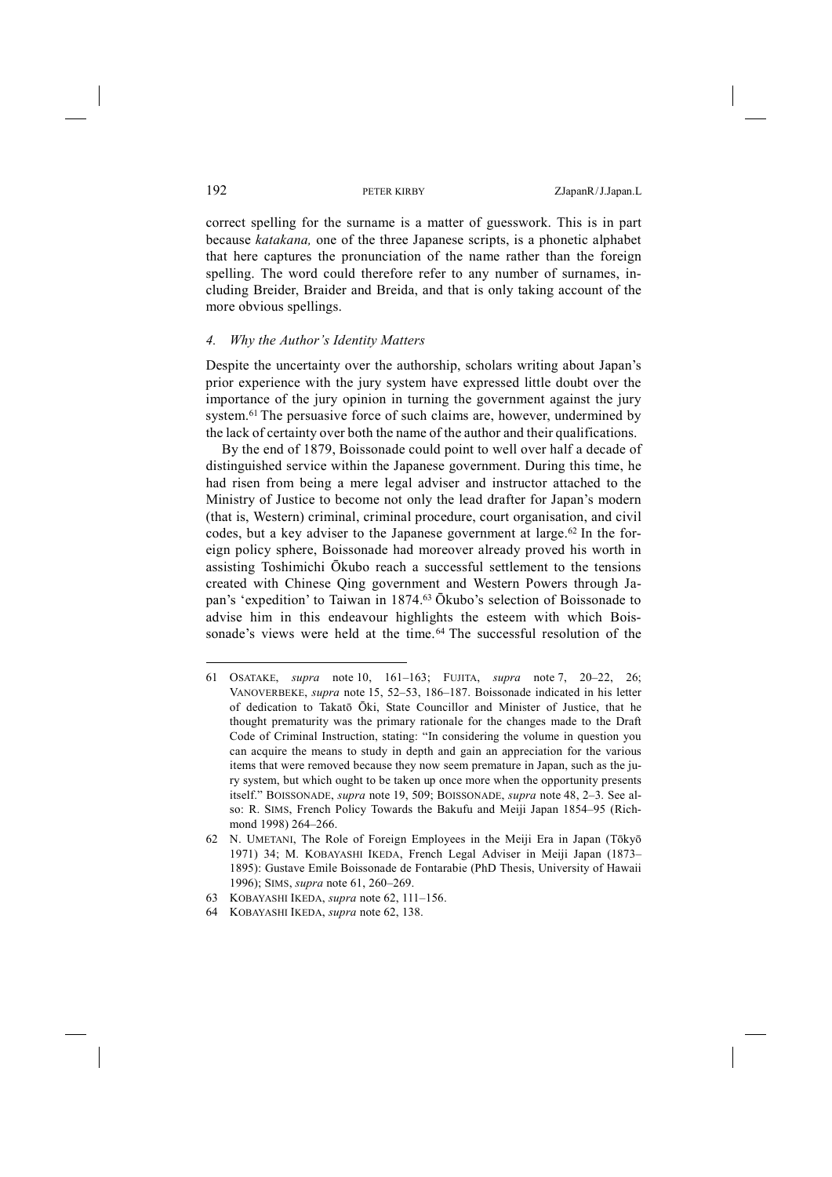correct spelling for the surname is a matter of guesswork. This is in part because *katakana,* one of the three Japanese scripts, is a phonetic alphabet that here captures the pronunciation of the name rather than the foreign spelling. The word could therefore refer to any number of surnames, including Breider, Braider and Breida, and that is only taking account of the more obvious spellings.

## *4. Why the Author's Identity Matters*

Despite the uncertainty over the authorship, scholars writing about Japan's prior experience with the jury system have expressed little doubt over the importance of the jury opinion in turning the government against the jury system.<sup>61</sup> The persuasive force of such claims are, however, undermined by the lack of certainty over both the name of the author and their qualifications.

By the end of 1879, Boissonade could point to well over half a decade of distinguished service within the Japanese government. During this time, he had risen from being a mere legal adviser and instructor attached to the Ministry of Justice to become not only the lead drafter for Japan's modern (that is, Western) criminal, criminal procedure, court organisation, and civil codes, but a key adviser to the Japanese government at large.<sup>62</sup> In the foreign policy sphere, Boissonade had moreover already proved his worth in assisting Toshimichi Ōkubo reach a successful settlement to the tensions created with Chinese Qing government and Western Powers through Japan's 'expedition' to Taiwan in 1874.63 Ōkubo's selection of Boissonade to advise him in this endeavour highlights the esteem with which Boissonade's views were held at the time.<sup>64</sup> The successful resolution of the

<sup>61</sup> OSATAKE, *supra* note 10, 161–163; FUJITA, *supra* note 7, 20–22, 26; VANOVERBEKE, *supra* note 15, 52–53, 186–187. Boissonade indicated in his letter of dedication to Takatō Ōki, State Councillor and Minister of Justice, that he thought prematurity was the primary rationale for the changes made to the Draft Code of Criminal Instruction, stating: "In considering the volume in question you can acquire the means to study in depth and gain an appreciation for the various items that were removed because they now seem premature in Japan, such as the jury system, but which ought to be taken up once more when the opportunity presents itself." BOISSONADE, *supra* note 19, 509; BOISSONADE, *supra* note 48, 2–3. See also: R. SIMS, French Policy Towards the Bakufu and Meiji Japan 1854–95 (Richmond 1998) 264–266.

<sup>62</sup> N. UMETANI, The Role of Foreign Employees in the Meiji Era in Japan (Tōkyō 1971) 34; M. KOBAYASHI IKEDA, French Legal Adviser in Meiji Japan (1873– 1895): Gustave Emile Boissonade de Fontarabie (PhD Thesis, University of Hawaii 1996); SIMS, *supra* note 61, 260–269.

<sup>63</sup> KOBAYASHI IKEDA, *supra* note 62, 111–156.

<sup>64</sup> KOBAYASHI IKEDA, *supra* note 62, 138.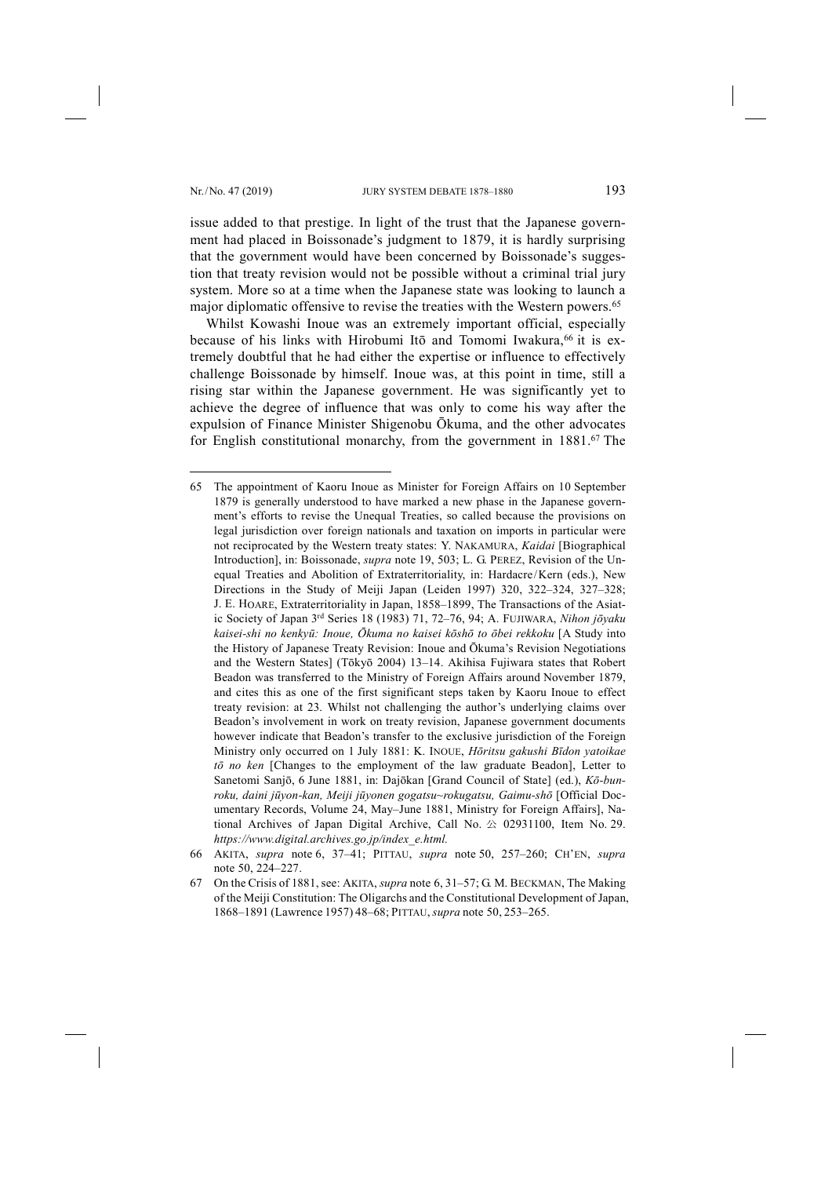-

issue added to that prestige. In light of the trust that the Japanese government had placed in Boissonade's judgment to 1879, it is hardly surprising that the government would have been concerned by Boissonade's suggestion that treaty revision would not be possible without a criminal trial jury system. More so at a time when the Japanese state was looking to launch a major diplomatic offensive to revise the treaties with the Western powers.65

Whilst Kowashi Inoue was an extremely important official, especially because of his links with Hirobumi Itō and Tomomi Iwakura,<sup>66</sup> it is extremely doubtful that he had either the expertise or influence to effectively challenge Boissonade by himself. Inoue was, at this point in time, still a rising star within the Japanese government. He was significantly yet to achieve the degree of influence that was only to come his way after the expulsion of Finance Minister Shigenobu Ōkuma, and the other advocates for English constitutional monarchy, from the government in 1881.<sup>67</sup> The

<sup>65</sup> The appointment of Kaoru Inoue as Minister for Foreign Affairs on 10 September 1879 is generally understood to have marked a new phase in the Japanese government's efforts to revise the Unequal Treaties, so called because the provisions on legal jurisdiction over foreign nationals and taxation on imports in particular were not reciprocated by the Western treaty states: Y. NAKAMURA, *Kaidai* [Biographical Introduction], in: Boissonade, *supra* note 19, 503; L. G. PEREZ, Revision of the Unequal Treaties and Abolition of Extraterritoriality, in: Hardacre/Kern (eds.), New Directions in the Study of Meiji Japan (Leiden 1997) 320, 322–324, 327–328; J. E. HOARE, Extraterritoriality in Japan, 1858–1899, The Transactions of the Asiatic Society of Japan 3rd Series 18 (1983) 71, 72–76, 94; A. FUJIWARA, *Nihon jōyaku kaisei-shi no kenkyū: Inoue, Ōkuma no kaisei kōshō to ōbei rekkoku* [A Study into the History of Japanese Treaty Revision: Inoue and Ōkuma's Revision Negotiations and the Western States] (Tōkyō 2004) 13–14. Akihisa Fujiwara states that Robert Beadon was transferred to the Ministry of Foreign Affairs around November 1879, and cites this as one of the first significant steps taken by Kaoru Inoue to effect treaty revision: at 23. Whilst not challenging the author's underlying claims over Beadon's involvement in work on treaty revision, Japanese government documents however indicate that Beadon's transfer to the exclusive jurisdiction of the Foreign Ministry only occurred on 1 July 1881: K. INOUE, *Hōritsu gakushi Bīdon yatoikae tō no ken* [Changes to the employment of the law graduate Beadon], Letter to Sanetomi Sanjō, 6 June 1881, in: Dajōkan [Grand Council of State] (ed.), *Kō-bunroku, daini jūyon-kan, Meiji jūyonen gogatsu~rokugatsu, Gaimu-shō* [Official Documentary Records, Volume 24, May–June 1881, Ministry for Foreign Affairs], National Archives of Japan Digital Archive, Call No. 公 02931100, Item No. 29. *https://www.digital.archives.go.jp/index\_e.html.*

<sup>66</sup> AKITA, *supra* note 6, 37–41; PITTAU, *supra* note 50, 257–260; CH'EN, *supra*  note 50, 224–227.

<sup>67</sup> On the Crisis of 1881, see: AKITA, *supra* note 6, 31–57; G. M. BECKMAN, The Making of the Meiji Constitution: The Oligarchs and the Constitutional Development of Japan, 1868–1891 (Lawrence 1957) 48–68; PITTAU, *supra* note 50, 253–265.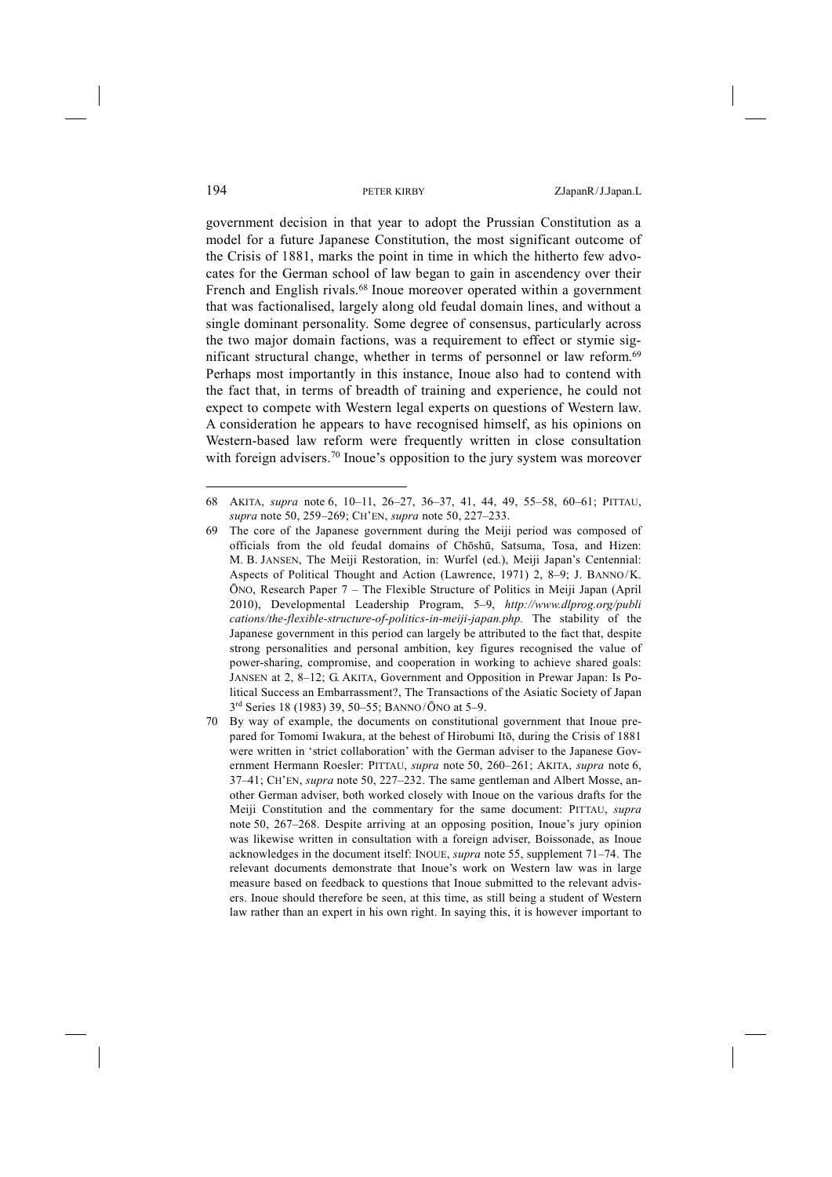government decision in that year to adopt the Prussian Constitution as a model for a future Japanese Constitution, the most significant outcome of the Crisis of 1881, marks the point in time in which the hitherto few advocates for the German school of law began to gain in ascendency over their French and English rivals.<sup>68</sup> Inoue moreover operated within a government that was factionalised, largely along old feudal domain lines, and without a single dominant personality. Some degree of consensus, particularly across the two major domain factions, was a requirement to effect or stymie significant structural change, whether in terms of personnel or law reform.<sup>69</sup> Perhaps most importantly in this instance, Inoue also had to contend with the fact that, in terms of breadth of training and experience, he could not expect to compete with Western legal experts on questions of Western law. A consideration he appears to have recognised himself, as his opinions on Western-based law reform were frequently written in close consultation with foreign advisers.<sup>70</sup> Inoue's opposition to the jury system was moreover

<sup>68</sup> AKITA, *supra* note 6, 10–11, 26–27, 36–37, 41, 44, 49, 55–58, 60–61; PITTAU, *supra* note 50, 259–269; CH'EN, *supra* note 50, 227–233.

<sup>69</sup> The core of the Japanese government during the Meiji period was composed of officials from the old feudal domains of Chōshū, Satsuma, Tosa, and Hizen: M. B. JANSEN, The Meiji Restoration, in: Wurfel (ed.), Meiji Japan's Centennial: Aspects of Political Thought and Action (Lawrence, 1971) 2, 8–9; J. BANNO/K. ŌNO, Research Paper 7 – The Flexible Structure of Politics in Meiji Japan (April 2010), Developmental Leadership Program, 5–9, *http://www.dlprog.org/publi cations/the-flexible-structure-of-politics-in-meiji-japan.php.* The stability of the Japanese government in this period can largely be attributed to the fact that, despite strong personalities and personal ambition, key figures recognised the value of power-sharing, compromise, and cooperation in working to achieve shared goals: JANSEN at 2, 8–12; G. AKITA, Government and Opposition in Prewar Japan: Is Political Success an Embarrassment?, The Transactions of the Asiatic Society of Japan 3rd Series 18 (1983) 39, 50–55; BANNO/ ŌNO at 5–9.

<sup>70</sup> By way of example, the documents on constitutional government that Inoue prepared for Tomomi Iwakura, at the behest of Hirobumi Itō, during the Crisis of 1881 were written in 'strict collaboration' with the German adviser to the Japanese Government Hermann Roesler: PITTAU, *supra* note 50, 260–261; AKITA, *supra* note 6, 37–41; CH'EN, *supra* note 50, 227–232. The same gentleman and Albert Mosse, another German adviser, both worked closely with Inoue on the various drafts for the Meiji Constitution and the commentary for the same document: PITTAU, *supra*  note 50, 267–268. Despite arriving at an opposing position, Inoue's jury opinion was likewise written in consultation with a foreign adviser, Boissonade, as Inoue acknowledges in the document itself: INOUE, *supra* note 55, supplement 71–74. The relevant documents demonstrate that Inoue's work on Western law was in large measure based on feedback to questions that Inoue submitted to the relevant advisers. Inoue should therefore be seen, at this time, as still being a student of Western law rather than an expert in his own right. In saying this, it is however important to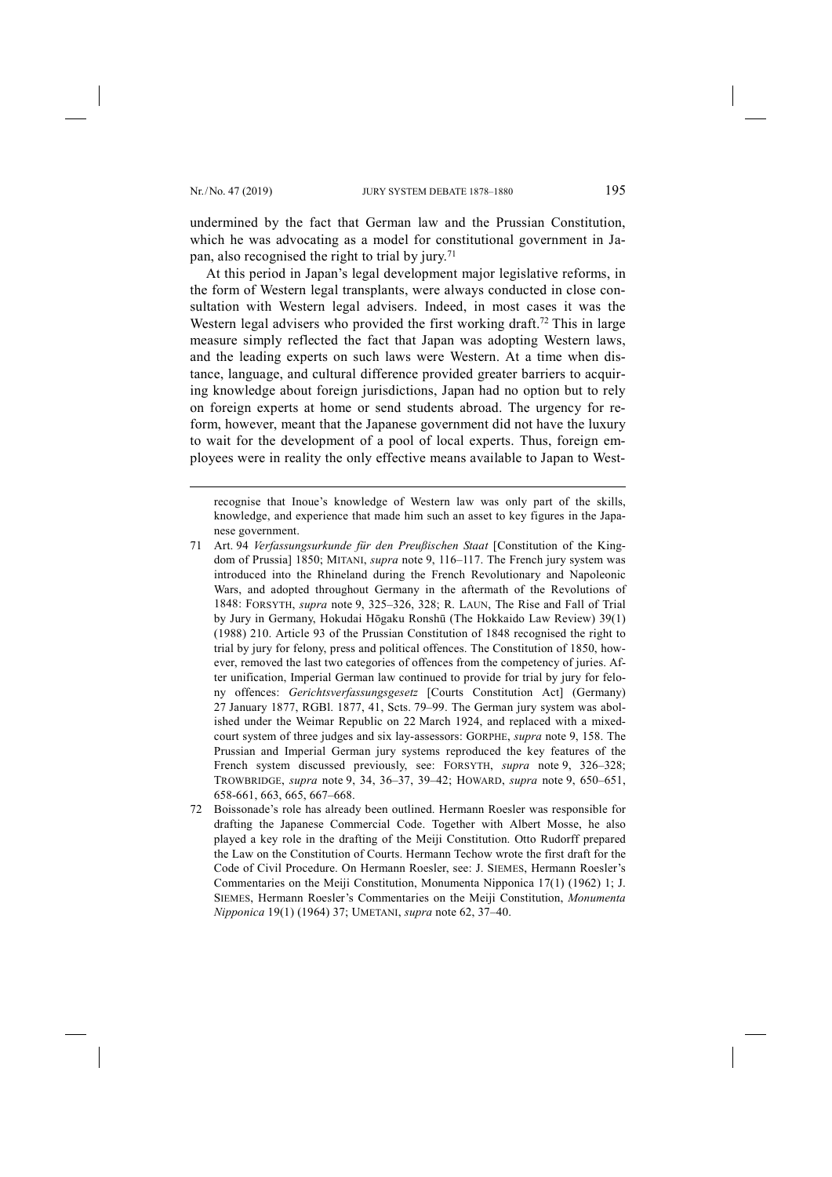-

undermined by the fact that German law and the Prussian Constitution, which he was advocating as a model for constitutional government in Japan, also recognised the right to trial by jury.71

At this period in Japan's legal development major legislative reforms, in the form of Western legal transplants, were always conducted in close consultation with Western legal advisers. Indeed, in most cases it was the Western legal advisers who provided the first working draft.<sup>72</sup> This in large measure simply reflected the fact that Japan was adopting Western laws, and the leading experts on such laws were Western. At a time when distance, language, and cultural difference provided greater barriers to acquiring knowledge about foreign jurisdictions, Japan had no option but to rely on foreign experts at home or send students abroad. The urgency for reform, however, meant that the Japanese government did not have the luxury to wait for the development of a pool of local experts. Thus, foreign employees were in reality the only effective means available to Japan to West-

recognise that Inoue's knowledge of Western law was only part of the skills, knowledge, and experience that made him such an asset to key figures in the Japanese government.

- 71 Art. 94 *Verfassungsurkunde für den Preußischen Staat* [Constitution of the Kingdom of Prussia] 1850; MITANI, *supra* note 9, 116–117. The French jury system was introduced into the Rhineland during the French Revolutionary and Napoleonic Wars, and adopted throughout Germany in the aftermath of the Revolutions of 1848: FORSYTH, *supra* note 9, 325–326, 328; R. LAUN, The Rise and Fall of Trial by Jury in Germany, Hokudai Hōgaku Ronshū (The Hokkaido Law Review) 39(1) (1988) 210. Article 93 of the Prussian Constitution of 1848 recognised the right to trial by jury for felony, press and political offences. The Constitution of 1850, however, removed the last two categories of offences from the competency of juries. After unification, Imperial German law continued to provide for trial by jury for felony offences: *Gerichtsverfassungsgesetz* [Courts Constitution Act] (Germany) 27 January 1877, RGBl. 1877, 41, Scts. 79–99. The German jury system was abolished under the Weimar Republic on 22 March 1924, and replaced with a mixedcourt system of three judges and six lay-assessors: GORPHE, *supra* note 9, 158. The Prussian and Imperial German jury systems reproduced the key features of the French system discussed previously, see: FORSYTH, *supra* note 9, 326–328; TROWBRIDGE, *supra* note 9, 34, 36–37, 39–42; HOWARD, *supra* note 9, 650–651, 658-661, 663, 665, 667–668.
- 72 Boissonade's role has already been outlined. Hermann Roesler was responsible for drafting the Japanese Commercial Code. Together with Albert Mosse, he also played a key role in the drafting of the Meiji Constitution. Otto Rudorff prepared the Law on the Constitution of Courts. Hermann Techow wrote the first draft for the Code of Civil Procedure. On Hermann Roesler, see: J. SIEMES, Hermann Roesler's Commentaries on the Meiji Constitution, Monumenta Nipponica 17(1) (1962) 1; J. SIEMES, Hermann Roesler's Commentaries on the Meiji Constitution, *Monumenta Nipponica* 19(1) (1964) 37; UMETANI, *supra* note 62, 37–40.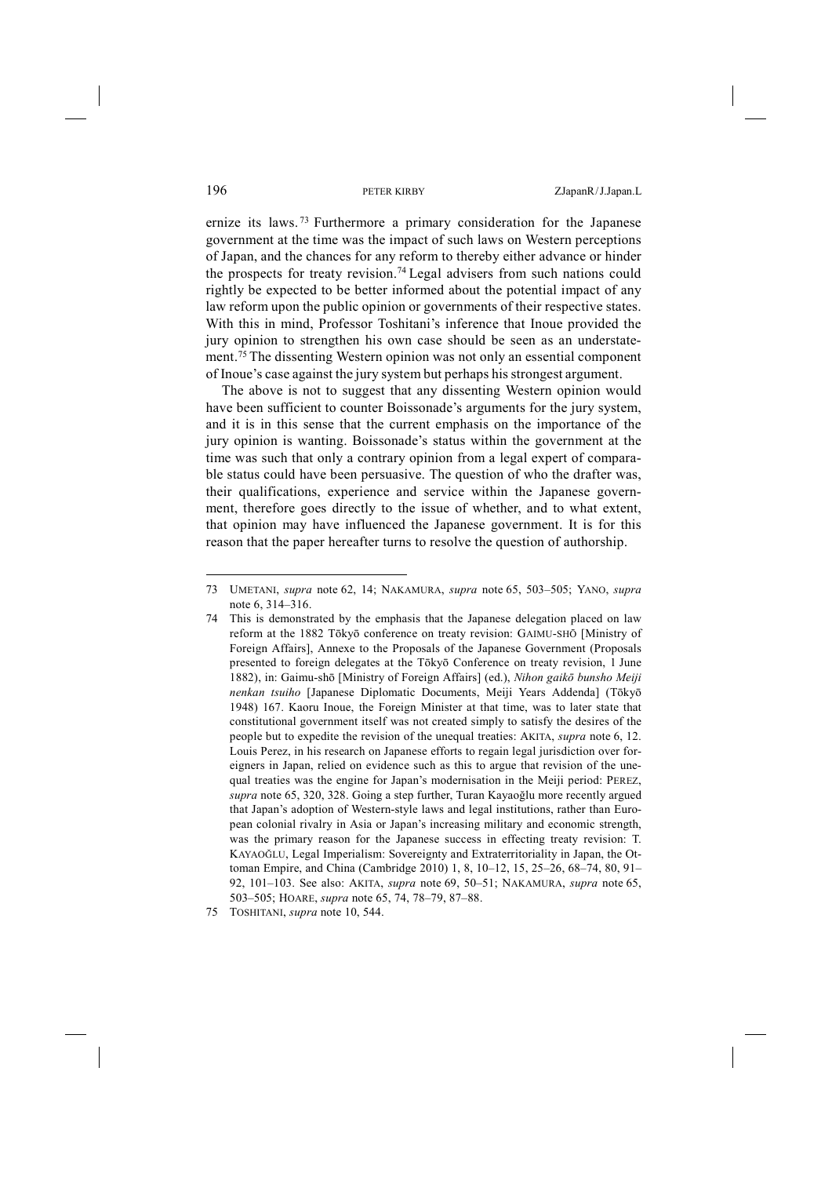ernize its laws. <sup>73</sup> Furthermore a primary consideration for the Japanese government at the time was the impact of such laws on Western perceptions of Japan, and the chances for any reform to thereby either advance or hinder the prospects for treaty revision.74 Legal advisers from such nations could rightly be expected to be better informed about the potential impact of any law reform upon the public opinion or governments of their respective states. With this in mind, Professor Toshitani's inference that Inoue provided the jury opinion to strengthen his own case should be seen as an understatement.75 The dissenting Western opinion was not only an essential component of Inoue's case against the jury system but perhaps his strongest argument.

The above is not to suggest that any dissenting Western opinion would have been sufficient to counter Boissonade's arguments for the jury system, and it is in this sense that the current emphasis on the importance of the jury opinion is wanting. Boissonade's status within the government at the time was such that only a contrary opinion from a legal expert of comparable status could have been persuasive. The question of who the drafter was, their qualifications, experience and service within the Japanese government, therefore goes directly to the issue of whether, and to what extent, that opinion may have influenced the Japanese government. It is for this reason that the paper hereafter turns to resolve the question of authorship.

<sup>73</sup> UMETANI, *supra* note 62, 14; NAKAMURA, *supra* note 65, 503–505; YANO, *supra*  note 6, 314–316.

<sup>74</sup> This is demonstrated by the emphasis that the Japanese delegation placed on law reform at the 1882 Tōkyō conference on treaty revision: GAIMU-SHŌ [Ministry of Foreign Affairs], Annexe to the Proposals of the Japanese Government (Proposals presented to foreign delegates at the Tōkyō Conference on treaty revision, 1 June 1882), in: Gaimu-shō [Ministry of Foreign Affairs] (ed.), *Nihon gaikō bunsho Meiji nenkan tsuiho* [Japanese Diplomatic Documents, Meiji Years Addenda] (Tōkyō 1948) 167. Kaoru Inoue, the Foreign Minister at that time, was to later state that constitutional government itself was not created simply to satisfy the desires of the people but to expedite the revision of the unequal treaties: AKITA, *supra* note 6, 12. Louis Perez, in his research on Japanese efforts to regain legal jurisdiction over foreigners in Japan, relied on evidence such as this to argue that revision of the unequal treaties was the engine for Japan's modernisation in the Meiji period: PEREZ, *supra* note 65, 320, 328. Going a step further, Turan Kayaoğlu more recently argued that Japan's adoption of Western-style laws and legal institutions, rather than European colonial rivalry in Asia or Japan's increasing military and economic strength, was the primary reason for the Japanese success in effecting treaty revision: T. KAYAOĞLU, Legal Imperialism: Sovereignty and Extraterritoriality in Japan, the Ottoman Empire, and China (Cambridge 2010) 1, 8, 10–12, 15, 25–26, 68–74, 80, 91– 92, 101–103. See also: AKITA, *supra* note 69, 50–51; NAKAMURA, *supra* note 65, 503–505; HOARE, *supra* note 65, 74, 78–79, 87–88.

<sup>75</sup> TOSHITANI, *supra* note 10, 544.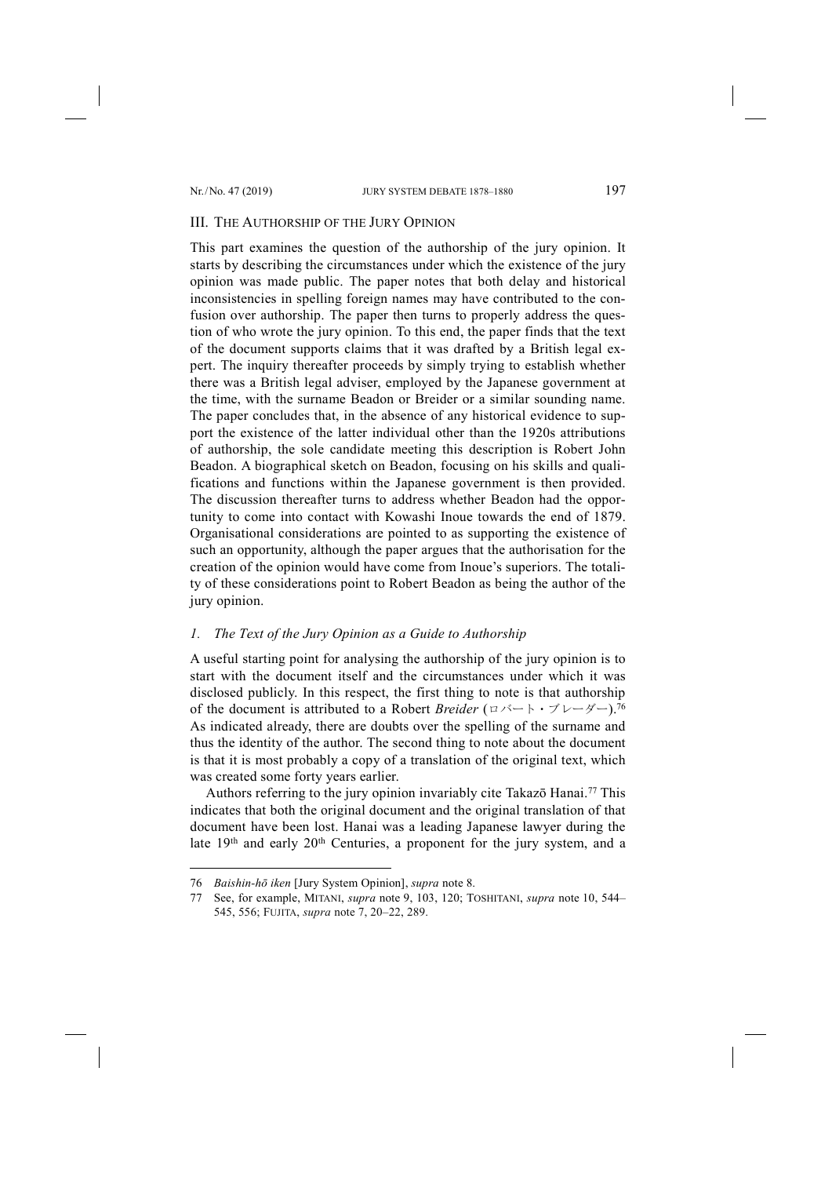## III. THE AUTHORSHIP OF THE JURY OPINION

This part examines the question of the authorship of the jury opinion. It starts by describing the circumstances under which the existence of the jury opinion was made public. The paper notes that both delay and historical inconsistencies in spelling foreign names may have contributed to the confusion over authorship. The paper then turns to properly address the question of who wrote the jury opinion. To this end, the paper finds that the text of the document supports claims that it was drafted by a British legal expert. The inquiry thereafter proceeds by simply trying to establish whether there was a British legal adviser, employed by the Japanese government at the time, with the surname Beadon or Breider or a similar sounding name. The paper concludes that, in the absence of any historical evidence to support the existence of the latter individual other than the 1920s attributions of authorship, the sole candidate meeting this description is Robert John Beadon. A biographical sketch on Beadon, focusing on his skills and qualifications and functions within the Japanese government is then provided. The discussion thereafter turns to address whether Beadon had the opportunity to come into contact with Kowashi Inoue towards the end of 1879. Organisational considerations are pointed to as supporting the existence of such an opportunity, although the paper argues that the authorisation for the creation of the opinion would have come from Inoue's superiors. The totality of these considerations point to Robert Beadon as being the author of the jury opinion.

## *1. The Text of the Jury Opinion as a Guide to Authorship*

A useful starting point for analysing the authorship of the jury opinion is to start with the document itself and the circumstances under which it was disclosed publicly. In this respect, the first thing to note is that authorship of the document is attributed to a Robert *Breider* (ロバート・ブレーダー).76 As indicated already, there are doubts over the spelling of the surname and thus the identity of the author. The second thing to note about the document is that it is most probably a copy of a translation of the original text, which was created some forty years earlier.

Authors referring to the jury opinion invariably cite Takazō Hanai.<sup>77</sup> This indicates that both the original document and the original translation of that document have been lost. Hanai was a leading Japanese lawyer during the late 19<sup>th</sup> and early 20<sup>th</sup> Centuries, a proponent for the jury system, and a

<sup>76</sup> *Baishin-hō iken* [Jury System Opinion], *supra* note 8.

<sup>77</sup> See, for example, MITANI, *supra* note 9, 103, 120; TOSHITANI, *supra* note 10, 544– 545, 556; FUJITA, *supra* note 7, 20–22, 289.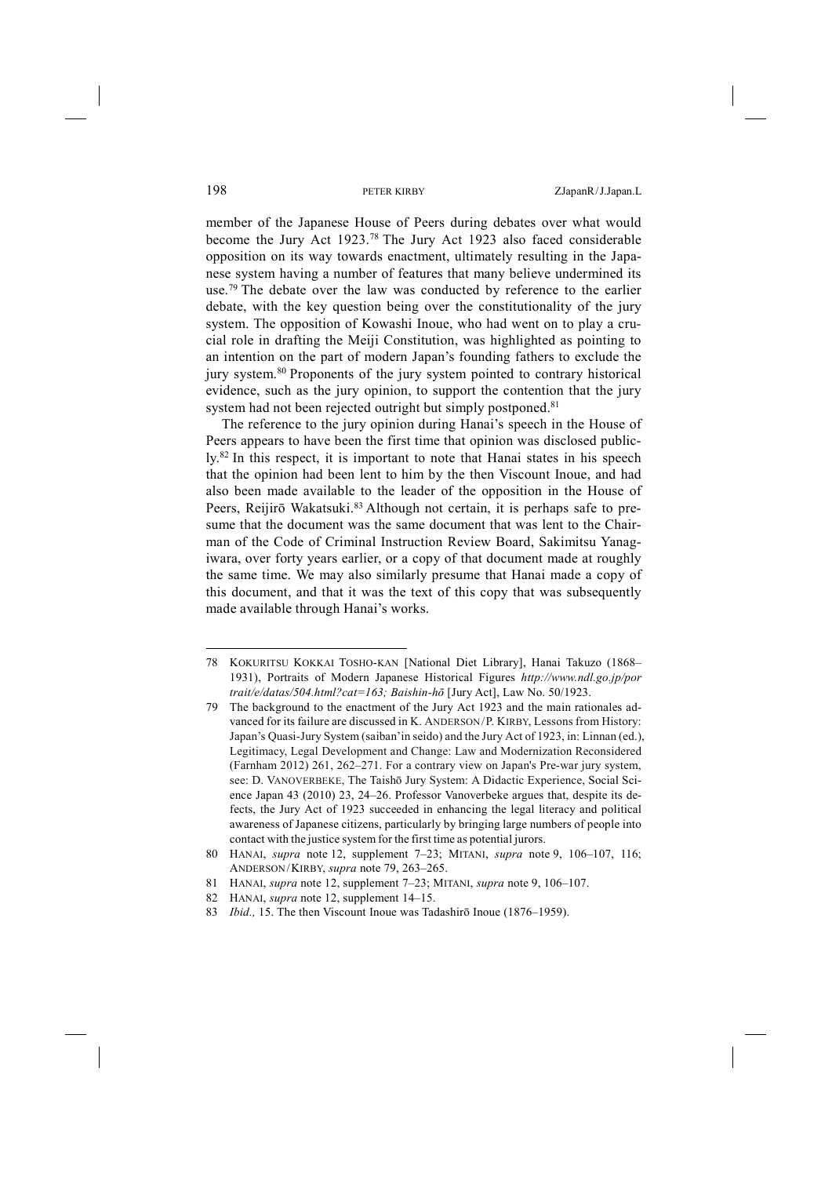member of the Japanese House of Peers during debates over what would become the Jury Act 1923.78 The Jury Act 1923 also faced considerable opposition on its way towards enactment, ultimately resulting in the Japanese system having a number of features that many believe undermined its use.<sup>79</sup> The debate over the law was conducted by reference to the earlier debate, with the key question being over the constitutionality of the jury system. The opposition of Kowashi Inoue, who had went on to play a crucial role in drafting the Meiji Constitution, was highlighted as pointing to an intention on the part of modern Japan's founding fathers to exclude the jury system.80 Proponents of the jury system pointed to contrary historical evidence, such as the jury opinion, to support the contention that the jury system had not been rejected outright but simply postponed.<sup>81</sup>

The reference to the jury opinion during Hanai's speech in the House of Peers appears to have been the first time that opinion was disclosed publicly.82 In this respect, it is important to note that Hanai states in his speech that the opinion had been lent to him by the then Viscount Inoue, and had also been made available to the leader of the opposition in the House of Peers, Reijirō Wakatsuki.<sup>83</sup> Although not certain, it is perhaps safe to presume that the document was the same document that was lent to the Chairman of the Code of Criminal Instruction Review Board, Sakimitsu Yanagiwara, over forty years earlier, or a copy of that document made at roughly the same time. We may also similarly presume that Hanai made a copy of this document, and that it was the text of this copy that was subsequently made available through Hanai's works.

<sup>78</sup> KOKURITSU KOKKAI TOSHO-KAN [National Diet Library], Hanai Takuzo (1868– 1931), Portraits of Modern Japanese Historical Figures *http://www.ndl.go.jp/por trait/e/datas/504.html?cat=163; Baishin-hō* [Jury Act], Law No. 50/1923.

<sup>79</sup> The background to the enactment of the Jury Act 1923 and the main rationales advanced for its failure are discussed in K. ANDERSON/P. KIRBY, Lessons from History: Japan's Quasi-Jury System (saiban'in seido) and the Jury Act of 1923, in: Linnan (ed.), Legitimacy, Legal Development and Change: Law and Modernization Reconsidered (Farnham 2012) 261, 262–271. For a contrary view on Japan's Pre-war jury system, see: D. VANOVERBEKE, The Taishō Jury System: A Didactic Experience, Social Science Japan 43 (2010) 23, 24–26. Professor Vanoverbeke argues that, despite its defects, the Jury Act of 1923 succeeded in enhancing the legal literacy and political awareness of Japanese citizens, particularly by bringing large numbers of people into contact with the justice system for the first time as potential jurors.

<sup>80</sup> HANAI, *supra* note 12, supplement 7–23; MITANI, *supra* note 9, 106–107, 116; ANDERSON/KIRBY, *supra* note 79, 263–265.

<sup>81</sup> HANAI, *supra* note 12, supplement 7–23; MITANI, *supra* note 9, 106–107.

<sup>82</sup> HANAI, *supra* note 12, supplement 14–15.

<sup>83</sup> *Ibid.,* 15. The then Viscount Inoue was Tadashirō Inoue (1876–1959).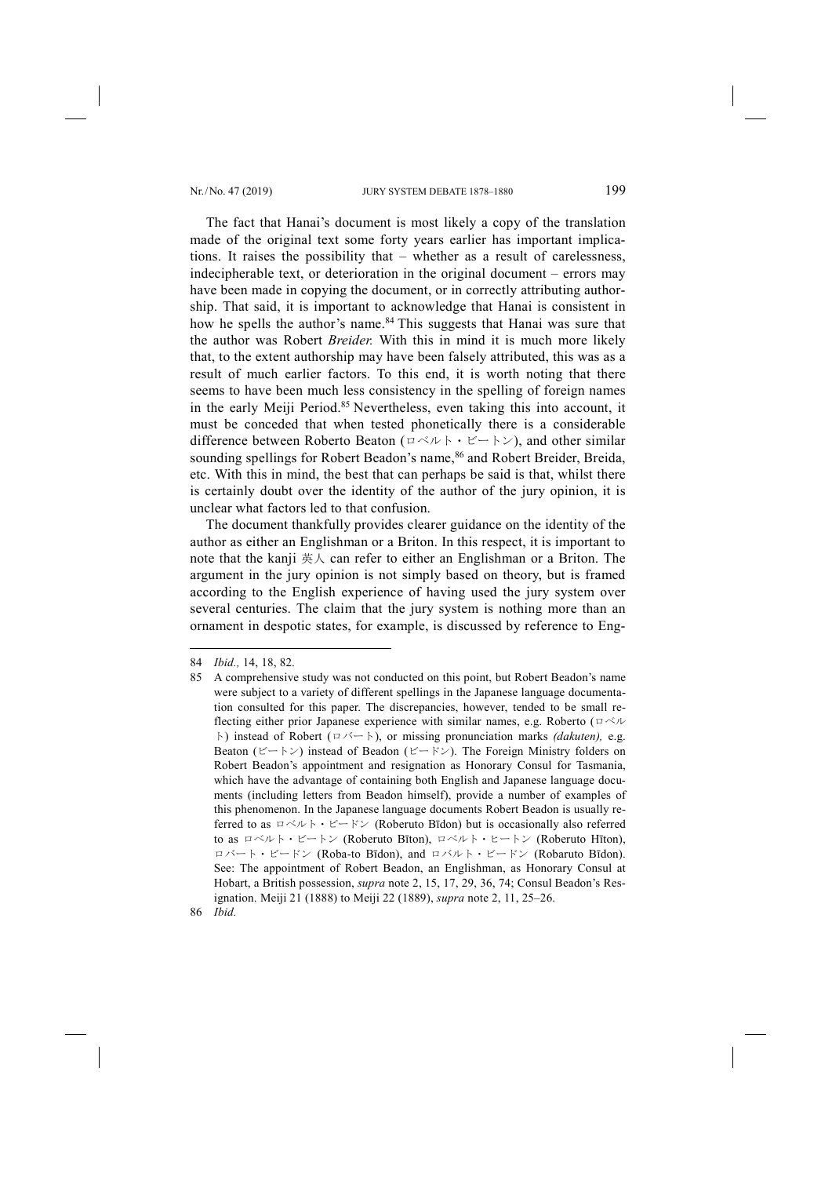The fact that Hanai's document is most likely a copy of the translation made of the original text some forty years earlier has important implications. It raises the possibility that – whether as a result of carelessness, indecipherable text, or deterioration in the original document – errors may have been made in copying the document, or in correctly attributing authorship. That said, it is important to acknowledge that Hanai is consistent in how he spells the author's name.<sup>84</sup> This suggests that Hanai was sure that the author was Robert *Breider.* With this in mind it is much more likely that, to the extent authorship may have been falsely attributed, this was as a result of much earlier factors. To this end, it is worth noting that there seems to have been much less consistency in the spelling of foreign names in the early Meiji Period.85 Nevertheless, even taking this into account, it must be conceded that when tested phonetically there is a considerable difference between Roberto Beaton (ロベルト・ビートン), and other similar sounding spellings for Robert Beadon's name, <sup>86</sup> and Robert Breider, Breida, etc. With this in mind, the best that can perhaps be said is that, whilst there is certainly doubt over the identity of the author of the jury opinion, it is unclear what factors led to that confusion.

The document thankfully provides clearer guidance on the identity of the author as either an Englishman or a Briton. In this respect, it is important to note that the kanji 英人 can refer to either an Englishman or a Briton. The argument in the jury opinion is not simply based on theory, but is framed according to the English experience of having used the jury system over several centuries. The claim that the jury system is nothing more than an ornament in despotic states, for example, is discussed by reference to Eng-

-

86 *Ibid.*

<sup>84</sup> *Ibid.,* 14, 18, 82.

<sup>85</sup> A comprehensive study was not conducted on this point, but Robert Beadon's name were subject to a variety of different spellings in the Japanese language documentation consulted for this paper. The discrepancies, however, tended to be small reflecting either prior Japanese experience with similar names, e.g. Roberto (ロベル ト) instead of Robert (ロバート), or missing pronunciation marks *(dakuten),* e.g. Beaton (ビートン) instead of Beadon (ビードン). The Foreign Ministry folders on Robert Beadon's appointment and resignation as Honorary Consul for Tasmania, which have the advantage of containing both English and Japanese language documents (including letters from Beadon himself), provide a number of examples of this phenomenon. In the Japanese language documents Robert Beadon is usually referred to as  $\Box \triangleleft \vee \lor \vdash \vdash \vdash \vee$  (Roberuto Bīdon) but is occasionally also referred to as ロベルト・ビートン (Roberuto Bīton), ロベルト・ヒートン (Roberuto Hīton), ロバート・ビードン (Roba-to Bīdon), and ロバルト・ビードン (Robaruto Bīdon). See: The appointment of Robert Beadon, an Englishman, as Honorary Consul at Hobart, a British possession, *supra* note 2, 15, 17, 29, 36, 74; Consul Beadon's Resignation. Meiji 21 (1888) to Meiji 22 (1889), *supra* note 2, 11, 25–26.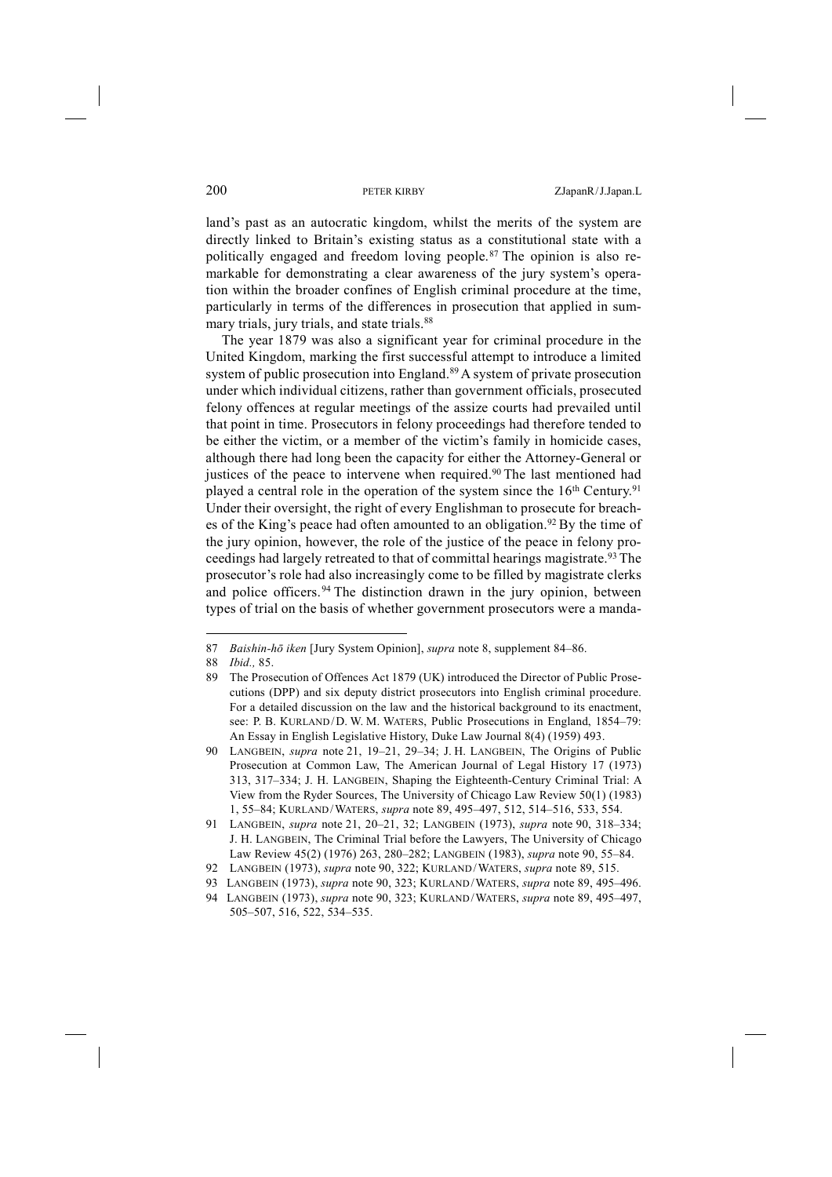land's past as an autocratic kingdom, whilst the merits of the system are directly linked to Britain's existing status as a constitutional state with a politically engaged and freedom loving people.87 The opinion is also remarkable for demonstrating a clear awareness of the jury system's operation within the broader confines of English criminal procedure at the time, particularly in terms of the differences in prosecution that applied in summary trials, jury trials, and state trials.<sup>88</sup>

The year 1879 was also a significant year for criminal procedure in the United Kingdom, marking the first successful attempt to introduce a limited system of public prosecution into England.<sup>89</sup> A system of private prosecution under which individual citizens, rather than government officials, prosecuted felony offences at regular meetings of the assize courts had prevailed until that point in time. Prosecutors in felony proceedings had therefore tended to be either the victim, or a member of the victim's family in homicide cases, although there had long been the capacity for either the Attorney-General or justices of the peace to intervene when required.<sup>90</sup> The last mentioned had played a central role in the operation of the system since the 16<sup>th</sup> Century.<sup>91</sup> Under their oversight, the right of every Englishman to prosecute for breaches of the King's peace had often amounted to an obligation.<sup>92</sup> By the time of the jury opinion, however, the role of the justice of the peace in felony proceedings had largely retreated to that of committal hearings magistrate.<sup>93</sup> The prosecutor's role had also increasingly come to be filled by magistrate clerks and police officers.<sup>94</sup> The distinction drawn in the jury opinion, between types of trial on the basis of whether government prosecutors were a manda-

<sup>87</sup> *Baishin-hō iken* [Jury System Opinion], *supra* note 8, supplement 84–86.

<sup>88</sup> *Ibid.,* 85.

<sup>89</sup> The Prosecution of Offences Act 1879 (UK) introduced the Director of Public Prosecutions (DPP) and six deputy district prosecutors into English criminal procedure. For a detailed discussion on the law and the historical background to its enactment, see: P. B. KURLAND/D. W. M. WATERS, Public Prosecutions in England, 1854–79: An Essay in English Legislative History, Duke Law Journal 8(4) (1959) 493.

<sup>90</sup> LANGBEIN, *supra* note 21, 19–21, 29–34; J. H. LANGBEIN, The Origins of Public Prosecution at Common Law, The American Journal of Legal History 17 (1973) 313, 317–334; J. H. LANGBEIN, Shaping the Eighteenth-Century Criminal Trial: A View from the Ryder Sources, The University of Chicago Law Review 50(1) (1983) 1, 55–84; KURLAND/WATERS, *supra* note 89, 495–497, 512, 514–516, 533, 554.

<sup>91</sup> LANGBEIN, *supra* note 21, 20–21, 32; LANGBEIN (1973), *supra* note 90, 318–334; J. H. LANGBEIN, The Criminal Trial before the Lawyers, The University of Chicago Law Review 45(2) (1976) 263, 280–282; LANGBEIN (1983), *supra* note 90, 55–84.

<sup>92</sup> LANGBEIN (1973), *supra* note 90, 322; KURLAND/WATERS, *supra* note 89, 515.

<sup>93</sup> LANGBEIN (1973), *supra* note 90, 323; KURLAND/WATERS, *supra* note 89, 495–496.

<sup>94</sup> LANGBEIN (1973), *supra* note 90, 323; KURLAND/WATERS, *supra* note 89, 495–497, 505–507, 516, 522, 534–535.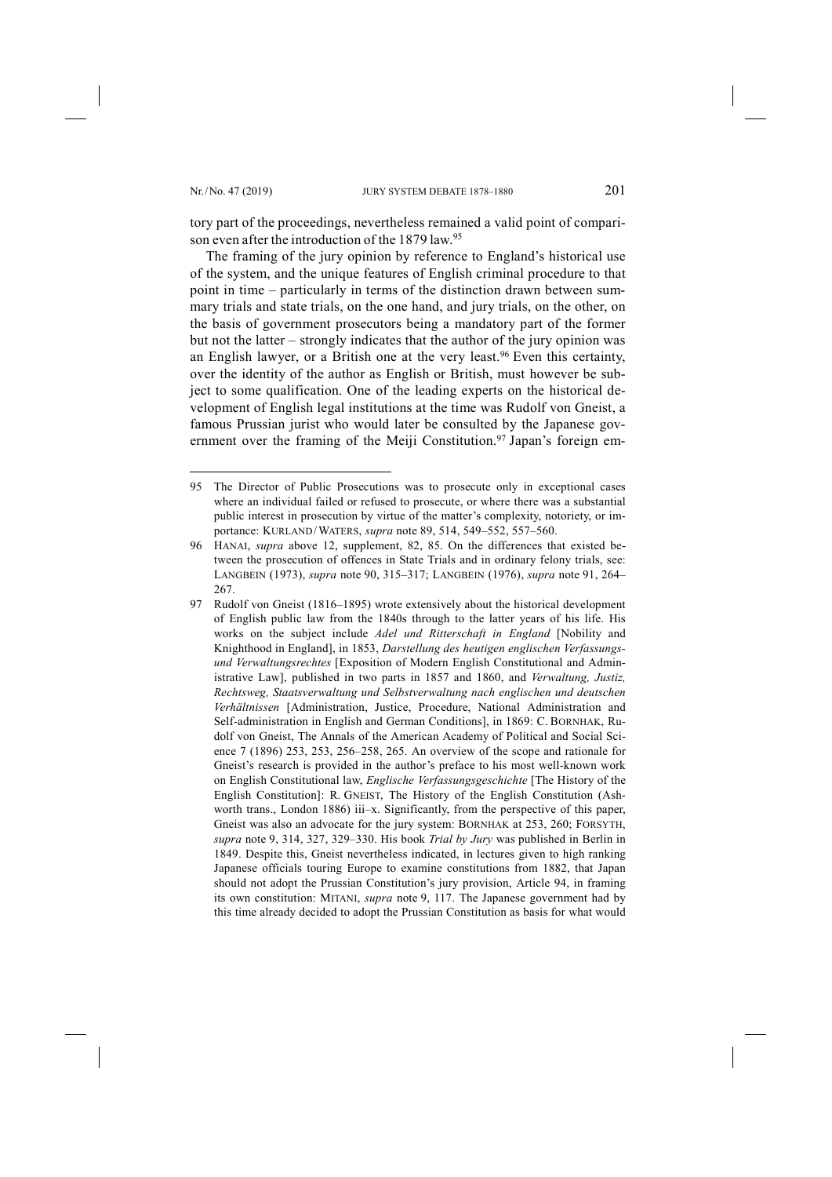-

tory part of the proceedings, nevertheless remained a valid point of comparison even after the introduction of the 1879 law.<sup>95</sup>

The framing of the jury opinion by reference to England's historical use of the system, and the unique features of English criminal procedure to that point in time – particularly in terms of the distinction drawn between summary trials and state trials, on the one hand, and jury trials, on the other, on the basis of government prosecutors being a mandatory part of the former but not the latter – strongly indicates that the author of the jury opinion was an English lawyer, or a British one at the very least.<sup>96</sup> Even this certainty, over the identity of the author as English or British, must however be subject to some qualification. One of the leading experts on the historical development of English legal institutions at the time was Rudolf von Gneist, a famous Prussian jurist who would later be consulted by the Japanese government over the framing of the Meiji Constitution.<sup>97</sup> Japan's foreign em-

<sup>95</sup> The Director of Public Prosecutions was to prosecute only in exceptional cases where an individual failed or refused to prosecute, or where there was a substantial public interest in prosecution by virtue of the matter's complexity, notoriety, or importance: KURLAND/WATERS, *supra* note 89, 514, 549–552, 557–560.

<sup>96</sup> HANAI, *supra* above 12, supplement, 82, 85. On the differences that existed between the prosecution of offences in State Trials and in ordinary felony trials, see: LANGBEIN (1973), *supra* note 90, 315–317; LANGBEIN (1976), *supra* note 91, 264– 267.

<sup>97</sup> Rudolf von Gneist (1816–1895) wrote extensively about the historical development of English public law from the 1840s through to the latter years of his life. His works on the subject include *Adel und Ritterschaft in England* [Nobility and Knighthood in England], in 1853, *Darstellung des heutigen englischen Verfassungsund Verwaltungsrechtes* [Exposition of Modern English Constitutional and Administrative Law], published in two parts in 1857 and 1860, and *Verwaltung, Justiz, Rechtsweg, Staatsverwaltung und Selbstverwaltung nach englischen und deutschen Verhältnissen* [Administration, Justice, Procedure, National Administration and Self-administration in English and German Conditions], in 1869: C. BORNHAK, Rudolf von Gneist, The Annals of the American Academy of Political and Social Science 7 (1896) 253, 253, 256–258, 265. An overview of the scope and rationale for Gneist's research is provided in the author's preface to his most well-known work on English Constitutional law, *Englische Verfassungsgeschichte* [The History of the English Constitution]: R. GNEIST, The History of the English Constitution (Ashworth trans., London 1886) iii–x. Significantly, from the perspective of this paper, Gneist was also an advocate for the jury system: BORNHAK at 253, 260; FORSYTH, *supra* note 9, 314, 327, 329–330. His book *Trial by Jury* was published in Berlin in 1849. Despite this, Gneist nevertheless indicated, in lectures given to high ranking Japanese officials touring Europe to examine constitutions from 1882, that Japan should not adopt the Prussian Constitution's jury provision, Article 94, in framing its own constitution: MITANI, *supra* note 9, 117. The Japanese government had by this time already decided to adopt the Prussian Constitution as basis for what would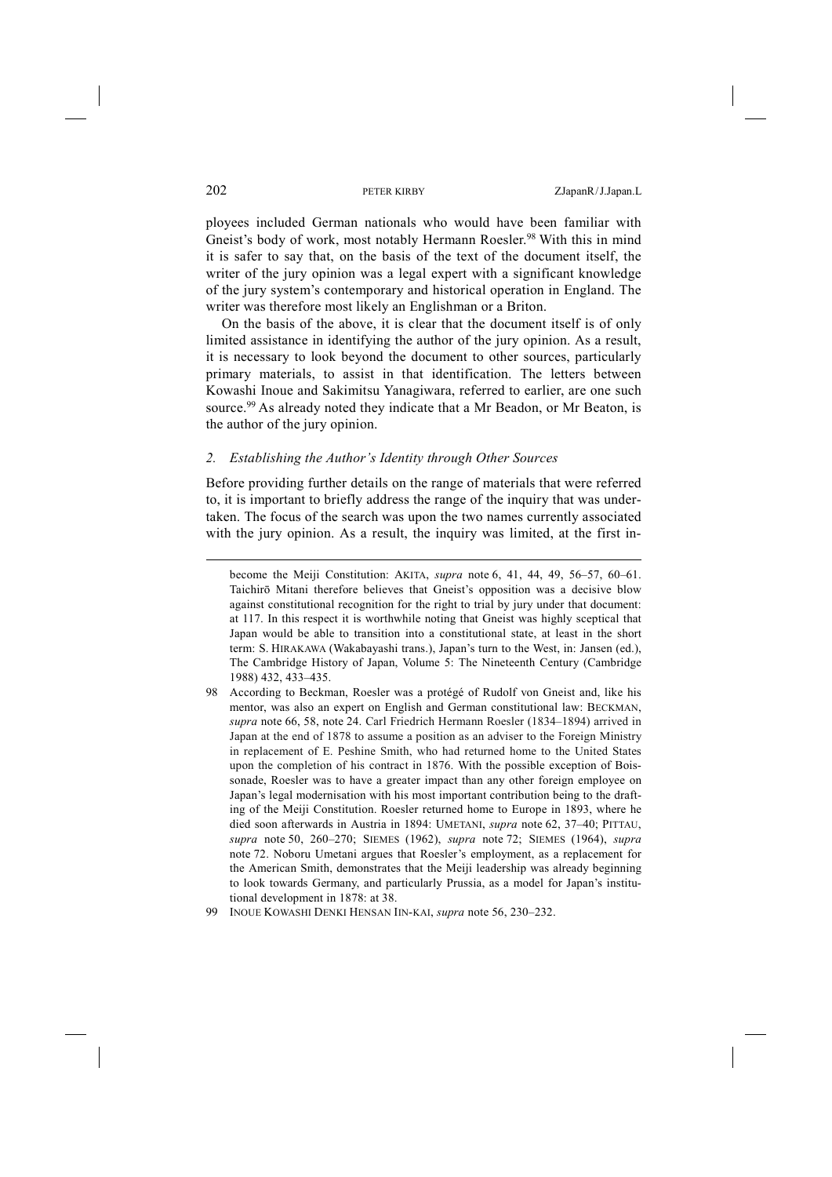ployees included German nationals who would have been familiar with Gneist's body of work, most notably Hermann Roesler.<sup>98</sup> With this in mind it is safer to say that, on the basis of the text of the document itself, the writer of the jury opinion was a legal expert with a significant knowledge of the jury system's contemporary and historical operation in England. The writer was therefore most likely an Englishman or a Briton.

On the basis of the above, it is clear that the document itself is of only limited assistance in identifying the author of the jury opinion. As a result, it is necessary to look beyond the document to other sources, particularly primary materials, to assist in that identification. The letters between Kowashi Inoue and Sakimitsu Yanagiwara, referred to earlier, are one such source.<sup>99</sup> As already noted they indicate that a Mr Beadon, or Mr Beaton, is the author of the jury opinion.

## *2. Establishing the Author's Identity through Other Sources*

Before providing further details on the range of materials that were referred to, it is important to briefly address the range of the inquiry that was undertaken. The focus of the search was upon the two names currently associated with the jury opinion. As a result, the inquiry was limited, at the first in-

98 According to Beckman, Roesler was a protégé of Rudolf von Gneist and, like his mentor, was also an expert on English and German constitutional law: BECKMAN, *supra* note 66, 58, note 24. Carl Friedrich Hermann Roesler (1834–1894) arrived in Japan at the end of 1878 to assume a position as an adviser to the Foreign Ministry in replacement of E. Peshine Smith, who had returned home to the United States upon the completion of his contract in 1876. With the possible exception of Boissonade, Roesler was to have a greater impact than any other foreign employee on Japan's legal modernisation with his most important contribution being to the drafting of the Meiji Constitution. Roesler returned home to Europe in 1893, where he died soon afterwards in Austria in 1894: UMETANI, *supra* note 62, 37–40; PITTAU, *supra* note 50, 260–270; SIEMES (1962), *supra* note 72; SIEMES (1964), *supra*  note 72. Noboru Umetani argues that Roesler's employment, as a replacement for the American Smith, demonstrates that the Meiji leadership was already beginning to look towards Germany, and particularly Prussia, as a model for Japan's institutional development in 1878: at 38.

become the Meiji Constitution: AKITA, *supra* note 6, 41, 44, 49, 56–57, 60–61. Taichirō Mitani therefore believes that Gneist's opposition was a decisive blow against constitutional recognition for the right to trial by jury under that document: at 117. In this respect it is worthwhile noting that Gneist was highly sceptical that Japan would be able to transition into a constitutional state, at least in the short term: S. HIRAKAWA (Wakabayashi trans.), Japan's turn to the West, in: Jansen (ed.), The Cambridge History of Japan, Volume 5: The Nineteenth Century (Cambridge 1988) 432, 433–435.

<sup>99</sup> INOUE KOWASHI DENKI HENSAN IIN-KAI, *supra* note 56, 230–232.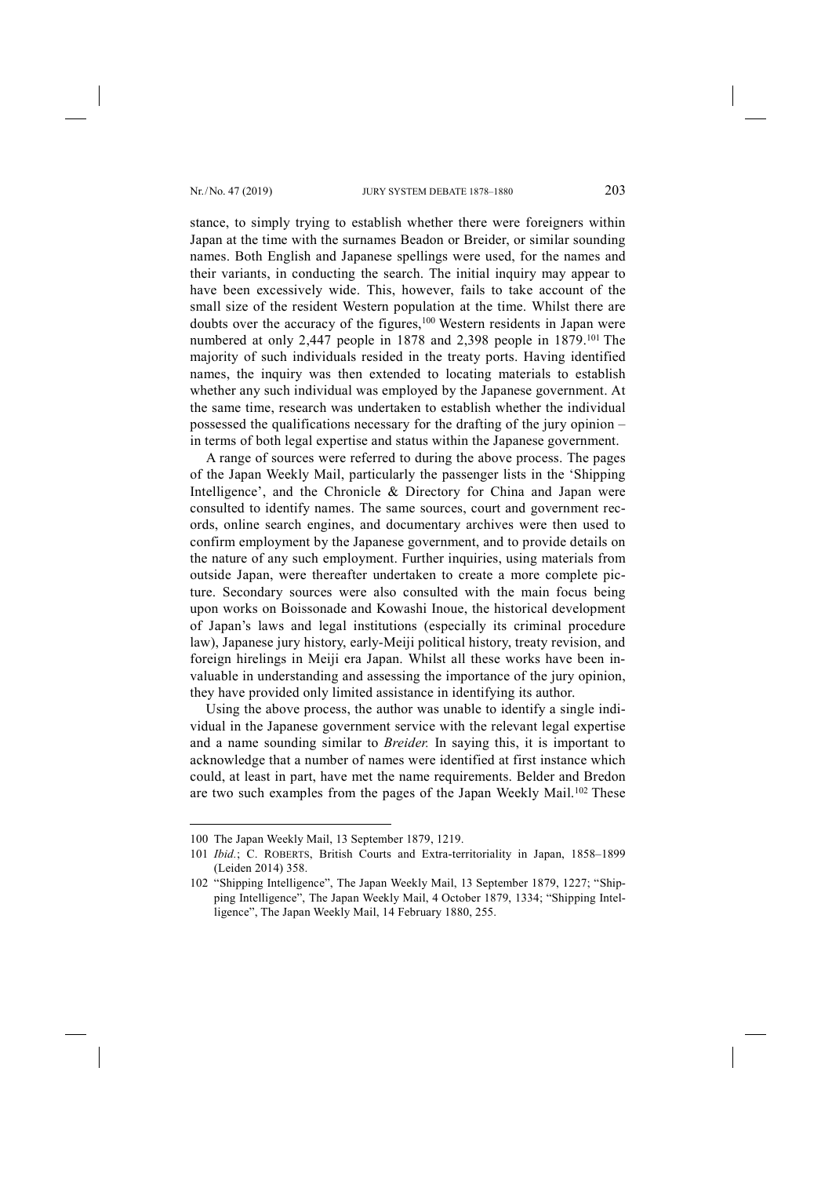stance, to simply trying to establish whether there were foreigners within Japan at the time with the surnames Beadon or Breider, or similar sounding names. Both English and Japanese spellings were used, for the names and their variants, in conducting the search. The initial inquiry may appear to have been excessively wide. This, however, fails to take account of the small size of the resident Western population at the time. Whilst there are doubts over the accuracy of the figures,<sup>100</sup> Western residents in Japan were numbered at only 2,447 people in 1878 and 2,398 people in 1879.<sup>101</sup> The majority of such individuals resided in the treaty ports. Having identified names, the inquiry was then extended to locating materials to establish whether any such individual was employed by the Japanese government. At the same time, research was undertaken to establish whether the individual possessed the qualifications necessary for the drafting of the jury opinion – in terms of both legal expertise and status within the Japanese government.

A range of sources were referred to during the above process. The pages of the Japan Weekly Mail, particularly the passenger lists in the 'Shipping Intelligence', and the Chronicle & Directory for China and Japan were consulted to identify names. The same sources, court and government records, online search engines, and documentary archives were then used to confirm employment by the Japanese government, and to provide details on the nature of any such employment. Further inquiries, using materials from outside Japan, were thereafter undertaken to create a more complete picture. Secondary sources were also consulted with the main focus being upon works on Boissonade and Kowashi Inoue, the historical development of Japan's laws and legal institutions (especially its criminal procedure law), Japanese jury history, early-Meiji political history, treaty revision, and foreign hirelings in Meiji era Japan. Whilst all these works have been invaluable in understanding and assessing the importance of the jury opinion, they have provided only limited assistance in identifying its author.

Using the above process, the author was unable to identify a single individual in the Japanese government service with the relevant legal expertise and a name sounding similar to *Breider.* In saying this, it is important to acknowledge that a number of names were identified at first instance which could, at least in part, have met the name requirements. Belder and Bredon are two such examples from the pages of the Japan Weekly Mail.<sup>102</sup> These

<sup>100</sup> The Japan Weekly Mail, 13 September 1879, 1219.

<sup>101</sup> *Ibid.*; C. ROBERTS, British Courts and Extra-territoriality in Japan, 1858–1899 (Leiden 2014) 358.

<sup>102</sup> "Shipping Intelligence", The Japan Weekly Mail, 13 September 1879, 1227; "Shipping Intelligence", The Japan Weekly Mail, 4 October 1879, 1334; "Shipping Intelligence", The Japan Weekly Mail, 14 February 1880, 255.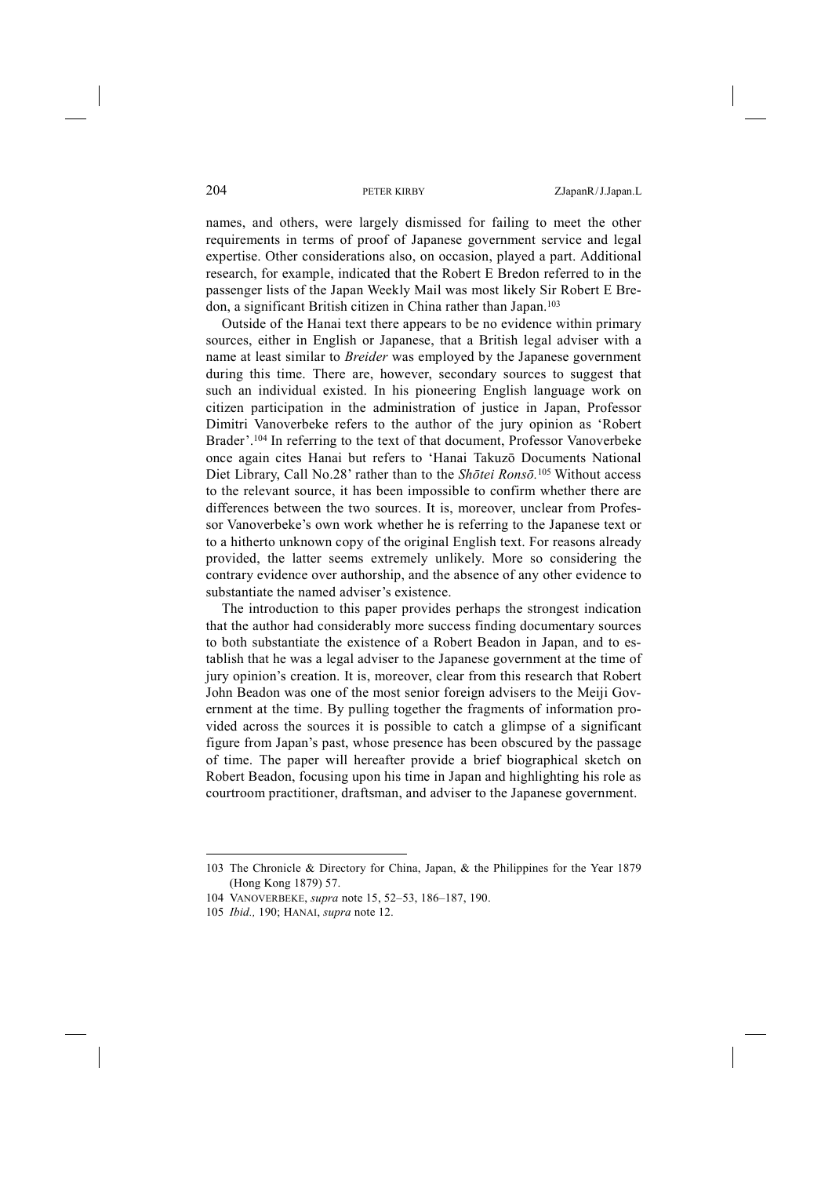names, and others, were largely dismissed for failing to meet the other requirements in terms of proof of Japanese government service and legal expertise. Other considerations also, on occasion, played a part. Additional research, for example, indicated that the Robert E Bredon referred to in the passenger lists of the Japan Weekly Mail was most likely Sir Robert E Bredon, a significant British citizen in China rather than Japan.103

Outside of the Hanai text there appears to be no evidence within primary sources, either in English or Japanese, that a British legal adviser with a name at least similar to *Breider* was employed by the Japanese government during this time. There are, however, secondary sources to suggest that such an individual existed. In his pioneering English language work on citizen participation in the administration of justice in Japan, Professor Dimitri Vanoverbeke refers to the author of the jury opinion as 'Robert Brader'.104 In referring to the text of that document, Professor Vanoverbeke once again cites Hanai but refers to 'Hanai Takuzō Documents National Diet Library, Call No.28' rather than to the *Shōtei Ronsō.* <sup>105</sup> Without access to the relevant source, it has been impossible to confirm whether there are differences between the two sources. It is, moreover, unclear from Professor Vanoverbeke's own work whether he is referring to the Japanese text or to a hitherto unknown copy of the original English text. For reasons already provided, the latter seems extremely unlikely. More so considering the contrary evidence over authorship, and the absence of any other evidence to substantiate the named adviser's existence.

The introduction to this paper provides perhaps the strongest indication that the author had considerably more success finding documentary sources to both substantiate the existence of a Robert Beadon in Japan, and to establish that he was a legal adviser to the Japanese government at the time of jury opinion's creation. It is, moreover, clear from this research that Robert John Beadon was one of the most senior foreign advisers to the Meiji Government at the time. By pulling together the fragments of information provided across the sources it is possible to catch a glimpse of a significant figure from Japan's past, whose presence has been obscured by the passage of time. The paper will hereafter provide a brief biographical sketch on Robert Beadon, focusing upon his time in Japan and highlighting his role as courtroom practitioner, draftsman, and adviser to the Japanese government.

<sup>103</sup> The Chronicle & Directory for China, Japan, & the Philippines for the Year 1879 (Hong Kong 1879) 57.

<sup>104</sup> VANOVERBEKE, *supra* note 15, 52–53, 186–187, 190.

<sup>105</sup> *Ibid.,* 190; HANAI, *supra* note 12.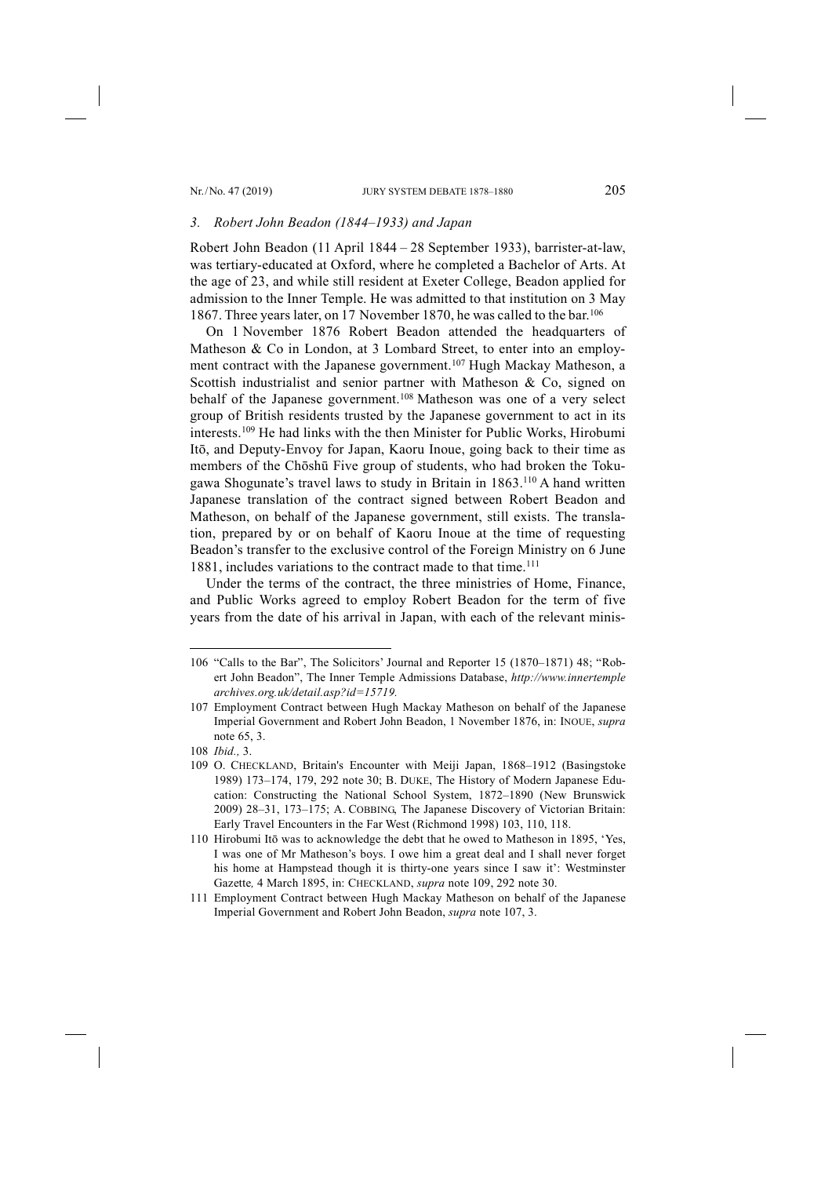## *3. Robert John Beadon (1844–1933) and Japan*

Robert John Beadon (11 April 1844 – 28 September 1933), barrister-at-law, was tertiary-educated at Oxford, where he completed a Bachelor of Arts. At the age of 23, and while still resident at Exeter College, Beadon applied for admission to the Inner Temple. He was admitted to that institution on 3 May 1867. Three years later, on 17 November 1870, he was called to the bar.106

On 1 November 1876 Robert Beadon attended the headquarters of Matheson & Co in London, at 3 Lombard Street, to enter into an employment contract with the Japanese government.<sup>107</sup> Hugh Mackay Matheson, a Scottish industrialist and senior partner with Matheson & Co, signed on behalf of the Japanese government.108 Matheson was one of a very select group of British residents trusted by the Japanese government to act in its interests.109 He had links with the then Minister for Public Works, Hirobumi Itō, and Deputy-Envoy for Japan, Kaoru Inoue, going back to their time as members of the Chōshū Five group of students, who had broken the Tokugawa Shogunate's travel laws to study in Britain in 1863.110 A hand written Japanese translation of the contract signed between Robert Beadon and Matheson, on behalf of the Japanese government, still exists. The translation, prepared by or on behalf of Kaoru Inoue at the time of requesting Beadon's transfer to the exclusive control of the Foreign Ministry on 6 June 1881, includes variations to the contract made to that time.<sup>111</sup>

Under the terms of the contract, the three ministries of Home, Finance, and Public Works agreed to employ Robert Beadon for the term of five years from the date of his arrival in Japan, with each of the relevant minis-

<sup>106</sup> "Calls to the Bar", The Solicitors' Journal and Reporter 15 (1870–1871) 48; "Robert John Beadon", The Inner Temple Admissions Database, *http://www.innertemple archives.org.uk/detail.asp?id=15719.*

<sup>107</sup> Employment Contract between Hugh Mackay Matheson on behalf of the Japanese Imperial Government and Robert John Beadon, 1 November 1876, in: INOUE, *supra*  note 65, 3.

<sup>108</sup> *Ibid.,* 3.

<sup>109</sup> O. CHECKLAND, Britain's Encounter with Meiji Japan, 1868–1912 (Basingstoke 1989) 173–174, 179, 292 note 30; B. DUKE, The History of Modern Japanese Education: Constructing the National School System, 1872–1890 (New Brunswick 2009) 28–31, 173–175; A. COBBING, The Japanese Discovery of Victorian Britain: Early Travel Encounters in the Far West (Richmond 1998) 103, 110, 118.

<sup>110</sup> Hirobumi Itō was to acknowledge the debt that he owed to Matheson in 1895, 'Yes, I was one of Mr Matheson's boys. I owe him a great deal and I shall never forget his home at Hampstead though it is thirty-one years since I saw it': Westminster Gazette*,* 4 March 1895, in: CHECKLAND, *supra* note 109, 292 note 30.

<sup>111</sup> Employment Contract between Hugh Mackay Matheson on behalf of the Japanese Imperial Government and Robert John Beadon, *supra* note 107, 3.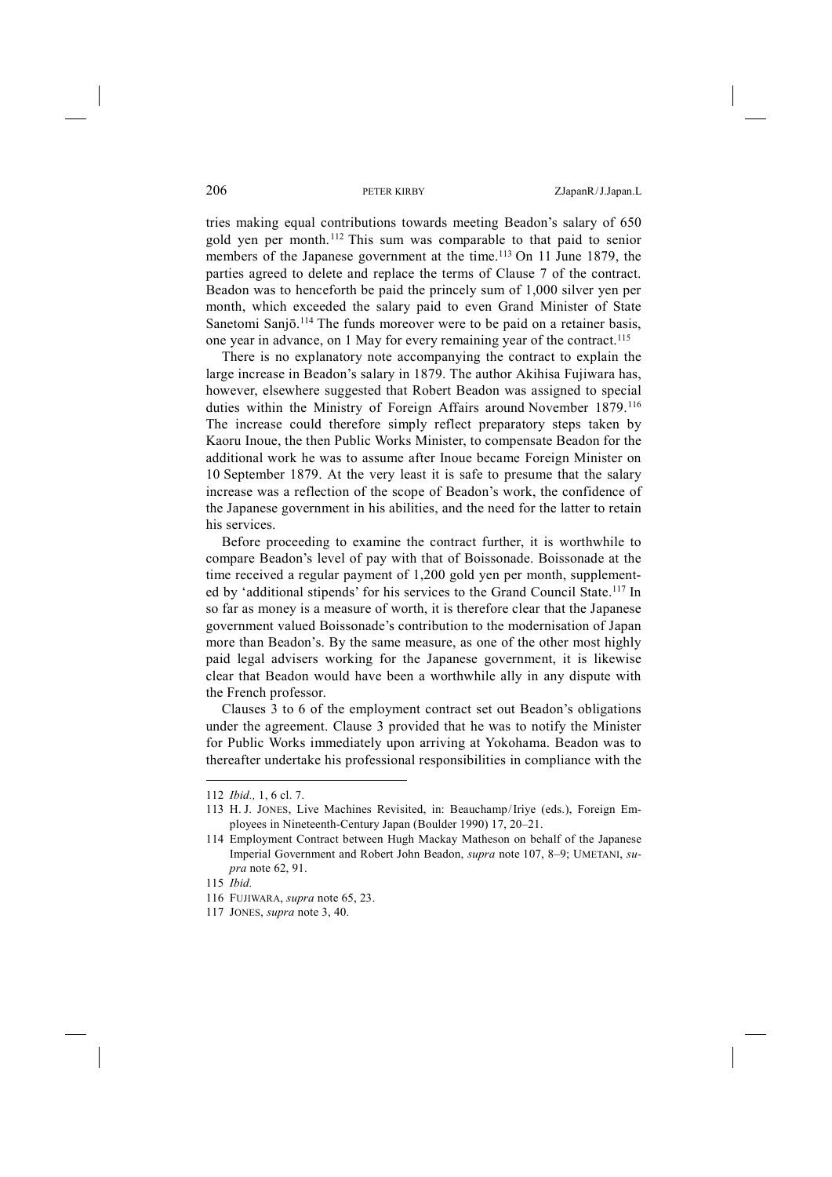tries making equal contributions towards meeting Beadon's salary of 650 gold yen per month.112 This sum was comparable to that paid to senior members of the Japanese government at the time.<sup>113</sup> On 11 June 1879, the parties agreed to delete and replace the terms of Clause 7 of the contract. Beadon was to henceforth be paid the princely sum of 1,000 silver yen per month, which exceeded the salary paid to even Grand Minister of State Sanetomi Sanjō.<sup>114</sup> The funds moreover were to be paid on a retainer basis, one year in advance, on 1 May for every remaining year of the contract.115

There is no explanatory note accompanying the contract to explain the large increase in Beadon's salary in 1879. The author Akihisa Fujiwara has, however, elsewhere suggested that Robert Beadon was assigned to special duties within the Ministry of Foreign Affairs around November 1879.116 The increase could therefore simply reflect preparatory steps taken by Kaoru Inoue, the then Public Works Minister, to compensate Beadon for the additional work he was to assume after Inoue became Foreign Minister on 10 September 1879. At the very least it is safe to presume that the salary increase was a reflection of the scope of Beadon's work, the confidence of the Japanese government in his abilities, and the need for the latter to retain his services.

Before proceeding to examine the contract further, it is worthwhile to compare Beadon's level of pay with that of Boissonade. Boissonade at the time received a regular payment of 1,200 gold yen per month, supplemented by 'additional stipends' for his services to the Grand Council State.117 In so far as money is a measure of worth, it is therefore clear that the Japanese government valued Boissonade's contribution to the modernisation of Japan more than Beadon's. By the same measure, as one of the other most highly paid legal advisers working for the Japanese government, it is likewise clear that Beadon would have been a worthwhile ally in any dispute with the French professor.

Clauses 3 to 6 of the employment contract set out Beadon's obligations under the agreement. Clause 3 provided that he was to notify the Minister for Public Works immediately upon arriving at Yokohama. Beadon was to thereafter undertake his professional responsibilities in compliance with the

<sup>112</sup> *Ibid.,* 1, 6 cl. 7.

<sup>113</sup> H. J. JONES, Live Machines Revisited, in: Beauchamp/Iriye (eds.), Foreign Employees in Nineteenth-Century Japan (Boulder 1990) 17, 20–21.

<sup>114</sup> Employment Contract between Hugh Mackay Matheson on behalf of the Japanese Imperial Government and Robert John Beadon, *supra* note 107, 8–9; UMETANI, *supra* note 62, 91.

<sup>115</sup> *Ibid.*

<sup>116</sup> FUJIWARA, *supra* note 65, 23.

<sup>117</sup> JONES, *supra* note 3, 40.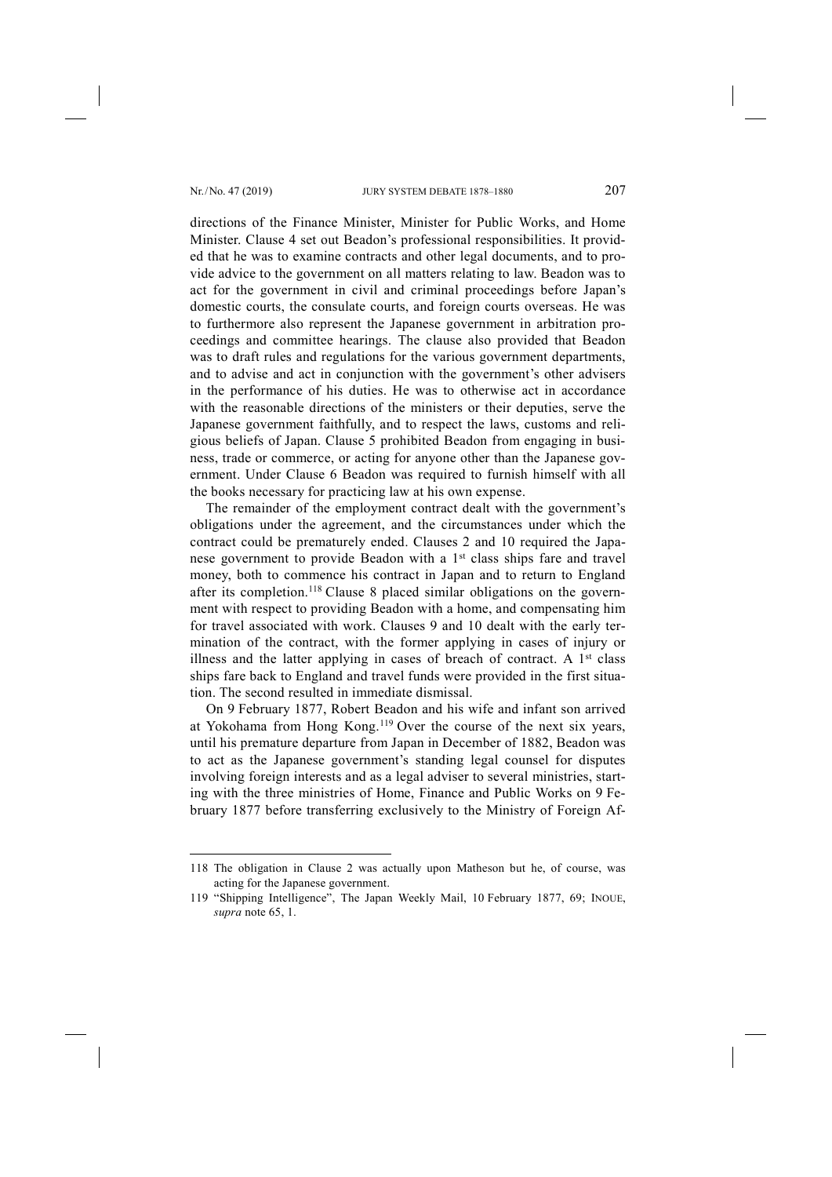-

directions of the Finance Minister, Minister for Public Works, and Home Minister. Clause 4 set out Beadon's professional responsibilities. It provided that he was to examine contracts and other legal documents, and to provide advice to the government on all matters relating to law. Beadon was to act for the government in civil and criminal proceedings before Japan's domestic courts, the consulate courts, and foreign courts overseas. He was to furthermore also represent the Japanese government in arbitration proceedings and committee hearings. The clause also provided that Beadon was to draft rules and regulations for the various government departments, and to advise and act in conjunction with the government's other advisers in the performance of his duties. He was to otherwise act in accordance with the reasonable directions of the ministers or their deputies, serve the Japanese government faithfully, and to respect the laws, customs and religious beliefs of Japan. Clause 5 prohibited Beadon from engaging in business, trade or commerce, or acting for anyone other than the Japanese government. Under Clause 6 Beadon was required to furnish himself with all the books necessary for practicing law at his own expense.

The remainder of the employment contract dealt with the government's obligations under the agreement, and the circumstances under which the contract could be prematurely ended. Clauses 2 and 10 required the Japanese government to provide Beadon with a 1<sup>st</sup> class ships fare and travel money, both to commence his contract in Japan and to return to England after its completion.118 Clause 8 placed similar obligations on the government with respect to providing Beadon with a home, and compensating him for travel associated with work. Clauses 9 and 10 dealt with the early termination of the contract, with the former applying in cases of injury or illness and the latter applying in cases of breach of contract. A  $1<sup>st</sup>$  class ships fare back to England and travel funds were provided in the first situation. The second resulted in immediate dismissal.

On 9 February 1877, Robert Beadon and his wife and infant son arrived at Yokohama from Hong Kong.119 Over the course of the next six years, until his premature departure from Japan in December of 1882, Beadon was to act as the Japanese government's standing legal counsel for disputes involving foreign interests and as a legal adviser to several ministries, starting with the three ministries of Home, Finance and Public Works on 9 February 1877 before transferring exclusively to the Ministry of Foreign Af-

<sup>118</sup> The obligation in Clause 2 was actually upon Matheson but he, of course, was acting for the Japanese government.

<sup>119</sup> "Shipping Intelligence", The Japan Weekly Mail, 10 February 1877, 69; INOUE, *supra* note 65, 1.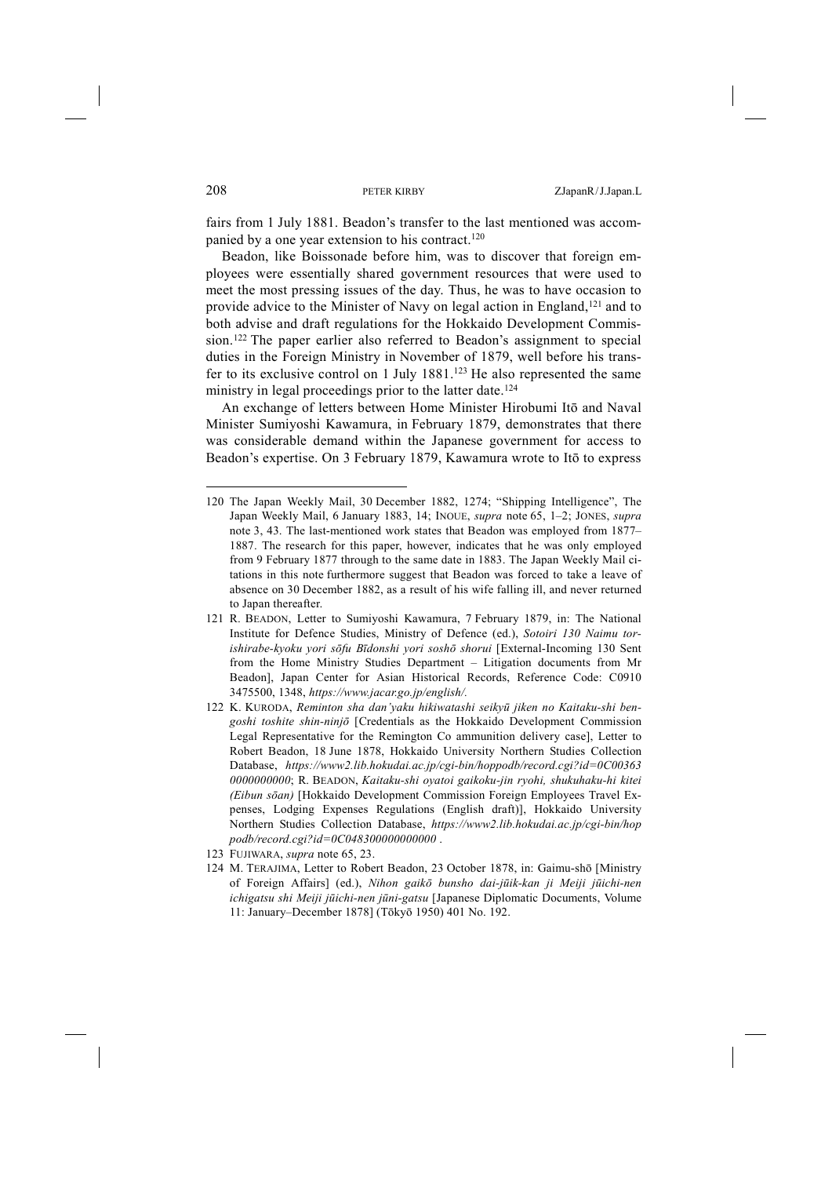fairs from 1 July 1881. Beadon's transfer to the last mentioned was accompanied by a one year extension to his contract.<sup>120</sup>

Beadon, like Boissonade before him, was to discover that foreign employees were essentially shared government resources that were used to meet the most pressing issues of the day. Thus, he was to have occasion to provide advice to the Minister of Navy on legal action in England,121 and to both advise and draft regulations for the Hokkaido Development Commission.122 The paper earlier also referred to Beadon's assignment to special duties in the Foreign Ministry in November of 1879, well before his transfer to its exclusive control on 1 July 1881.<sup>123</sup> He also represented the same ministry in legal proceedings prior to the latter date.<sup>124</sup>

An exchange of letters between Home Minister Hirobumi Itō and Naval Minister Sumiyoshi Kawamura, in February 1879, demonstrates that there was considerable demand within the Japanese government for access to Beadon's expertise. On 3 February 1879, Kawamura wrote to Itō to express

<sup>120</sup> The Japan Weekly Mail, 30 December 1882, 1274; "Shipping Intelligence", The Japan Weekly Mail, 6 January 1883, 14; INOUE, *supra* note 65, 1–2; JONES, *supra*  note 3, 43. The last-mentioned work states that Beadon was employed from 1877– 1887. The research for this paper, however, indicates that he was only employed from 9 February 1877 through to the same date in 1883. The Japan Weekly Mail citations in this note furthermore suggest that Beadon was forced to take a leave of absence on 30 December 1882, as a result of his wife falling ill, and never returned to Japan thereafter.

<sup>121</sup> R. BEADON, Letter to Sumiyoshi Kawamura, 7 February 1879, in: The National Institute for Defence Studies, Ministry of Defence (ed.), *Sotoiri 130 Naimu torishirabe-kyoku yori sōfu Bīdonshi yori soshō shorui* [External-Incoming 130 Sent from the Home Ministry Studies Department – Litigation documents from Mr Beadon], Japan Center for Asian Historical Records, Reference Code: C0910 3475500, 1348, *https://www.jacar.go.jp/english/.*

<sup>122</sup> K. KURODA, *Reminton sha dan'yaku hikiwatashi seikyū jiken no Kaitaku-shi bengoshi toshite shin-ninjō* [Credentials as the Hokkaido Development Commission Legal Representative for the Remington Co ammunition delivery case], Letter to Robert Beadon, 18 June 1878, Hokkaido University Northern Studies Collection Database, *https://www2.lib.hokudai.ac.jp/cgi-bin/hoppodb/record.cgi?id=0C00363 0000000000*; R. BEADON, *Kaitaku-shi oyatoi gaikoku-jin ryohi, shukuhaku-hi kitei (Eibun sōan)* [Hokkaido Development Commission Foreign Employees Travel Expenses, Lodging Expenses Regulations (English draft)], Hokkaido University Northern Studies Collection Database, *https://www2.lib.hokudai.ac.jp/cgi-bin/hop podb/record.cgi?id=0C048300000000000* .

<sup>123</sup> FUJIWARA, *supra* note 65, 23.

<sup>124</sup> M. TERAJIMA, Letter to Robert Beadon, 23 October 1878, in: Gaimu-shō [Ministry of Foreign Affairs] (ed.), *Nihon gaikō bunsho dai-jūik-kan ji Meiji jūichi-nen ichigatsu shi Meiji jūichi-nen jūni-gatsu* [Japanese Diplomatic Documents, Volume 11: January–December 1878] (Tōkyō 1950) 401 No. 192.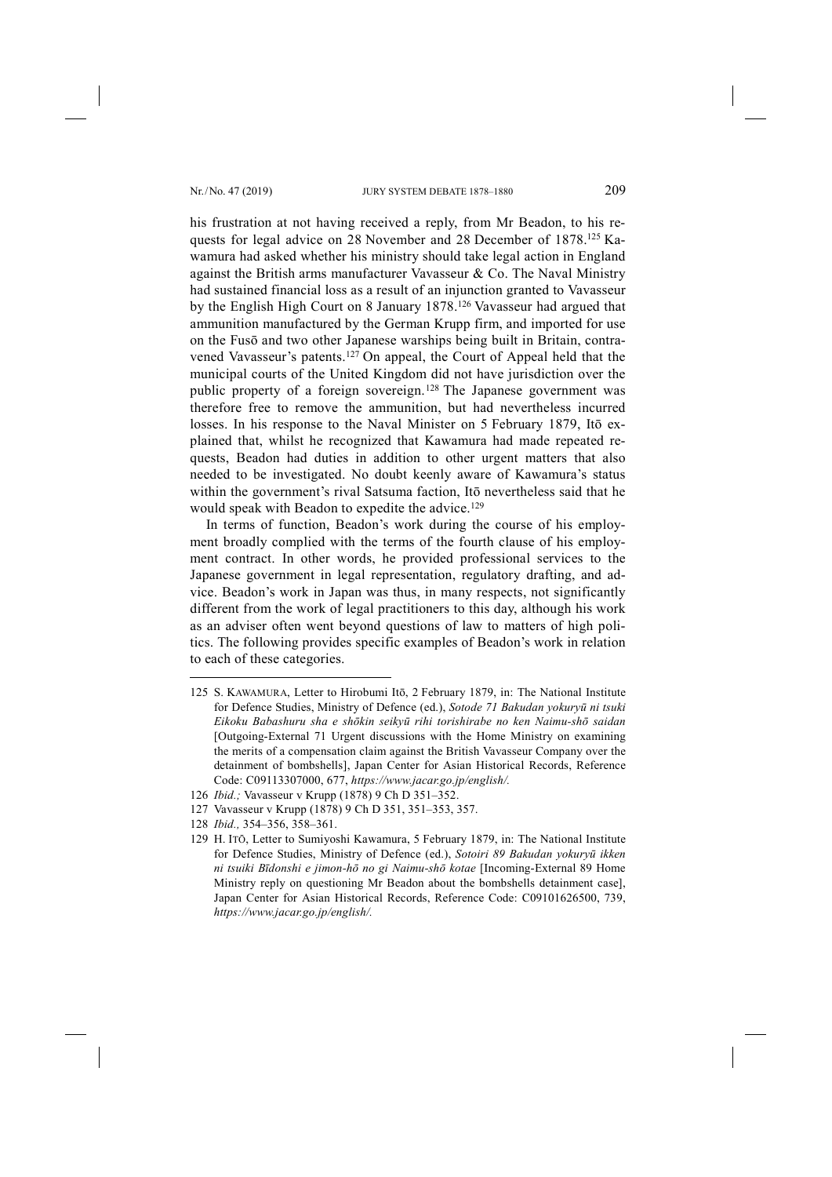his frustration at not having received a reply, from Mr Beadon, to his requests for legal advice on 28 November and 28 December of 1878.125 Kawamura had asked whether his ministry should take legal action in England against the British arms manufacturer Vavasseur  $\&$  Co. The Naval Ministry had sustained financial loss as a result of an injunction granted to Vavasseur by the English High Court on 8 January 1878.126 Vavasseur had argued that ammunition manufactured by the German Krupp firm, and imported for use on the Fusō and two other Japanese warships being built in Britain, contravened Vavasseur's patents.127 On appeal, the Court of Appeal held that the municipal courts of the United Kingdom did not have jurisdiction over the public property of a foreign sovereign.128 The Japanese government was therefore free to remove the ammunition, but had nevertheless incurred losses. In his response to the Naval Minister on 5 February 1879, Itō explained that, whilst he recognized that Kawamura had made repeated requests, Beadon had duties in addition to other urgent matters that also needed to be investigated. No doubt keenly aware of Kawamura's status within the government's rival Satsuma faction, Itō nevertheless said that he would speak with Beadon to expedite the advice.<sup>129</sup>

In terms of function, Beadon's work during the course of his employment broadly complied with the terms of the fourth clause of his employment contract. In other words, he provided professional services to the Japanese government in legal representation, regulatory drafting, and advice. Beadon's work in Japan was thus, in many respects, not significantly different from the work of legal practitioners to this day, although his work as an adviser often went beyond questions of law to matters of high politics. The following provides specific examples of Beadon's work in relation to each of these categories.

<sup>125</sup> S. KAWAMURA, Letter to Hirobumi Itō, 2 February 1879, in: The National Institute for Defence Studies, Ministry of Defence (ed.), *Sotode 71 Bakudan yokuryū ni tsuki Eikoku Babashuru sha e shōkin seikyū rihi torishirabe no ken Naimu-shō saidan* [Outgoing-External 71 Urgent discussions with the Home Ministry on examining the merits of a compensation claim against the British Vavasseur Company over the detainment of bombshells], Japan Center for Asian Historical Records, Reference Code: C09113307000, 677, *https://www.jacar.go.jp/english/.*

<sup>126</sup> *Ibid.;* Vavasseur v Krupp (1878) 9 Ch D 351–352.

<sup>127</sup> Vavasseur v Krupp (1878) 9 Ch D 351, 351–353, 357.

<sup>128</sup> *Ibid.,* 354–356, 358–361.

<sup>129</sup> H. ITŌ, Letter to Sumiyoshi Kawamura, 5 February 1879, in: The National Institute for Defence Studies, Ministry of Defence (ed.), *Sotoiri 89 Bakudan yokuryū ikken ni tsuiki Bīdonshi e jimon-hō no gi Naimu-shō kotae* [Incoming-External 89 Home Ministry reply on questioning Mr Beadon about the bombshells detainment case], Japan Center for Asian Historical Records, Reference Code: C09101626500, 739, *https://www.jacar.go.jp/english/.*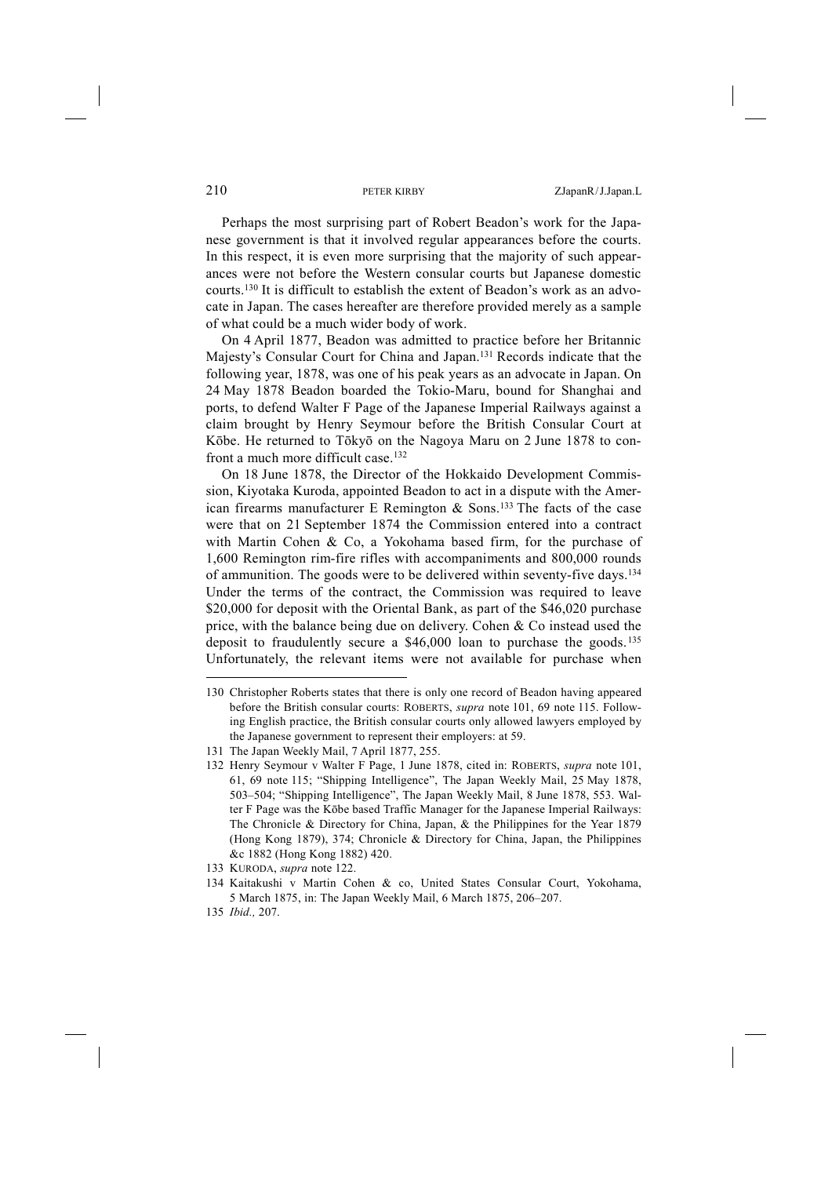Perhaps the most surprising part of Robert Beadon's work for the Japanese government is that it involved regular appearances before the courts. In this respect, it is even more surprising that the majority of such appearances were not before the Western consular courts but Japanese domestic courts.130 It is difficult to establish the extent of Beadon's work as an advocate in Japan. The cases hereafter are therefore provided merely as a sample of what could be a much wider body of work.

On 4 April 1877, Beadon was admitted to practice before her Britannic Majesty's Consular Court for China and Japan.131 Records indicate that the following year, 1878, was one of his peak years as an advocate in Japan. On 24 May 1878 Beadon boarded the Tokio-Maru, bound for Shanghai and ports, to defend Walter F Page of the Japanese Imperial Railways against a claim brought by Henry Seymour before the British Consular Court at Kōbe. He returned to Tōkyō on the Nagoya Maru on 2 June 1878 to confront a much more difficult case.132

On 18 June 1878, the Director of the Hokkaido Development Commission, Kiyotaka Kuroda, appointed Beadon to act in a dispute with the American firearms manufacturer E Remington  $\&$  Sons.<sup>133</sup> The facts of the case were that on 21 September 1874 the Commission entered into a contract with Martin Cohen & Co, a Yokohama based firm, for the purchase of 1,600 Remington rim-fire rifles with accompaniments and 800,000 rounds of ammunition. The goods were to be delivered within seventy-five days.134 Under the terms of the contract, the Commission was required to leave \$20,000 for deposit with the Oriental Bank, as part of the \$46,020 purchase price, with the balance being due on delivery. Cohen & Co instead used the deposit to fraudulently secure a \$46,000 loan to purchase the goods.135 Unfortunately, the relevant items were not available for purchase when

133 KURODA, *supra* note 122.

135 *Ibid.,* 207.

<sup>130</sup> Christopher Roberts states that there is only one record of Beadon having appeared before the British consular courts: ROBERTS, *supra* note 101, 69 note 115. Following English practice, the British consular courts only allowed lawyers employed by the Japanese government to represent their employers: at 59.

<sup>131</sup> The Japan Weekly Mail, 7 April 1877, 255.

<sup>132</sup> Henry Seymour v Walter F Page, 1 June 1878, cited in: ROBERTS, *supra* note 101, 61, 69 note 115; "Shipping Intelligence", The Japan Weekly Mail, 25 May 1878, 503–504; "Shipping Intelligence", The Japan Weekly Mail, 8 June 1878, 553. Walter F Page was the Kōbe based Traffic Manager for the Japanese Imperial Railways: The Chronicle & Directory for China, Japan, & the Philippines for the Year 1879 (Hong Kong 1879), 374; Chronicle & Directory for China, Japan, the Philippines &c 1882 (Hong Kong 1882) 420.

<sup>134</sup> Kaitakushi v Martin Cohen & co, United States Consular Court, Yokohama, 5 March 1875, in: The Japan Weekly Mail, 6 March 1875, 206–207.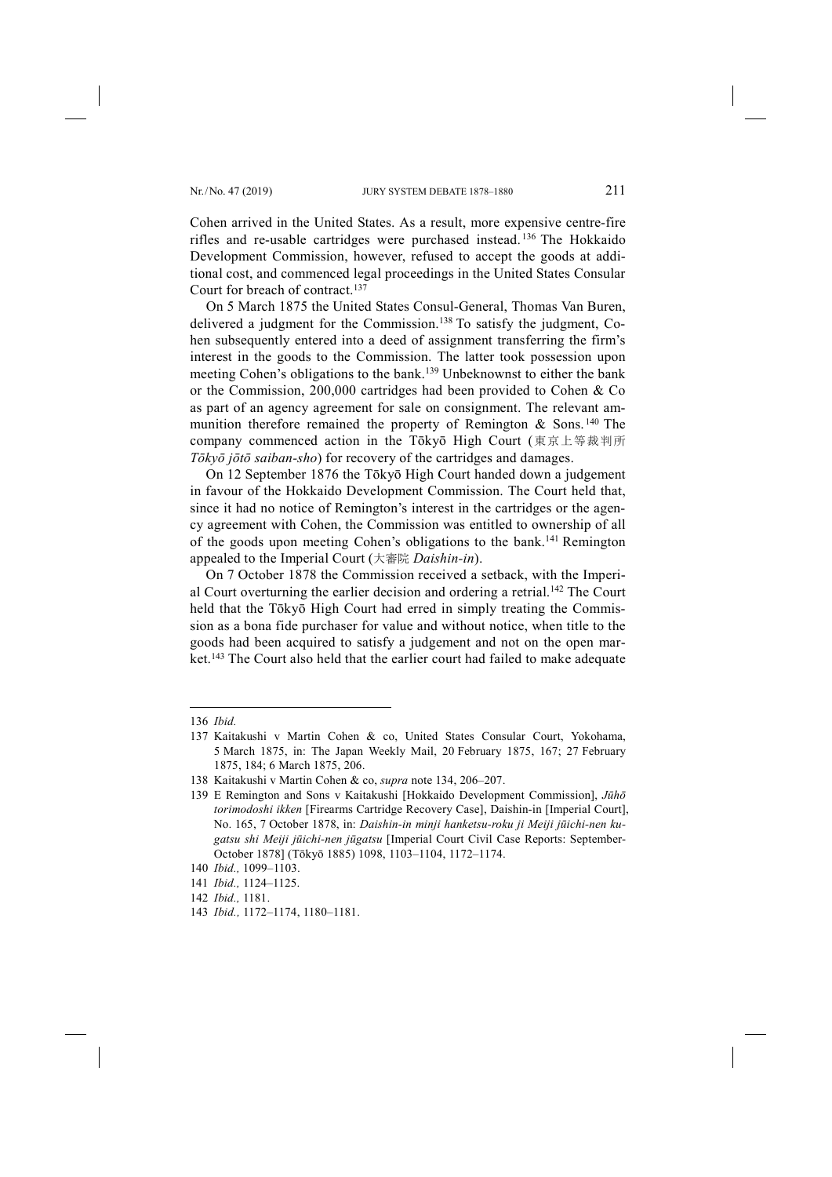Cohen arrived in the United States. As a result, more expensive centre-fire rifles and re-usable cartridges were purchased instead. <sup>136</sup> The Hokkaido Development Commission, however, refused to accept the goods at additional cost, and commenced legal proceedings in the United States Consular Court for breach of contract.137

On 5 March 1875 the United States Consul-General, Thomas Van Buren, delivered a judgment for the Commission.138 To satisfy the judgment, Cohen subsequently entered into a deed of assignment transferring the firm's interest in the goods to the Commission. The latter took possession upon meeting Cohen's obligations to the bank.<sup>139</sup> Unbeknownst to either the bank or the Commission, 200,000 cartridges had been provided to Cohen & Co as part of an agency agreement for sale on consignment. The relevant ammunition therefore remained the property of Remington  $\&$  Sons.<sup>140</sup> The company commenced action in the Tōkyō High Court (東京上等裁判所 *Tōkyō jōtō saiban-sho*) for recovery of the cartridges and damages.

On 12 September 1876 the Tōkyō High Court handed down a judgement in favour of the Hokkaido Development Commission. The Court held that, since it had no notice of Remington's interest in the cartridges or the agency agreement with Cohen, the Commission was entitled to ownership of all of the goods upon meeting Cohen's obligations to the bank.141 Remington appealed to the Imperial Court (大審院 *Daishin-in*).

On 7 October 1878 the Commission received a setback, with the Imperial Court overturning the earlier decision and ordering a retrial.142 The Court held that the Tōkyō High Court had erred in simply treating the Commission as a bona fide purchaser for value and without notice, when title to the goods had been acquired to satisfy a judgement and not on the open market.143 The Court also held that the earlier court had failed to make adequate

<sup>136</sup> *Ibid.*

<sup>137</sup> Kaitakushi v Martin Cohen & co, United States Consular Court, Yokohama, 5 March 1875, in: The Japan Weekly Mail, 20 February 1875, 167; 27 February 1875, 184; 6 March 1875, 206.

<sup>138</sup> Kaitakushi v Martin Cohen & co, *supra* note 134, 206–207.

<sup>139</sup> E Remington and Sons v Kaitakushi [Hokkaido Development Commission], *Jūhō torimodoshi ikken* [Firearms Cartridge Recovery Case], Daishin-in [Imperial Court], No. 165, 7 October 1878, in: *Daishin-in minji hanketsu-roku ji Meiji jūichi-nen kugatsu shi Meiji jūichi-nen jūgatsu* [Imperial Court Civil Case Reports: September-October 1878] (Tōkyō 1885) 1098, 1103–1104, 1172–1174.

<sup>140</sup> *Ibid.,* 1099–1103.

<sup>141</sup> *Ibid.,* 1124–1125.

<sup>142</sup> *Ibid.,* 1181.

<sup>143</sup> *Ibid.,* 1172–1174, 1180–1181.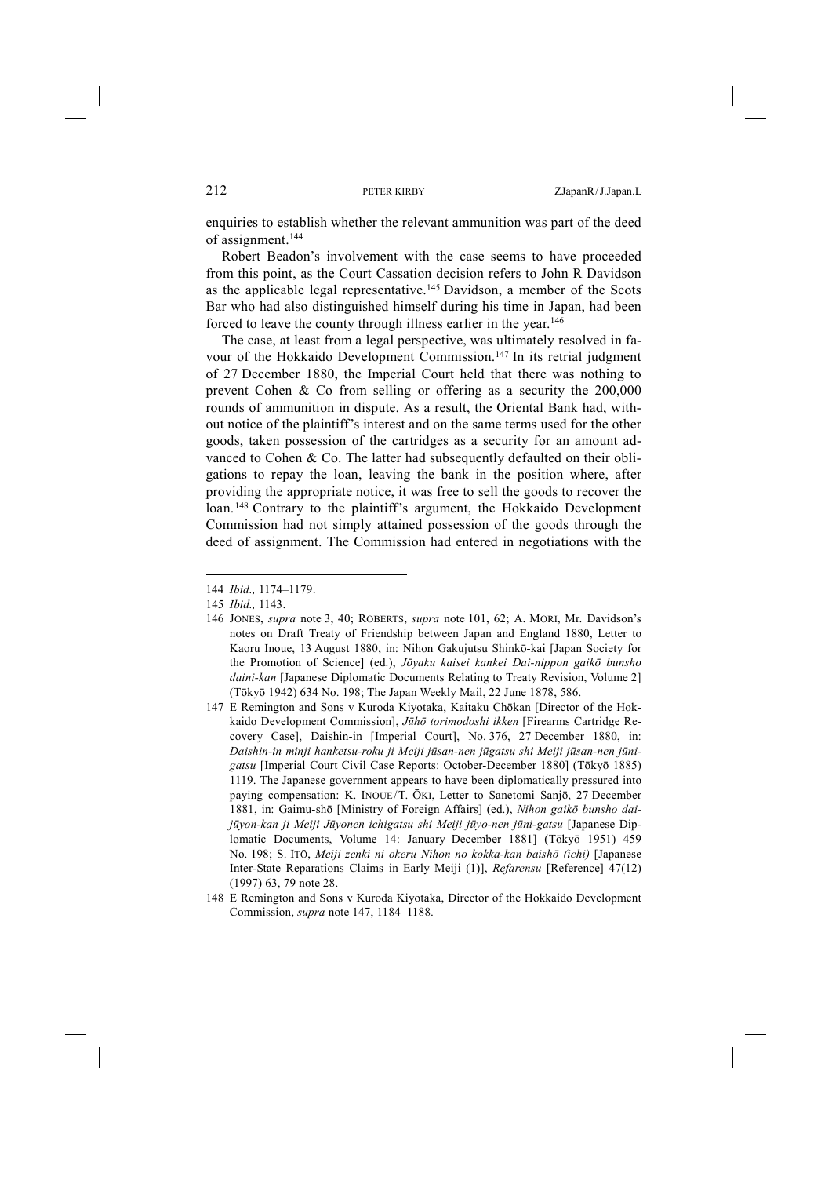enquiries to establish whether the relevant ammunition was part of the deed of assignment.<sup>144</sup>

Robert Beadon's involvement with the case seems to have proceeded from this point, as the Court Cassation decision refers to John R Davidson as the applicable legal representative.145 Davidson, a member of the Scots Bar who had also distinguished himself during his time in Japan, had been forced to leave the county through illness earlier in the year.146

The case, at least from a legal perspective, was ultimately resolved in favour of the Hokkaido Development Commission.147 In its retrial judgment of 27 December 1880, the Imperial Court held that there was nothing to prevent Cohen & Co from selling or offering as a security the 200,000 rounds of ammunition in dispute. As a result, the Oriental Bank had, without notice of the plaintiff's interest and on the same terms used for the other goods, taken possession of the cartridges as a security for an amount advanced to Cohen & Co. The latter had subsequently defaulted on their obligations to repay the loan, leaving the bank in the position where, after providing the appropriate notice, it was free to sell the goods to recover the loan.148 Contrary to the plaintiff's argument, the Hokkaido Development Commission had not simply attained possession of the goods through the deed of assignment. The Commission had entered in negotiations with the

- 146 JONES, *supra* note 3, 40; ROBERTS, *supra* note 101, 62; A. MORI, Mr. Davidson's notes on Draft Treaty of Friendship between Japan and England 1880, Letter to Kaoru Inoue, 13 August 1880, in: Nihon Gakujutsu Shinkō-kai [Japan Society for the Promotion of Science] (ed.), *Jōyaku kaisei kankei Dai-nippon gaikō bunsho daini-kan* [Japanese Diplomatic Documents Relating to Treaty Revision, Volume 2] (Tōkyō 1942) 634 No. 198; The Japan Weekly Mail, 22 June 1878, 586.
- 147 E Remington and Sons v Kuroda Kiyotaka, Kaitaku Chōkan [Director of the Hokkaido Development Commission], *Jūhō torimodoshi ikken* [Firearms Cartridge Recovery Case], Daishin-in [Imperial Court], No. 376, 27 December 1880, in: *Daishin-in minji hanketsu-roku ji Meiji jūsan-nen jūgatsu shi Meiji jūsan-nen jūnigatsu* [Imperial Court Civil Case Reports: October-December 1880] (Tōkyō 1885) 1119. The Japanese government appears to have been diplomatically pressured into paying compensation: K. INOUE/T. ŌKI, Letter to Sanetomi Sanjō, 27 December 1881, in: Gaimu-shō [Ministry of Foreign Affairs] (ed.), *Nihon gaikō bunsho daijūyon-kan ji Meiji Jūyonen ichigatsu shi Meiji jūyo-nen jūni-gatsu* [Japanese Diplomatic Documents, Volume 14: January–December 1881] (Tōkyō 1951) 459 No. 198; S. ITŌ, *Meiji zenki ni okeru Nihon no kokka-kan baishō (ichi)* [Japanese Inter-State Reparations Claims in Early Meiji (1)], *Refarensu* [Reference] 47(12) (1997) 63, 79 note 28.
- 148 E Remington and Sons v Kuroda Kiyotaka, Director of the Hokkaido Development Commission, *supra* note 147, 1184–1188.

<sup>144</sup> *Ibid.,* 1174–1179.

<sup>145</sup> *Ibid.,* 1143.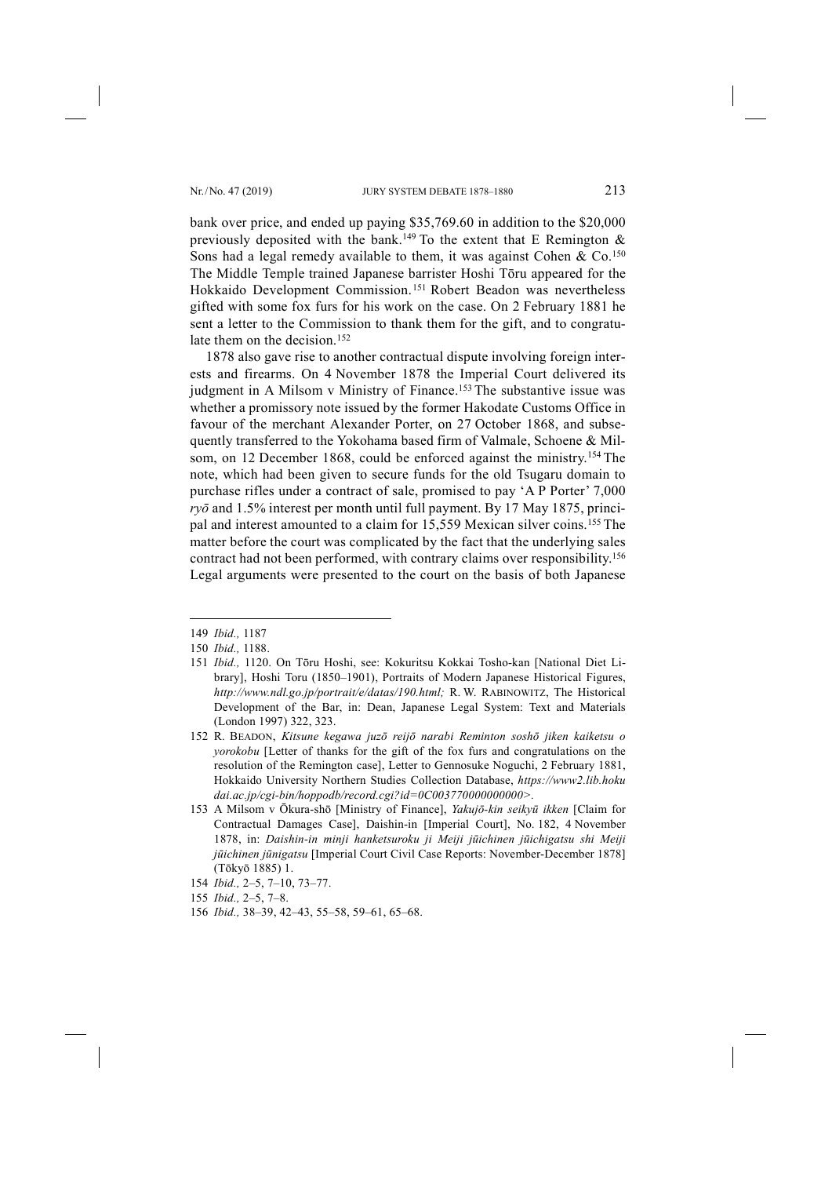bank over price, and ended up paying \$35,769.60 in addition to the \$20,000 previously deposited with the bank.<sup>149</sup> To the extent that E Remington  $\&$ Sons had a legal remedy available to them, it was against Cohen  $& Co.150$ The Middle Temple trained Japanese barrister Hoshi Tōru appeared for the Hokkaido Development Commission.151 Robert Beadon was nevertheless gifted with some fox furs for his work on the case. On 2 February 1881 he sent a letter to the Commission to thank them for the gift, and to congratulate them on the decision.<sup>152</sup>

1878 also gave rise to another contractual dispute involving foreign interests and firearms. On 4 November 1878 the Imperial Court delivered its judgment in A Milsom v Ministry of Finance.<sup>153</sup> The substantive issue was whether a promissory note issued by the former Hakodate Customs Office in favour of the merchant Alexander Porter, on 27 October 1868, and subsequently transferred to the Yokohama based firm of Valmale, Schoene & Milsom, on 12 December 1868, could be enforced against the ministry.<sup>154</sup> The note, which had been given to secure funds for the old Tsugaru domain to purchase rifles under a contract of sale, promised to pay 'A P Porter' 7,000 *ryō* and 1.5% interest per month until full payment. By 17 May 1875, principal and interest amounted to a claim for 15,559 Mexican silver coins.<sup>155</sup> The matter before the court was complicated by the fact that the underlying sales contract had not been performed, with contrary claims over responsibility.156 Legal arguments were presented to the court on the basis of both Japanese

<sup>149</sup> *Ibid.,* 1187

<sup>150</sup> *Ibid.,* 1188.

<sup>151</sup> *Ibid.,* 1120. On Tōru Hoshi, see: Kokuritsu Kokkai Tosho-kan [National Diet Library], Hoshi Toru (1850–1901), Portraits of Modern Japanese Historical Figures, *http://www.ndl.go.jp/portrait/e/datas/190.html;* R. W. RABINOWITZ, The Historical Development of the Bar, in: Dean, Japanese Legal System: Text and Materials (London 1997) 322, 323.

<sup>152</sup> R. BEADON, *Kitsune kegawa juzō reijō narabi Reminton soshō jiken kaiketsu o yorokobu* [Letter of thanks for the gift of the fox furs and congratulations on the resolution of the Remington case], Letter to Gennosuke Noguchi, 2 February 1881, Hokkaido University Northern Studies Collection Database, *https://www2.lib.hoku dai.ac.jp/cgi-bin/hoppodb/record.cgi?id=0C003770000000000>.*

<sup>153</sup> A Milsom v Ōkura-shō [Ministry of Finance], *Yakujō-kin seikyū ikken* [Claim for Contractual Damages Case], Daishin-in [Imperial Court], No. 182, 4 November 1878, in: *Daishin-in minji hanketsuroku ji Meiji jūichinen jūichigatsu shi Meiji jūichinen jūnigatsu* [Imperial Court Civil Case Reports: November-December 1878] (Tōkyō 1885) 1.

<sup>154</sup> *Ibid.,* 2–5, 7–10, 73–77.

<sup>155</sup> *Ibid.,* 2–5, 7–8.

<sup>156</sup> *Ibid.,* 38–39, 42–43, 55–58, 59–61, 65–68.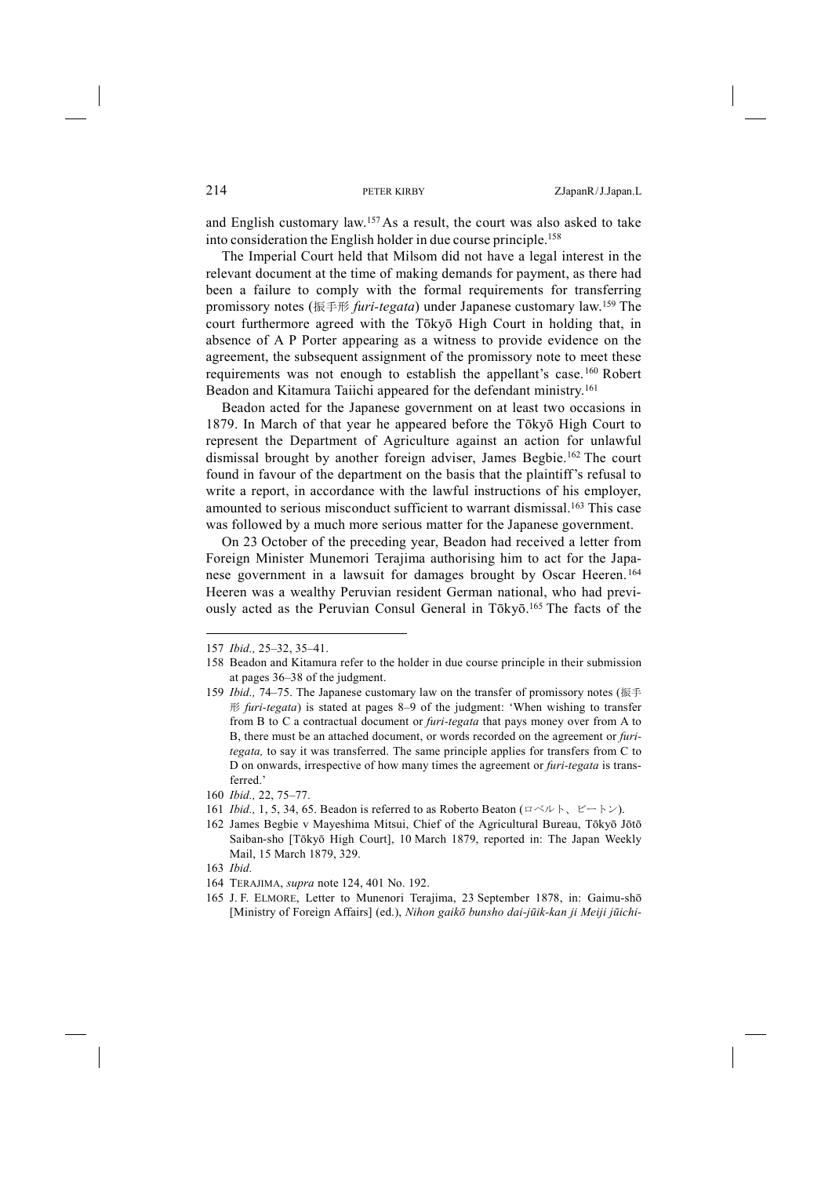and English customary law.157 As a result, the court was also asked to take into consideration the English holder in due course principle.158

The Imperial Court held that Milsom did not have a legal interest in the relevant document at the time of making demands for payment, as there had been a failure to comply with the formal requirements for transferring promissory notes (振手形 *furi-tegata*) under Japanese customary law.159 The court furthermore agreed with the Tōkyō High Court in holding that, in absence of A P Porter appearing as a witness to provide evidence on the agreement, the subsequent assignment of the promissory note to meet these requirements was not enough to establish the appellant's case.160 Robert Beadon and Kitamura Taiichi appeared for the defendant ministry.161

Beadon acted for the Japanese government on at least two occasions in 1879. In March of that year he appeared before the Tōkyō High Court to represent the Department of Agriculture against an action for unlawful dismissal brought by another foreign adviser, James Begbie.162 The court found in favour of the department on the basis that the plaintiff's refusal to write a report, in accordance with the lawful instructions of his employer, amounted to serious misconduct sufficient to warrant dismissal.163 This case was followed by a much more serious matter for the Japanese government.

On 23 October of the preceding year, Beadon had received a letter from Foreign Minister Munemori Terajima authorising him to act for the Japanese government in a lawsuit for damages brought by Oscar Heeren.164 Heeren was a wealthy Peruvian resident German national, who had previously acted as the Peruvian Consul General in Tōkyō.<sup>165</sup> The facts of the

- 161 *Ibid.,* 1, 5, 34, 65. Beadon is referred to as Roberto Beaton (ロベルト、ビートン).
- 162 James Begbie v Mayeshima Mitsui, Chief of the Agricultural Bureau, Tōkyō Jōtō Saiban-sho [Tōkyō High Court], 10 March 1879, reported in: The Japan Weekly Mail, 15 March 1879, 329.

<sup>157</sup> *Ibid.,* 25–32, 35–41.

<sup>158</sup> Beadon and Kitamura refer to the holder in due course principle in their submission at pages 36–38 of the judgment.

<sup>159</sup> *Ibid.,* 74–75. The Japanese customary law on the transfer of promissory notes (振手 形 *furi-tegata*) is stated at pages 8–9 of the judgment: 'When wishing to transfer from B to C a contractual document or *furi-tegata* that pays money over from A to B, there must be an attached document, or words recorded on the agreement or *furitegata,* to say it was transferred. The same principle applies for transfers from C to D on onwards, irrespective of how many times the agreement or *furi-tegata* is transferred.'

<sup>160</sup> *Ibid.,* 22, 75–77.

<sup>163</sup> *Ibid.*

<sup>164</sup> TERAJIMA, *supra* note 124, 401 No. 192.

<sup>165</sup> J. F. ELMORE, Letter to Munenori Terajima, 23 September 1878, in: Gaimu-shō [Ministry of Foreign Affairs] (ed.), *Nihon gaikō bunsho dai-jūik-kan ji Meiji jūichi-*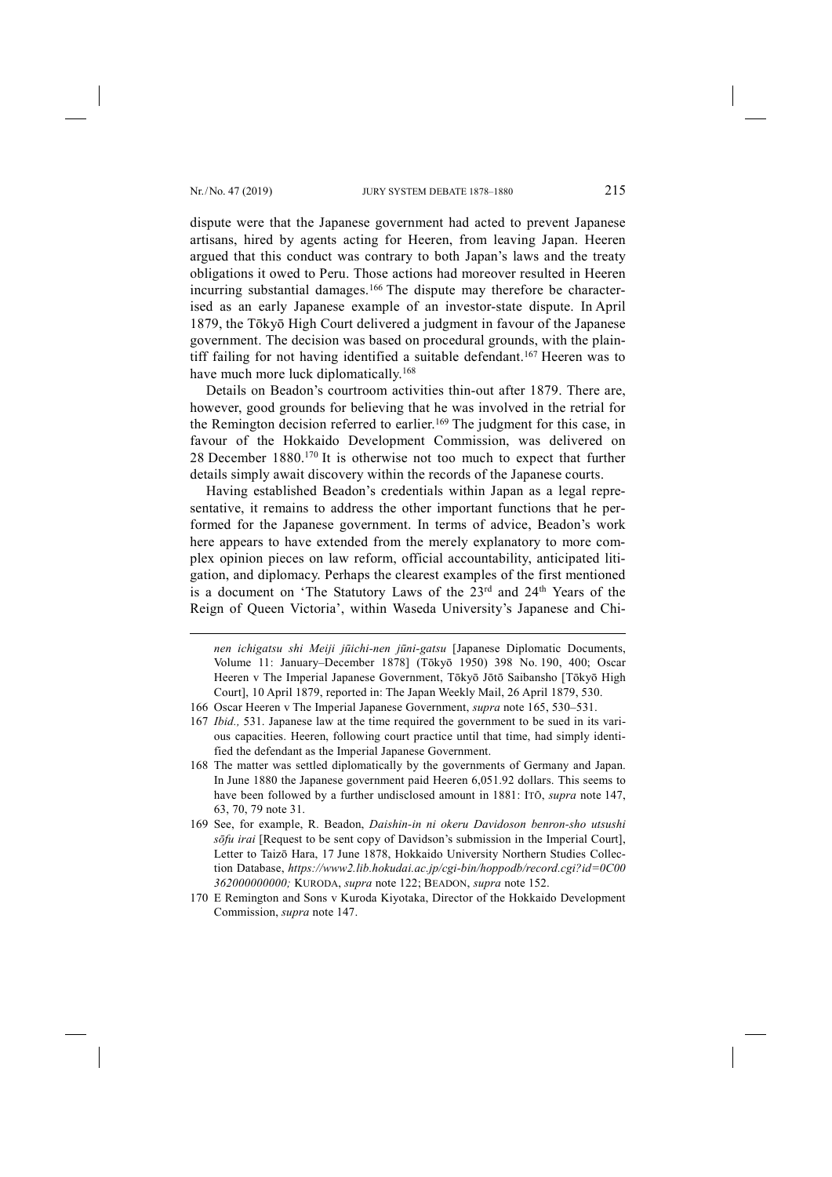-

dispute were that the Japanese government had acted to prevent Japanese artisans, hired by agents acting for Heeren, from leaving Japan. Heeren argued that this conduct was contrary to both Japan's laws and the treaty obligations it owed to Peru. Those actions had moreover resulted in Heeren incurring substantial damages.<sup>166</sup> The dispute may therefore be characterised as an early Japanese example of an investor-state dispute. In April 1879, the Tōkyō High Court delivered a judgment in favour of the Japanese government. The decision was based on procedural grounds, with the plaintiff failing for not having identified a suitable defendant.167 Heeren was to have much more luck diplomatically.<sup>168</sup>

Details on Beadon's courtroom activities thin-out after 1879. There are, however, good grounds for believing that he was involved in the retrial for the Remington decision referred to earlier.169 The judgment for this case, in favour of the Hokkaido Development Commission, was delivered on 28 December 1880.170 It is otherwise not too much to expect that further details simply await discovery within the records of the Japanese courts.

Having established Beadon's credentials within Japan as a legal representative, it remains to address the other important functions that he performed for the Japanese government. In terms of advice, Beadon's work here appears to have extended from the merely explanatory to more complex opinion pieces on law reform, official accountability, anticipated litigation, and diplomacy. Perhaps the clearest examples of the first mentioned is a document on 'The Statutory Laws of the 23rd and 24th Years of the Reign of Queen Victoria', within Waseda University's Japanese and Chi-

*nen ichigatsu shi Meiji jūichi-nen jūni-gatsu* [Japanese Diplomatic Documents, Volume 11: January–December 1878] (Tōkyō 1950) 398 No. 190, 400; Oscar Heeren v The Imperial Japanese Government, Tōkyō Jōtō Saibansho [Tōkyō High Court], 10 April 1879, reported in: The Japan Weekly Mail, 26 April 1879, 530.

- 166 Oscar Heeren v The Imperial Japanese Government, *supra* note 165, 530–531.
- 167 *Ibid.,* 531. Japanese law at the time required the government to be sued in its various capacities. Heeren, following court practice until that time, had simply identified the defendant as the Imperial Japanese Government.
- 168 The matter was settled diplomatically by the governments of Germany and Japan. In June 1880 the Japanese government paid Heeren 6,051.92 dollars. This seems to have been followed by a further undisclosed amount in 1881: ITŌ, *supra* note 147, 63, 70, 79 note 31.
- 169 See, for example, R. Beadon, *Daishin-in ni okeru Davidoson benron-sho utsushi sōfu irai* [Request to be sent copy of Davidson's submission in the Imperial Court], Letter to Taizō Hara, 17 June 1878, Hokkaido University Northern Studies Collection Database, *https://www2.lib.hokudai.ac.jp/cgi-bin/hoppodb/record.cgi?id=0C00 362000000000;* KURODA, *supra* note 122; BEADON, *supra* note 152.
- 170 E Remington and Sons v Kuroda Kiyotaka, Director of the Hokkaido Development Commission, *supra* note 147.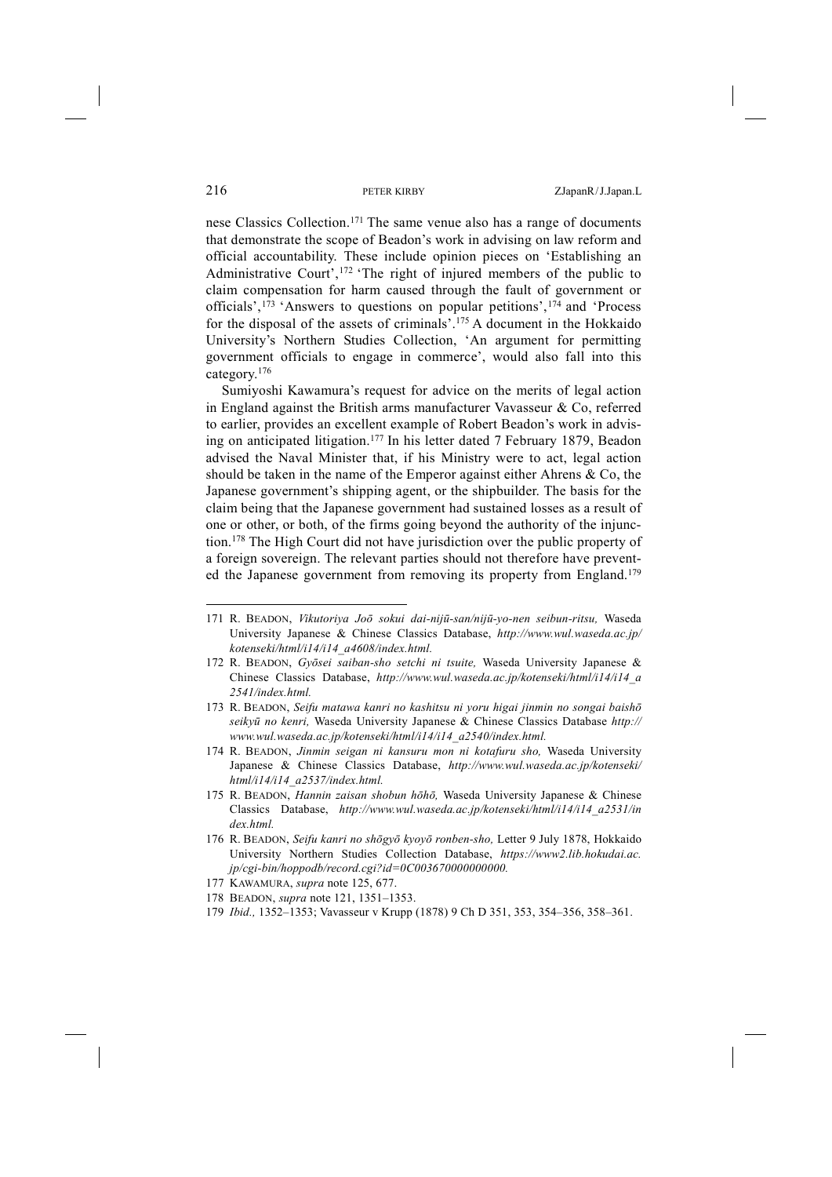nese Classics Collection.171 The same venue also has a range of documents that demonstrate the scope of Beadon's work in advising on law reform and official accountability. These include opinion pieces on 'Establishing an Administrative Court',<sup>172</sup> 'The right of injured members of the public to claim compensation for harm caused through the fault of government or officials',173 'Answers to questions on popular petitions',174 and 'Process for the disposal of the assets of criminals'.175 A document in the Hokkaido University's Northern Studies Collection, 'An argument for permitting government officials to engage in commerce', would also fall into this category.176

Sumiyoshi Kawamura's request for advice on the merits of legal action in England against the British arms manufacturer Vavasseur & Co, referred to earlier, provides an excellent example of Robert Beadon's work in advising on anticipated litigation.177 In his letter dated 7 February 1879, Beadon advised the Naval Minister that, if his Ministry were to act, legal action should be taken in the name of the Emperor against either Ahrens & Co, the Japanese government's shipping agent, or the shipbuilder. The basis for the claim being that the Japanese government had sustained losses as a result of one or other, or both, of the firms going beyond the authority of the injunction.178 The High Court did not have jurisdiction over the public property of a foreign sovereign. The relevant parties should not therefore have prevented the Japanese government from removing its property from England.<sup>179</sup>

177 KAWAMURA, *supra* note 125, 677.

179 *Ibid.,* 1352–1353; Vavasseur v Krupp (1878) 9 Ch D 351, 353, 354–356, 358–361.

<sup>171</sup> R. BEADON, *Vikutoriya Joō sokui dai-nijū-san/nijū-yo-nen seibun-ritsu,* Waseda University Japanese & Chinese Classics Database, *http://www.wul.waseda.ac.jp/ kotenseki/html/i14/i14\_a4608/index.html.*

<sup>172</sup> R. BEADON, *Gyōsei saiban-sho setchi ni tsuite,* Waseda University Japanese & Chinese Classics Database, *http://www.wul.waseda.ac.jp/kotenseki/html/i14/i14\_a 2541/index.html.*

<sup>173</sup> R. BEADON, *Seifu matawa kanri no kashitsu ni yoru higai jinmin no songai baishō seikyū no kenri,* Waseda University Japanese & Chinese Classics Database *http:// www.wul.waseda.ac.jp/kotenseki/html/i14/i14\_a2540/index.html.*

<sup>174</sup> R. BEADON, *Jinmin seigan ni kansuru mon ni kotafuru sho,* Waseda University Japanese & Chinese Classics Database, *http://www.wul.waseda.ac.jp/kotenseki/ html/i14/i14\_a2537/index.html.*

<sup>175</sup> R. BEADON, *Hannin zaisan shobun hōhō,* Waseda University Japanese & Chinese Classics Database, *http://www.wul.waseda.ac.jp/kotenseki/html/i14/i14\_a2531/in dex.html.* 

<sup>176</sup> R. BEADON, *Seifu kanri no shōgyō kyoyō ronben-sho,* Letter 9 July 1878, Hokkaido University Northern Studies Collection Database, *https://www2.lib.hokudai.ac. jp/cgi-bin/hoppodb/record.cgi?id=0C003670000000000.* 

<sup>178</sup> BEADON, *supra* note 121, 1351–1353.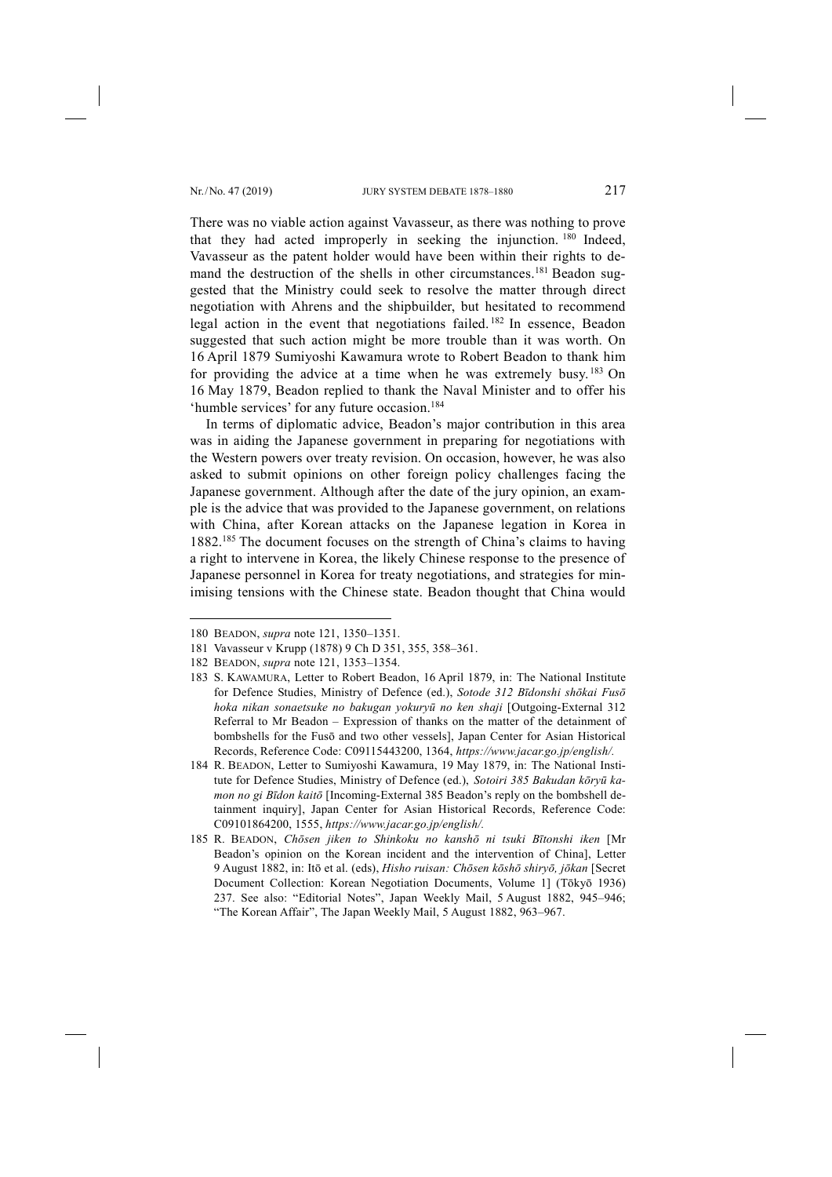There was no viable action against Vavasseur, as there was nothing to prove that they had acted improperly in seeking the injunction. <sup>180</sup> Indeed, Vavasseur as the patent holder would have been within their rights to demand the destruction of the shells in other circumstances.<sup>181</sup> Beadon suggested that the Ministry could seek to resolve the matter through direct negotiation with Ahrens and the shipbuilder, but hesitated to recommend legal action in the event that negotiations failed. <sup>182</sup> In essence, Beadon suggested that such action might be more trouble than it was worth. On 16 April 1879 Sumiyoshi Kawamura wrote to Robert Beadon to thank him for providing the advice at a time when he was extremely busy. <sup>183</sup> On 16 May 1879, Beadon replied to thank the Naval Minister and to offer his 'humble services' for any future occasion.184

In terms of diplomatic advice, Beadon's major contribution in this area was in aiding the Japanese government in preparing for negotiations with the Western powers over treaty revision. On occasion, however, he was also asked to submit opinions on other foreign policy challenges facing the Japanese government. Although after the date of the jury opinion, an example is the advice that was provided to the Japanese government, on relations with China, after Korean attacks on the Japanese legation in Korea in 1882.185 The document focuses on the strength of China's claims to having a right to intervene in Korea, the likely Chinese response to the presence of Japanese personnel in Korea for treaty negotiations, and strategies for minimising tensions with the Chinese state. Beadon thought that China would

<sup>180</sup> BEADON, *supra* note 121, 1350–1351.

<sup>181</sup> Vavasseur v Krupp (1878) 9 Ch D 351, 355, 358–361.

<sup>182</sup> BEADON, *supra* note 121, 1353–1354.

<sup>183</sup> S. KAWAMURA, Letter to Robert Beadon, 16 April 1879, in: The National Institute for Defence Studies, Ministry of Defence (ed.), *Sotode 312 Bīdonshi shōkai Fusō hoka nikan sonaetsuke no bakugan yokuryū no ken shaji* [Outgoing-External 312 Referral to Mr Beadon – Expression of thanks on the matter of the detainment of bombshells for the Fusō and two other vessels], Japan Center for Asian Historical Records, Reference Code: C09115443200, 1364, *https://www.jacar.go.jp/english/.*

<sup>184</sup> R. BEADON, Letter to Sumiyoshi Kawamura, 19 May 1879, in: The National Institute for Defence Studies, Ministry of Defence (ed.), *Sotoiri 385 Bakudan kōryū kamon no gi Bīdon kaitō* [Incoming-External 385 Beadon's reply on the bombshell detainment inquiry], Japan Center for Asian Historical Records, Reference Code: C09101864200, 1555, *https://www.jacar.go.jp/english/.*

<sup>185</sup> R. BEADON, *Chōsen jiken to Shinkoku no kanshō ni tsuki Bītonshi iken* [Mr Beadon's opinion on the Korean incident and the intervention of China], Letter 9 August 1882, in: Itō et al. (eds), *Hisho ruisan: Chōsen kōshō shiryō, jōkan* [Secret Document Collection: Korean Negotiation Documents, Volume 1] (Tōkyō 1936) 237. See also: "Editorial Notes", Japan Weekly Mail, 5 August 1882, 945–946; "The Korean Affair", The Japan Weekly Mail, 5 August 1882, 963–967.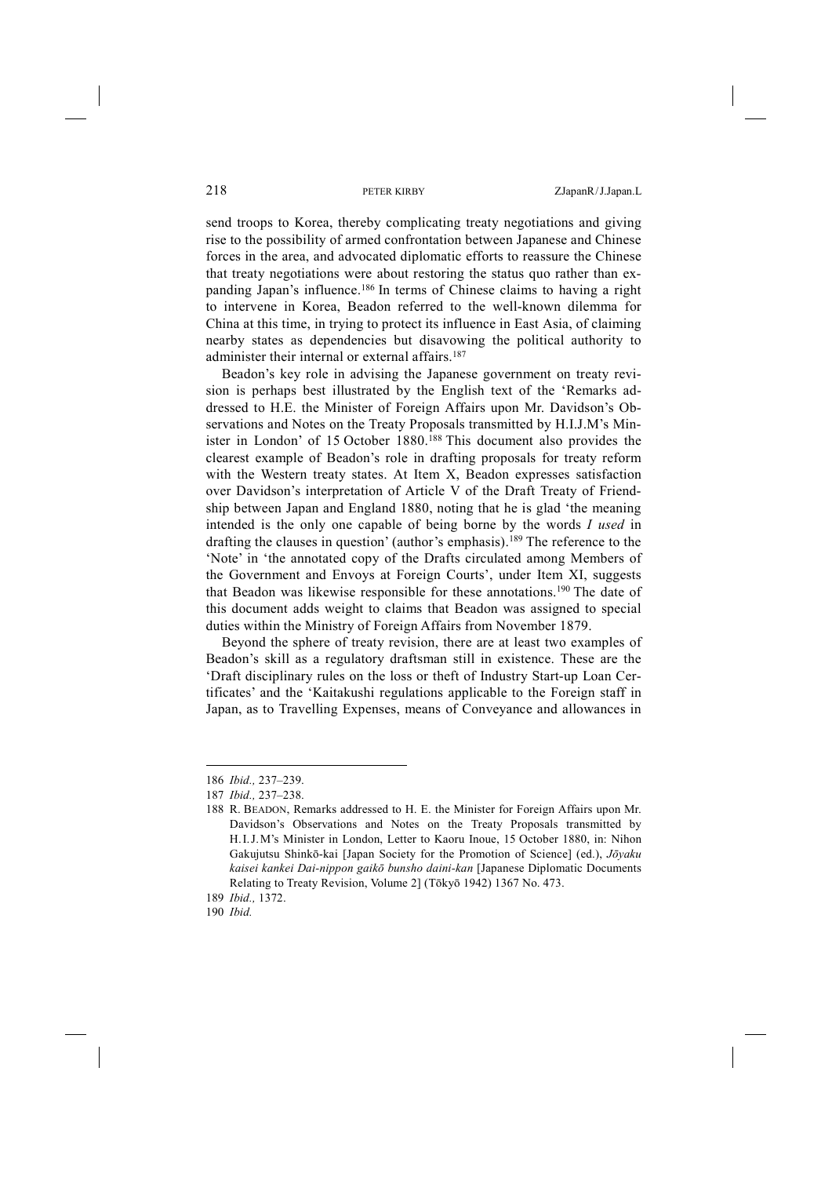send troops to Korea, thereby complicating treaty negotiations and giving rise to the possibility of armed confrontation between Japanese and Chinese forces in the area, and advocated diplomatic efforts to reassure the Chinese that treaty negotiations were about restoring the status quo rather than expanding Japan's influence.186 In terms of Chinese claims to having a right to intervene in Korea, Beadon referred to the well-known dilemma for China at this time, in trying to protect its influence in East Asia, of claiming nearby states as dependencies but disavowing the political authority to administer their internal or external affairs.<sup>187</sup>

Beadon's key role in advising the Japanese government on treaty revision is perhaps best illustrated by the English text of the 'Remarks addressed to H.E. the Minister of Foreign Affairs upon Mr. Davidson's Observations and Notes on the Treaty Proposals transmitted by H.I.J.M's Minister in London' of 15 October 1880.188 This document also provides the clearest example of Beadon's role in drafting proposals for treaty reform with the Western treaty states. At Item X, Beadon expresses satisfaction over Davidson's interpretation of Article V of the Draft Treaty of Friendship between Japan and England 1880, noting that he is glad 'the meaning intended is the only one capable of being borne by the words *I used* in drafting the clauses in question' (author's emphasis).189 The reference to the 'Note' in 'the annotated copy of the Drafts circulated among Members of the Government and Envoys at Foreign Courts', under Item XI, suggests that Beadon was likewise responsible for these annotations.190 The date of this document adds weight to claims that Beadon was assigned to special duties within the Ministry of Foreign Affairs from November 1879.

Beyond the sphere of treaty revision, there are at least two examples of Beadon's skill as a regulatory draftsman still in existence. These are the 'Draft disciplinary rules on the loss or theft of Industry Start-up Loan Certificates' and the 'Kaitakushi regulations applicable to the Foreign staff in Japan, as to Travelling Expenses, means of Conveyance and allowances in

<sup>186</sup> *Ibid.,* 237–239.

<sup>187</sup> *Ibid.,* 237–238.

<sup>188</sup> R. BEADON, Remarks addressed to H. E. the Minister for Foreign Affairs upon Mr. Davidson's Observations and Notes on the Treaty Proposals transmitted by H.I.J.M's Minister in London, Letter to Kaoru Inoue, 15 October 1880, in: Nihon Gakujutsu Shinkō-kai [Japan Society for the Promotion of Science] (ed.), *Jōyaku kaisei kankei Dai-nippon gaikō bunsho daini-kan* [Japanese Diplomatic Documents Relating to Treaty Revision, Volume 2] (Tōkyō 1942) 1367 No. 473.

<sup>189</sup> *Ibid.,* 1372.

<sup>190</sup> *Ibid.*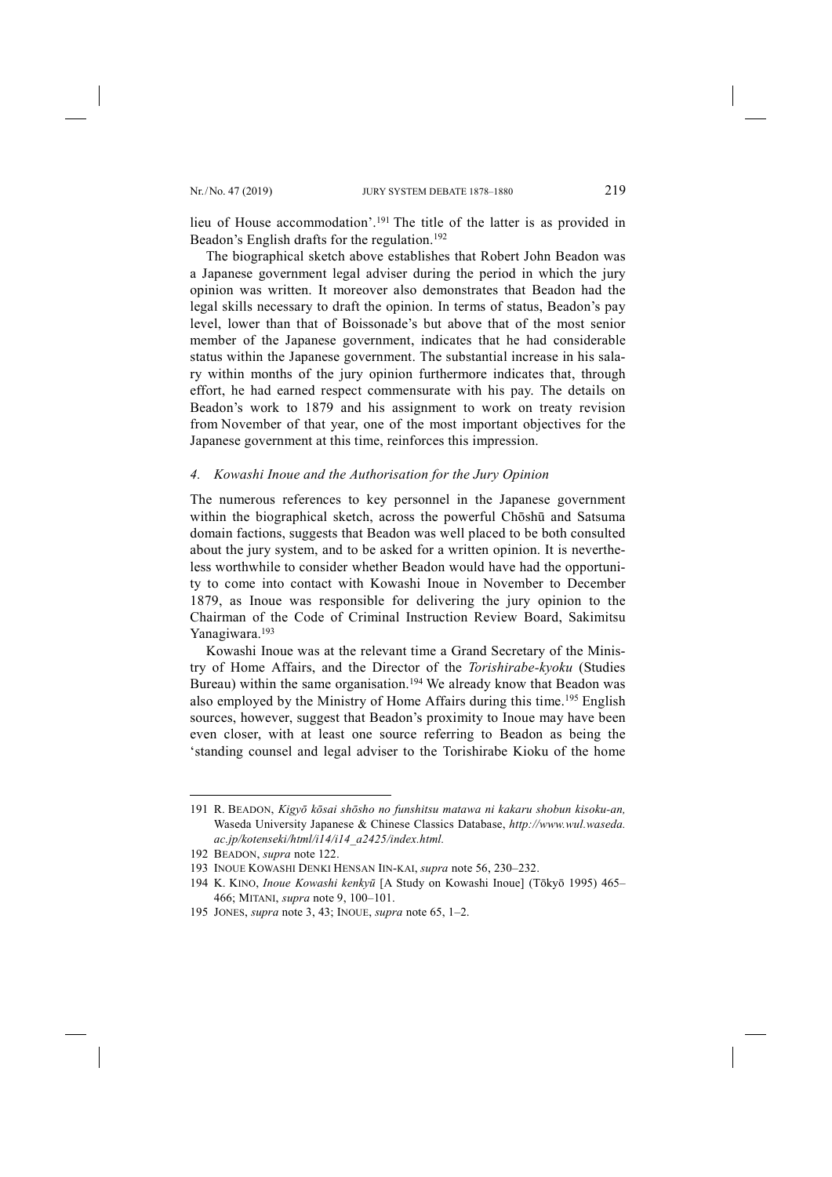lieu of House accommodation'.191 The title of the latter is as provided in Beadon's English drafts for the regulation.<sup>192</sup>

The biographical sketch above establishes that Robert John Beadon was a Japanese government legal adviser during the period in which the jury opinion was written. It moreover also demonstrates that Beadon had the legal skills necessary to draft the opinion. In terms of status, Beadon's pay level, lower than that of Boissonade's but above that of the most senior member of the Japanese government, indicates that he had considerable status within the Japanese government. The substantial increase in his salary within months of the jury opinion furthermore indicates that, through effort, he had earned respect commensurate with his pay. The details on Beadon's work to 1879 and his assignment to work on treaty revision from November of that year, one of the most important objectives for the Japanese government at this time, reinforces this impression.

## *4. Kowashi Inoue and the Authorisation for the Jury Opinion*

The numerous references to key personnel in the Japanese government within the biographical sketch, across the powerful Chōshū and Satsuma domain factions, suggests that Beadon was well placed to be both consulted about the jury system, and to be asked for a written opinion. It is nevertheless worthwhile to consider whether Beadon would have had the opportunity to come into contact with Kowashi Inoue in November to December 1879, as Inoue was responsible for delivering the jury opinion to the Chairman of the Code of Criminal Instruction Review Board, Sakimitsu Yanagiwara.193

Kowashi Inoue was at the relevant time a Grand Secretary of the Ministry of Home Affairs, and the Director of the *Torishirabe-kyoku* (Studies Bureau) within the same organisation.<sup>194</sup> We already know that Beadon was also employed by the Ministry of Home Affairs during this time.195 English sources, however, suggest that Beadon's proximity to Inoue may have been even closer, with at least one source referring to Beadon as being the 'standing counsel and legal adviser to the Torishirabe Kioku of the home

<sup>191</sup> R. BEADON, *Kigyō kōsai shōsho no funshitsu matawa ni kakaru shobun kisoku-an,* Waseda University Japanese & Chinese Classics Database, *http://www.wul.waseda. ac.jp/kotenseki/html/i14/i14\_a2425/index.html.*

<sup>192</sup> BEADON, *supra* note 122.

<sup>193</sup> INOUE KOWASHI DENKI HENSAN IIN-KAI, *supra* note 56, 230–232.

<sup>194</sup> K. KINO, *Inoue Kowashi kenkyū* [A Study on Kowashi Inoue] (Tōkyō 1995) 465– 466; MITANI, *supra* note 9, 100–101.

<sup>195</sup> JONES, *supra* note 3, 43; INOUE, *supra* note 65, 1–2.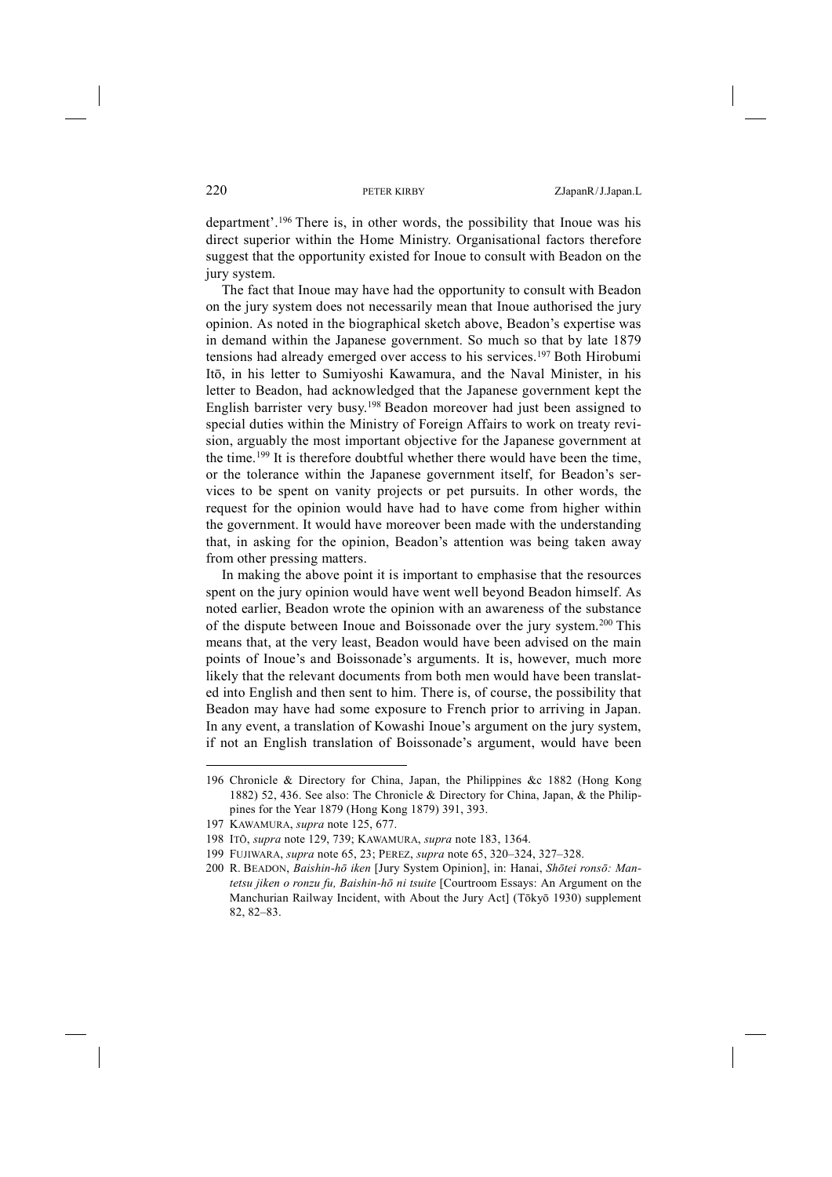department'.196 There is, in other words, the possibility that Inoue was his direct superior within the Home Ministry. Organisational factors therefore suggest that the opportunity existed for Inoue to consult with Beadon on the jury system.

The fact that Inoue may have had the opportunity to consult with Beadon on the jury system does not necessarily mean that Inoue authorised the jury opinion. As noted in the biographical sketch above, Beadon's expertise was in demand within the Japanese government. So much so that by late 1879 tensions had already emerged over access to his services.197 Both Hirobumi Itō, in his letter to Sumiyoshi Kawamura, and the Naval Minister, in his letter to Beadon, had acknowledged that the Japanese government kept the English barrister very busy.198 Beadon moreover had just been assigned to special duties within the Ministry of Foreign Affairs to work on treaty revision, arguably the most important objective for the Japanese government at the time.199 It is therefore doubtful whether there would have been the time, or the tolerance within the Japanese government itself, for Beadon's services to be spent on vanity projects or pet pursuits. In other words, the request for the opinion would have had to have come from higher within the government. It would have moreover been made with the understanding that, in asking for the opinion, Beadon's attention was being taken away from other pressing matters.

In making the above point it is important to emphasise that the resources spent on the jury opinion would have went well beyond Beadon himself. As noted earlier, Beadon wrote the opinion with an awareness of the substance of the dispute between Inoue and Boissonade over the jury system.200 This means that, at the very least, Beadon would have been advised on the main points of Inoue's and Boissonade's arguments. It is, however, much more likely that the relevant documents from both men would have been translated into English and then sent to him. There is, of course, the possibility that Beadon may have had some exposure to French prior to arriving in Japan. In any event, a translation of Kowashi Inoue's argument on the jury system, if not an English translation of Boissonade's argument, would have been

<sup>196</sup> Chronicle & Directory for China, Japan, the Philippines &c 1882 (Hong Kong 1882) 52, 436. See also: The Chronicle & Directory for China, Japan, & the Philippines for the Year 1879 (Hong Kong 1879) 391, 393.

<sup>197</sup> KAWAMURA, *supra* note 125, 677.

<sup>198</sup> ITŌ, *supra* note 129, 739; KAWAMURA, *supra* note 183, 1364.

<sup>199</sup> FUJIWARA, *supra* note 65, 23; PEREZ, *supra* note 65, 320–324, 327–328.

<sup>200</sup> R. BEADON, *Baishin-hō iken* [Jury System Opinion], in: Hanai, *Shōtei ronsō: Mantetsu jiken o ronzu fu, Baishin-hō ni tsuite* [Courtroom Essays: An Argument on the Manchurian Railway Incident, with About the Jury Act] (Tōkyō 1930) supplement 82, 82–83.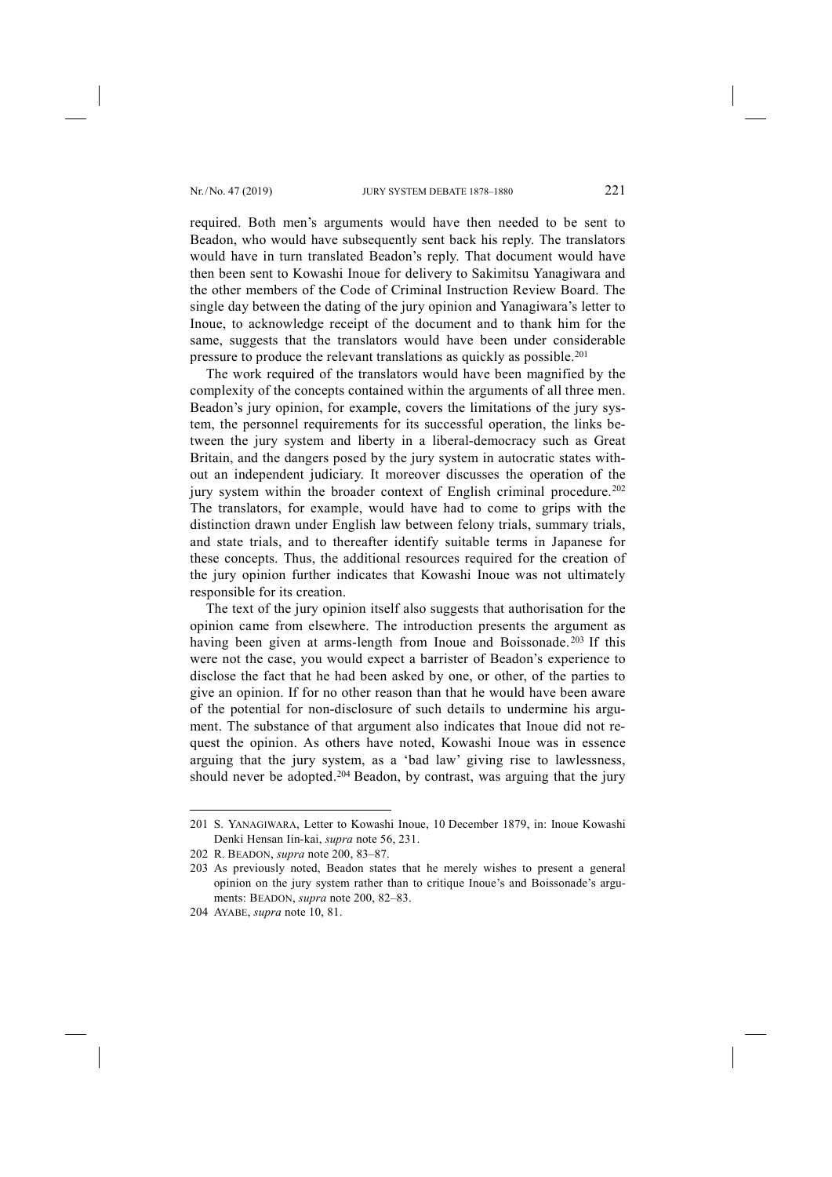required. Both men's arguments would have then needed to be sent to Beadon, who would have subsequently sent back his reply. The translators would have in turn translated Beadon's reply. That document would have then been sent to Kowashi Inoue for delivery to Sakimitsu Yanagiwara and the other members of the Code of Criminal Instruction Review Board. The single day between the dating of the jury opinion and Yanagiwara's letter to Inoue, to acknowledge receipt of the document and to thank him for the same, suggests that the translators would have been under considerable pressure to produce the relevant translations as quickly as possible.201

The work required of the translators would have been magnified by the complexity of the concepts contained within the arguments of all three men. Beadon's jury opinion, for example, covers the limitations of the jury system, the personnel requirements for its successful operation, the links between the jury system and liberty in a liberal-democracy such as Great Britain, and the dangers posed by the jury system in autocratic states without an independent judiciary. It moreover discusses the operation of the jury system within the broader context of English criminal procedure.<sup>202</sup> The translators, for example, would have had to come to grips with the distinction drawn under English law between felony trials, summary trials, and state trials, and to thereafter identify suitable terms in Japanese for these concepts. Thus, the additional resources required for the creation of the jury opinion further indicates that Kowashi Inoue was not ultimately responsible for its creation.

The text of the jury opinion itself also suggests that authorisation for the opinion came from elsewhere. The introduction presents the argument as having been given at arms-length from Inoue and Boissonade.<sup>203</sup> If this were not the case, you would expect a barrister of Beadon's experience to disclose the fact that he had been asked by one, or other, of the parties to give an opinion. If for no other reason than that he would have been aware of the potential for non-disclosure of such details to undermine his argument. The substance of that argument also indicates that Inoue did not request the opinion. As others have noted, Kowashi Inoue was in essence arguing that the jury system, as a 'bad law' giving rise to lawlessness, should never be adopted.<sup>204</sup> Beadon, by contrast, was arguing that the jury

<sup>201</sup> S. YANAGIWARA, Letter to Kowashi Inoue, 10 December 1879, in: Inoue Kowashi Denki Hensan Iin-kai, *supra* note 56, 231.

<sup>202</sup> R. BEADON, *supra* note 200, 83–87.

<sup>203</sup> As previously noted, Beadon states that he merely wishes to present a general opinion on the jury system rather than to critique Inoue's and Boissonade's arguments: BEADON, *supra* note 200, 82–83.

<sup>204</sup> AYABE, *supra* note 10, 81.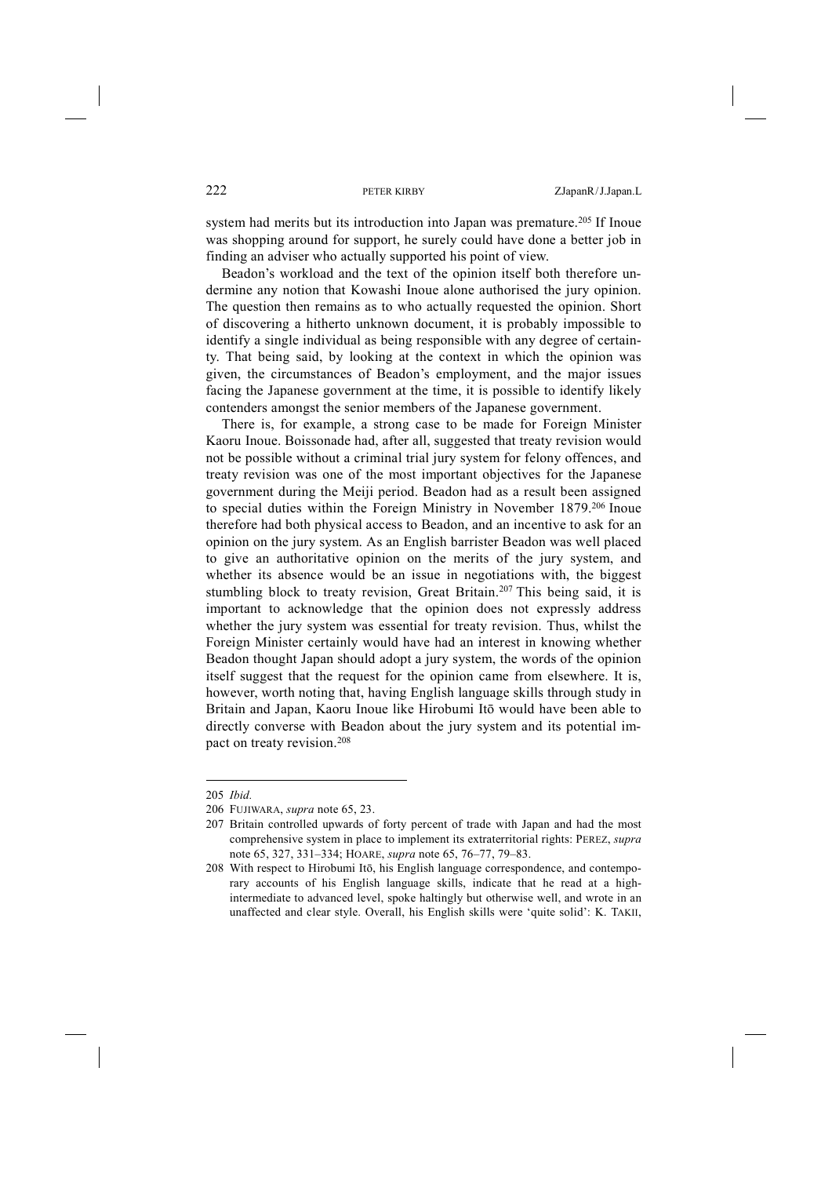system had merits but its introduction into Japan was premature.<sup>205</sup> If Inoue was shopping around for support, he surely could have done a better job in finding an adviser who actually supported his point of view.

Beadon's workload and the text of the opinion itself both therefore undermine any notion that Kowashi Inoue alone authorised the jury opinion. The question then remains as to who actually requested the opinion. Short of discovering a hitherto unknown document, it is probably impossible to identify a single individual as being responsible with any degree of certainty. That being said, by looking at the context in which the opinion was given, the circumstances of Beadon's employment, and the major issues facing the Japanese government at the time, it is possible to identify likely contenders amongst the senior members of the Japanese government.

There is, for example, a strong case to be made for Foreign Minister Kaoru Inoue. Boissonade had, after all, suggested that treaty revision would not be possible without a criminal trial jury system for felony offences, and treaty revision was one of the most important objectives for the Japanese government during the Meiji period. Beadon had as a result been assigned to special duties within the Foreign Ministry in November 1879.206 Inoue therefore had both physical access to Beadon, and an incentive to ask for an opinion on the jury system. As an English barrister Beadon was well placed to give an authoritative opinion on the merits of the jury system, and whether its absence would be an issue in negotiations with, the biggest stumbling block to treaty revision, Great Britain.207 This being said, it is important to acknowledge that the opinion does not expressly address whether the jury system was essential for treaty revision. Thus, whilst the Foreign Minister certainly would have had an interest in knowing whether Beadon thought Japan should adopt a jury system, the words of the opinion itself suggest that the request for the opinion came from elsewhere. It is, however, worth noting that, having English language skills through study in Britain and Japan, Kaoru Inoue like Hirobumi Itō would have been able to directly converse with Beadon about the jury system and its potential impact on treaty revision.208

<sup>205</sup> *Ibid.*

<sup>206</sup> FUJIWARA, *supra* note 65, 23.

<sup>207</sup> Britain controlled upwards of forty percent of trade with Japan and had the most comprehensive system in place to implement its extraterritorial rights: PEREZ, *supra* note 65, 327, 331–334; HOARE, *supra* note 65, 76–77, 79–83.

<sup>208</sup> With respect to Hirobumi Itō, his English language correspondence, and contemporary accounts of his English language skills, indicate that he read at a highintermediate to advanced level, spoke haltingly but otherwise well, and wrote in an unaffected and clear style. Overall, his English skills were 'quite solid': K. TAKII,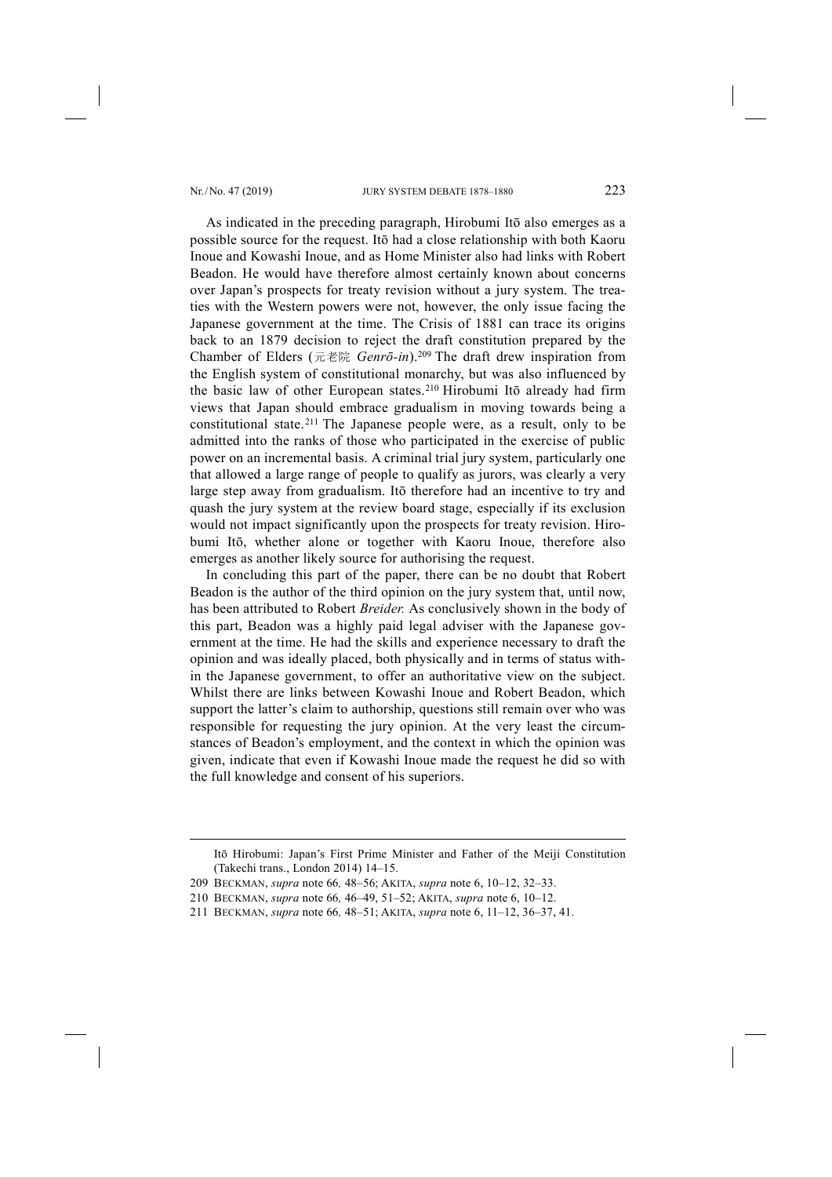-

As indicated in the preceding paragraph, Hirobumi Itō also emerges as a possible source for the request. Itō had a close relationship with both Kaoru Inoue and Kowashi Inoue, and as Home Minister also had links with Robert Beadon. He would have therefore almost certainly known about concerns over Japan's prospects for treaty revision without a jury system. The treaties with the Western powers were not, however, the only issue facing the Japanese government at the time. The Crisis of 1881 can trace its origins back to an 1879 decision to reject the draft constitution prepared by the Chamber of Elders (元老院 *Genrō-in*).209 The draft drew inspiration from the English system of constitutional monarchy, but was also influenced by the basic law of other European states.210 Hirobumi Itō already had firm views that Japan should embrace gradualism in moving towards being a constitutional state.<sup>211</sup> The Japanese people were, as a result, only to be admitted into the ranks of those who participated in the exercise of public power on an incremental basis. A criminal trial jury system, particularly one that allowed a large range of people to qualify as jurors, was clearly a very large step away from gradualism. Itō therefore had an incentive to try and quash the jury system at the review board stage, especially if its exclusion would not impact significantly upon the prospects for treaty revision. Hirobumi Itō, whether alone or together with Kaoru Inoue, therefore also emerges as another likely source for authorising the request.

In concluding this part of the paper, there can be no doubt that Robert Beadon is the author of the third opinion on the jury system that, until now, has been attributed to Robert *Breider.* As conclusively shown in the body of this part, Beadon was a highly paid legal adviser with the Japanese government at the time. He had the skills and experience necessary to draft the opinion and was ideally placed, both physically and in terms of status within the Japanese government, to offer an authoritative view on the subject. Whilst there are links between Kowashi Inoue and Robert Beadon, which support the latter's claim to authorship, questions still remain over who was responsible for requesting the jury opinion. At the very least the circumstances of Beadon's employment, and the context in which the opinion was given, indicate that even if Kowashi Inoue made the request he did so with the full knowledge and consent of his superiors.

Itō Hirobumi: Japan's First Prime Minister and Father of the Meiji Constitution (Takechi trans., London 2014) 14–15.

<sup>209</sup> BECKMAN, *supra* note 66*,* 48–56; AKITA, *supra* note 6, 10–12, 32–33.

<sup>210</sup> BECKMAN, *supra* note 66*,* 46–49, 51–52; AKITA, *supra* note 6, 10–12.

<sup>211</sup> BECKMAN, *supra* note 66*,* 48–51; AKITA, *supra* note 6, 11–12, 36–37, 41.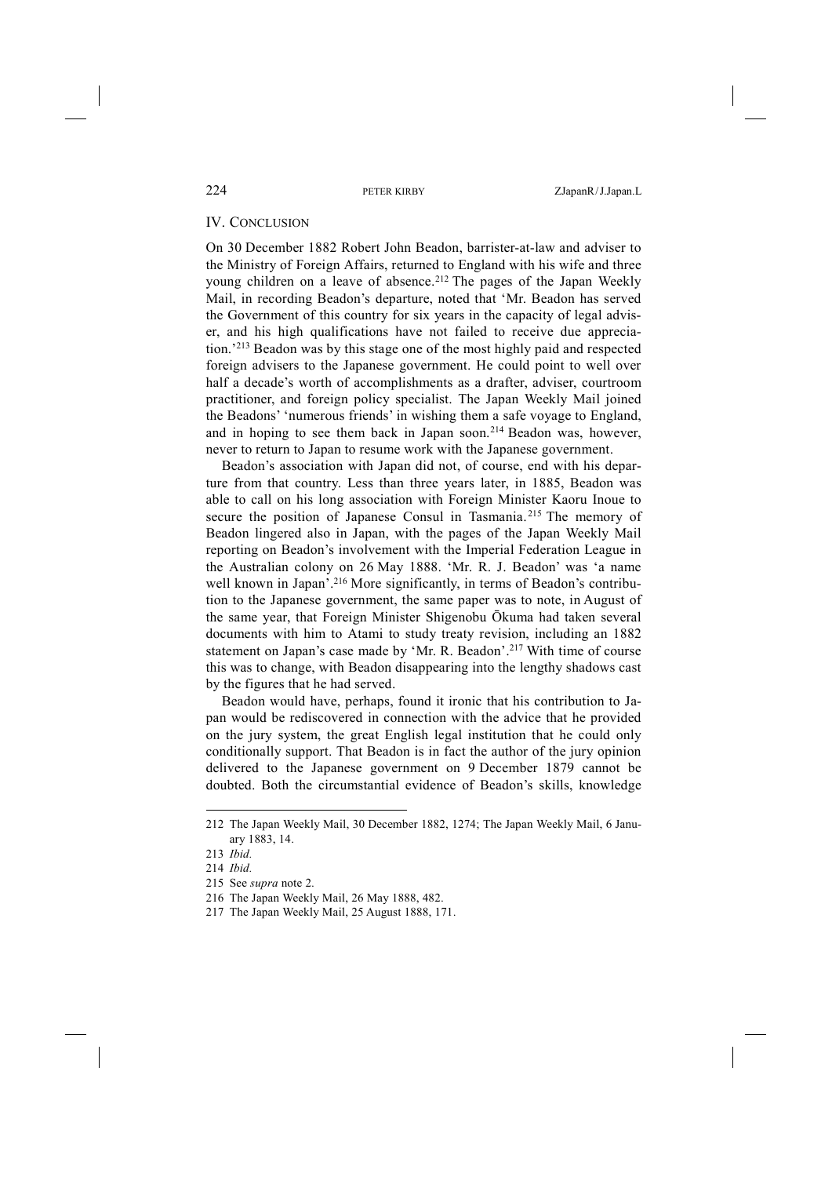## IV. CONCLUSION

On 30 December 1882 Robert John Beadon, barrister-at-law and adviser to the Ministry of Foreign Affairs, returned to England with his wife and three young children on a leave of absence.<sup>212</sup> The pages of the Japan Weekly Mail, in recording Beadon's departure, noted that 'Mr. Beadon has served the Government of this country for six years in the capacity of legal adviser, and his high qualifications have not failed to receive due appreciation.'213 Beadon was by this stage one of the most highly paid and respected foreign advisers to the Japanese government. He could point to well over half a decade's worth of accomplishments as a drafter, adviser, courtroom practitioner, and foreign policy specialist. The Japan Weekly Mail joined the Beadons' 'numerous friends' in wishing them a safe voyage to England, and in hoping to see them back in Japan soon.214 Beadon was, however, never to return to Japan to resume work with the Japanese government.

Beadon's association with Japan did not, of course, end with his departure from that country. Less than three years later, in 1885, Beadon was able to call on his long association with Foreign Minister Kaoru Inoue to secure the position of Japanese Consul in Tasmania. <sup>215</sup> The memory of Beadon lingered also in Japan, with the pages of the Japan Weekly Mail reporting on Beadon's involvement with the Imperial Federation League in the Australian colony on 26 May 1888. 'Mr. R. J. Beadon' was 'a name well known in Japan'.<sup>216</sup> More significantly, in terms of Beadon's contribution to the Japanese government, the same paper was to note, in August of the same year, that Foreign Minister Shigenobu Ōkuma had taken several documents with him to Atami to study treaty revision, including an 1882 statement on Japan's case made by 'Mr. R. Beadon'.<sup>217</sup> With time of course this was to change, with Beadon disappearing into the lengthy shadows cast by the figures that he had served.

Beadon would have, perhaps, found it ironic that his contribution to Japan would be rediscovered in connection with the advice that he provided on the jury system, the great English legal institution that he could only conditionally support. That Beadon is in fact the author of the jury opinion delivered to the Japanese government on 9 December 1879 cannot be doubted. Both the circumstantial evidence of Beadon's skills, knowledge

<sup>212</sup> The Japan Weekly Mail, 30 December 1882, 1274; The Japan Weekly Mail, 6 January 1883, 14.

<sup>213</sup> *Ibid.*

<sup>214</sup> *Ibid.*

<sup>215</sup> See *supra* note 2.

<sup>216</sup> The Japan Weekly Mail, 26 May 1888, 482.

<sup>217</sup> The Japan Weekly Mail, 25 August 1888, 171.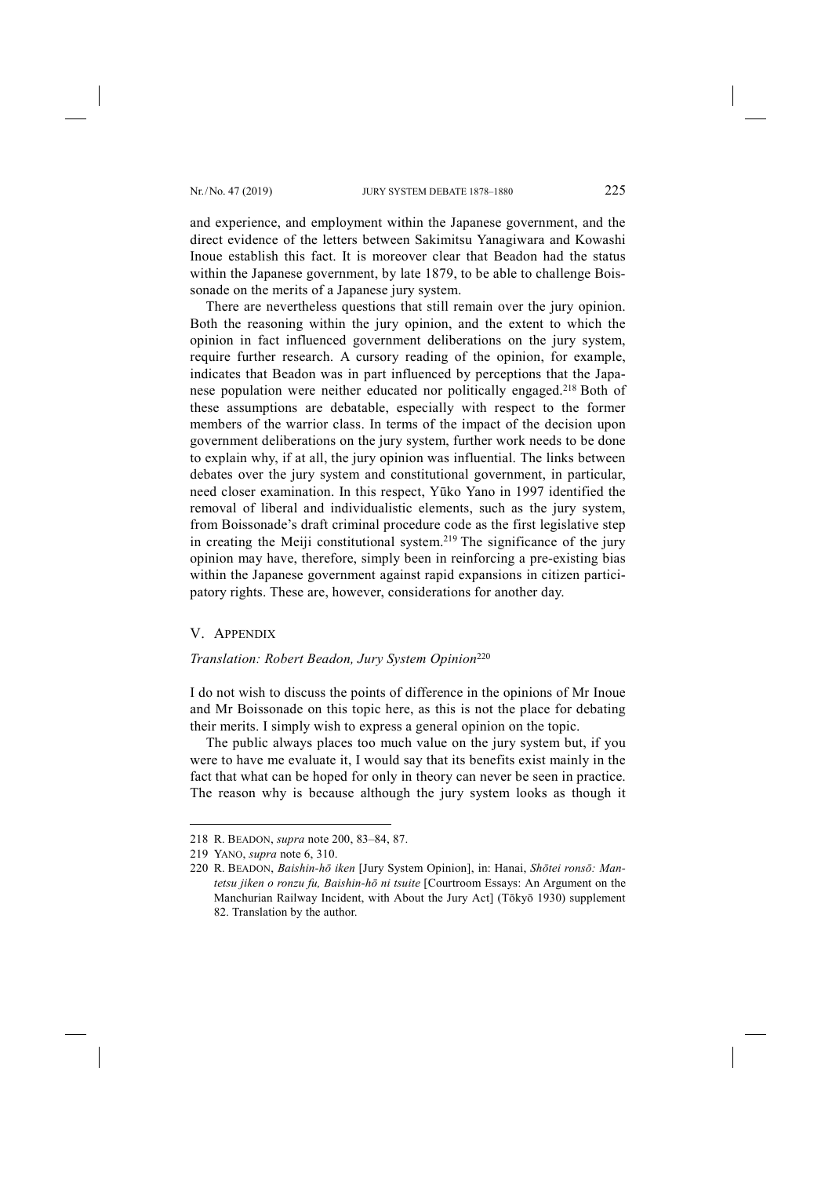and experience, and employment within the Japanese government, and the direct evidence of the letters between Sakimitsu Yanagiwara and Kowashi Inoue establish this fact. It is moreover clear that Beadon had the status within the Japanese government, by late 1879, to be able to challenge Boissonade on the merits of a Japanese jury system.

There are nevertheless questions that still remain over the jury opinion. Both the reasoning within the jury opinion, and the extent to which the opinion in fact influenced government deliberations on the jury system, require further research. A cursory reading of the opinion, for example, indicates that Beadon was in part influenced by perceptions that the Japanese population were neither educated nor politically engaged.218 Both of these assumptions are debatable, especially with respect to the former members of the warrior class. In terms of the impact of the decision upon government deliberations on the jury system, further work needs to be done to explain why, if at all, the jury opinion was influential. The links between debates over the jury system and constitutional government, in particular, need closer examination. In this respect, Yūko Yano in 1997 identified the removal of liberal and individualistic elements, such as the jury system, from Boissonade's draft criminal procedure code as the first legislative step in creating the Meiji constitutional system.219 The significance of the jury opinion may have, therefore, simply been in reinforcing a pre-existing bias within the Japanese government against rapid expansions in citizen participatory rights. These are, however, considerations for another day.

## V. APPENDIX

## *Translation: Robert Beadon, Jury System Opinion*<sup>220</sup>

I do not wish to discuss the points of difference in the opinions of Mr Inoue and Mr Boissonade on this topic here, as this is not the place for debating their merits. I simply wish to express a general opinion on the topic.

The public always places too much value on the jury system but, if you were to have me evaluate it, I would say that its benefits exist mainly in the fact that what can be hoped for only in theory can never be seen in practice. The reason why is because although the jury system looks as though it

<sup>218</sup> R. BEADON, *supra* note 200, 83–84, 87.

<sup>219</sup> YANO, *supra* note 6, 310.

<sup>220</sup> R. BEADON, *Baishin-hō iken* [Jury System Opinion], in: Hanai, *Shōtei ronsō: Mantetsu jiken o ronzu fu, Baishin-hō ni tsuite* [Courtroom Essays: An Argument on the Manchurian Railway Incident, with About the Jury Act] (Tōkyō 1930) supplement 82. Translation by the author.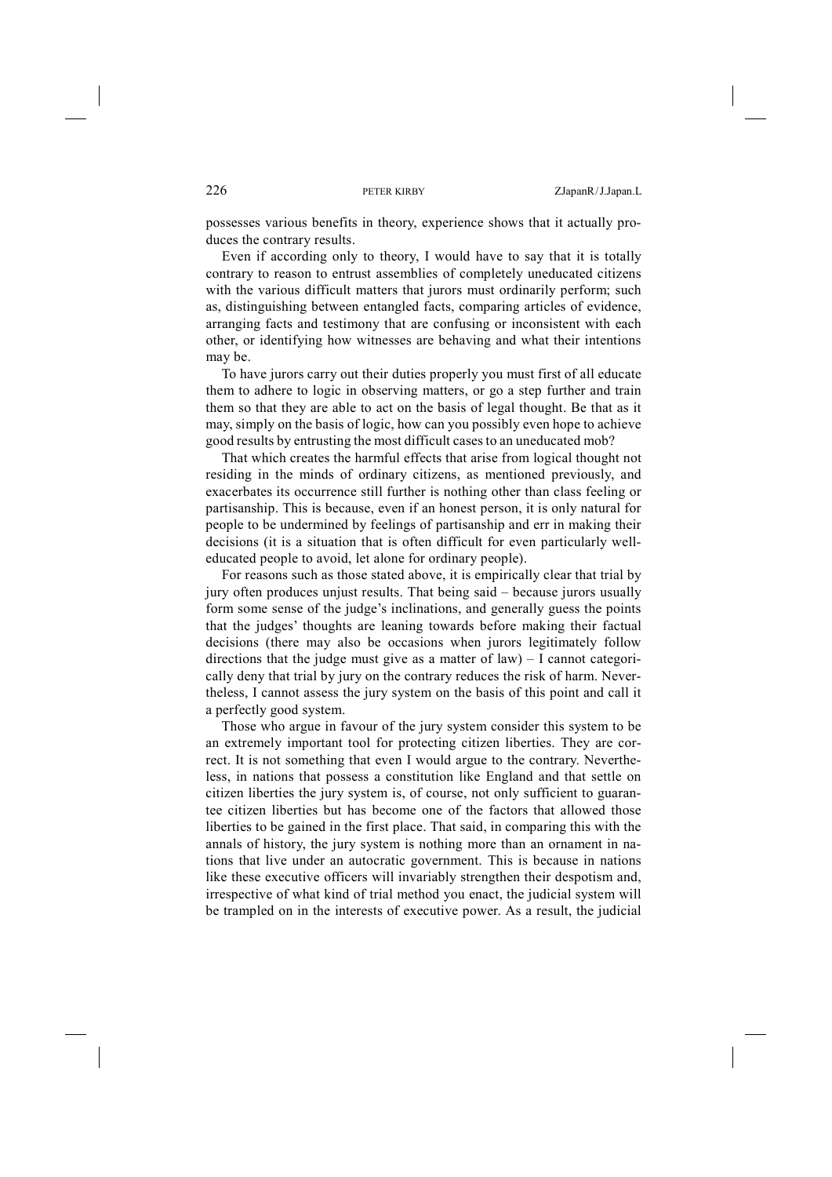possesses various benefits in theory, experience shows that it actually produces the contrary results.

Even if according only to theory, I would have to say that it is totally contrary to reason to entrust assemblies of completely uneducated citizens with the various difficult matters that jurors must ordinarily perform; such as, distinguishing between entangled facts, comparing articles of evidence, arranging facts and testimony that are confusing or inconsistent with each other, or identifying how witnesses are behaving and what their intentions may be.

To have jurors carry out their duties properly you must first of all educate them to adhere to logic in observing matters, or go a step further and train them so that they are able to act on the basis of legal thought. Be that as it may, simply on the basis of logic, how can you possibly even hope to achieve good results by entrusting the most difficult casesto an uneducated mob?

That which creates the harmful effects that arise from logical thought not residing in the minds of ordinary citizens, as mentioned previously, and exacerbates its occurrence still further is nothing other than class feeling or partisanship. This is because, even if an honest person, it is only natural for people to be undermined by feelings of partisanship and err in making their decisions (it is a situation that is often difficult for even particularly welleducated people to avoid, let alone for ordinary people).

For reasons such as those stated above, it is empirically clear that trial by jury often produces unjust results. That being said – because jurors usually form some sense of the judge's inclinations, and generally guess the points that the judges' thoughts are leaning towards before making their factual decisions (there may also be occasions when jurors legitimately follow directions that the judge must give as a matter of  $law$ ) – I cannot categorically deny that trial by jury on the contrary reduces the risk of harm. Nevertheless, I cannot assess the jury system on the basis of this point and call it a perfectly good system.

Those who argue in favour of the jury system consider this system to be an extremely important tool for protecting citizen liberties. They are correct. It is not something that even I would argue to the contrary. Nevertheless, in nations that possess a constitution like England and that settle on citizen liberties the jury system is, of course, not only sufficient to guarantee citizen liberties but has become one of the factors that allowed those liberties to be gained in the first place. That said, in comparing this with the annals of history, the jury system is nothing more than an ornament in nations that live under an autocratic government. This is because in nations like these executive officers will invariably strengthen their despotism and, irrespective of what kind of trial method you enact, the judicial system will be trampled on in the interests of executive power. As a result, the judicial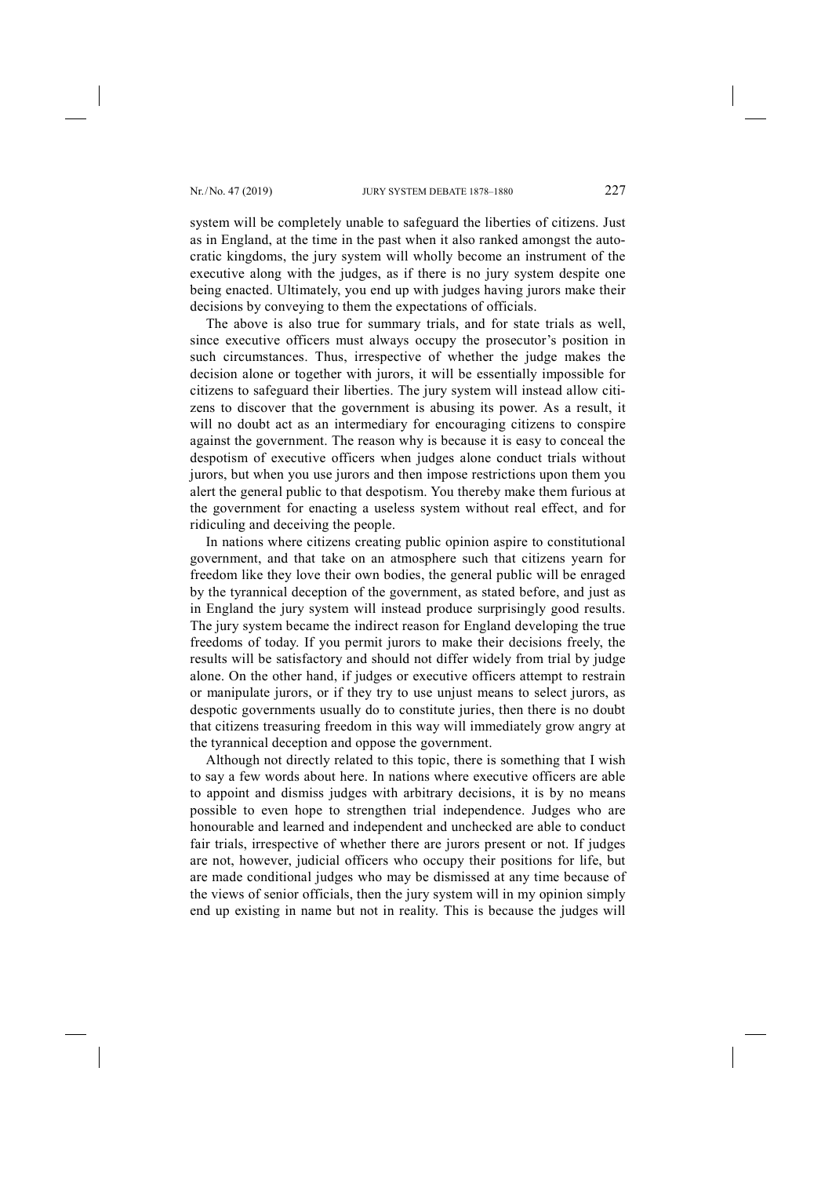system will be completely unable to safeguard the liberties of citizens. Just as in England, at the time in the past when it also ranked amongst the autocratic kingdoms, the jury system will wholly become an instrument of the executive along with the judges, as if there is no jury system despite one being enacted. Ultimately, you end up with judges having jurors make their decisions by conveying to them the expectations of officials.

The above is also true for summary trials, and for state trials as well, since executive officers must always occupy the prosecutor's position in such circumstances. Thus, irrespective of whether the judge makes the decision alone or together with jurors, it will be essentially impossible for citizens to safeguard their liberties. The jury system will instead allow citizens to discover that the government is abusing its power. As a result, it will no doubt act as an intermediary for encouraging citizens to conspire against the government. The reason why is because it is easy to conceal the despotism of executive officers when judges alone conduct trials without jurors, but when you use jurors and then impose restrictions upon them you alert the general public to that despotism. You thereby make them furious at the government for enacting a useless system without real effect, and for ridiculing and deceiving the people.

In nations where citizens creating public opinion aspire to constitutional government, and that take on an atmosphere such that citizens yearn for freedom like they love their own bodies, the general public will be enraged by the tyrannical deception of the government, as stated before, and just as in England the jury system will instead produce surprisingly good results. The jury system became the indirect reason for England developing the true freedoms of today. If you permit jurors to make their decisions freely, the results will be satisfactory and should not differ widely from trial by judge alone. On the other hand, if judges or executive officers attempt to restrain or manipulate jurors, or if they try to use unjust means to select jurors, as despotic governments usually do to constitute juries, then there is no doubt that citizens treasuring freedom in this way will immediately grow angry at the tyrannical deception and oppose the government.

Although not directly related to this topic, there is something that I wish to say a few words about here. In nations where executive officers are able to appoint and dismiss judges with arbitrary decisions, it is by no means possible to even hope to strengthen trial independence. Judges who are honourable and learned and independent and unchecked are able to conduct fair trials, irrespective of whether there are jurors present or not. If judges are not, however, judicial officers who occupy their positions for life, but are made conditional judges who may be dismissed at any time because of the views of senior officials, then the jury system will in my opinion simply end up existing in name but not in reality. This is because the judges will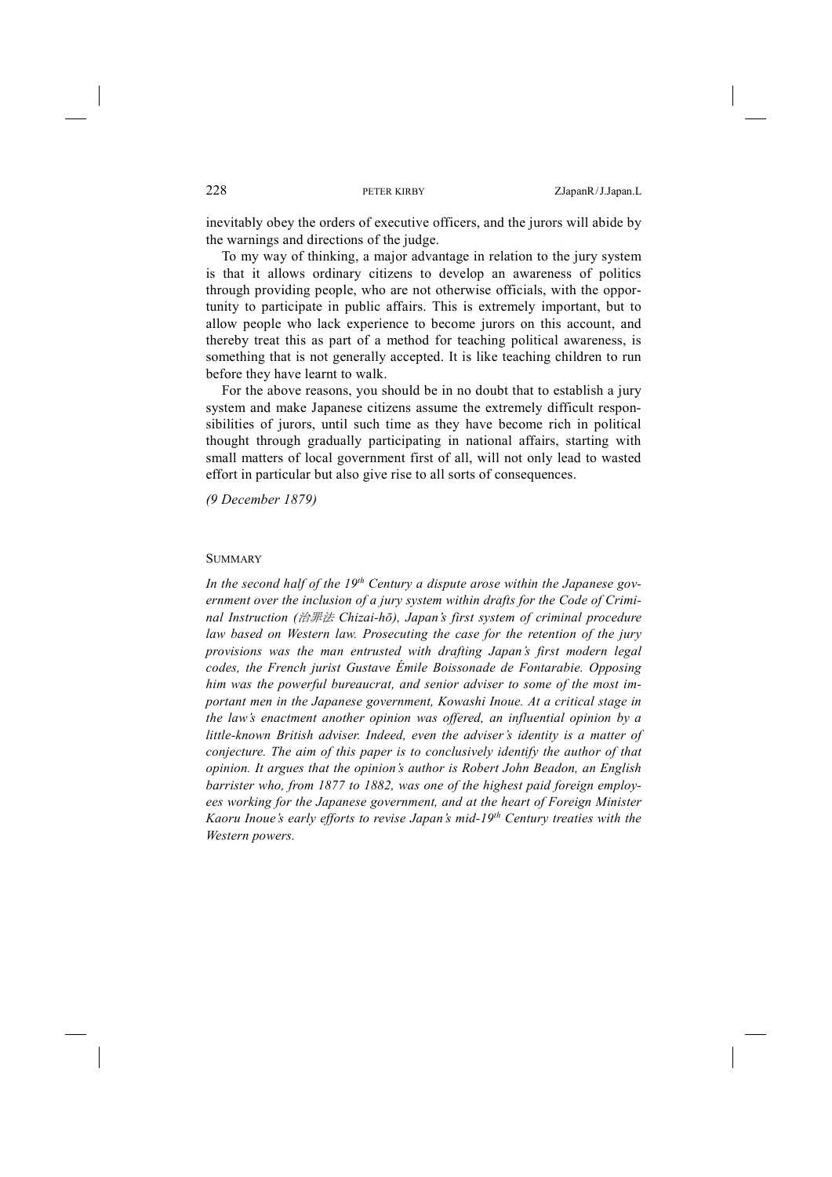inevitably obey the orders of executive officers, and the jurors will abide by the warnings and directions of the judge.

To my way of thinking, a major advantage in relation to the jury system is that it allows ordinary citizens to develop an awareness of politics through providing people, who are not otherwise officials, with the opportunity to participate in public affairs. This is extremely important, but to allow people who lack experience to become jurors on this account, and thereby treat this as part of a method for teaching political awareness, is something that is not generally accepted. It is like teaching children to run before they have learnt to walk.

For the above reasons, you should be in no doubt that to establish a jury system and make Japanese citizens assume the extremely difficult responsibilities of jurors, until such time as they have become rich in political thought through gradually participating in national affairs, starting with small matters of local government first of all, will not only lead to wasted effort in particular but also give rise to all sorts of consequences.

*(9 December 1879)*

### **SUMMARY**

In the second half of the 19<sup>th</sup> Century a dispute arose within the Japanese gov*ernment over the inclusion of a jury system within drafts for the Code of Criminal Instruction (*治罪法 *Chizai-hō), Japan's first system of criminal procedure law based on Western law. Prosecuting the case for the retention of the jury provisions was the man entrusted with drafting Japan's first modern legal codes, the French jurist Gustave Émile Boissonade de Fontarabie. Opposing him was the powerful bureaucrat, and senior adviser to some of the most important men in the Japanese government, Kowashi Inoue. At a critical stage in the law's enactment another opinion was offered, an influential opinion by a little-known British adviser. Indeed, even the adviser's identity is a matter of conjecture. The aim of this paper is to conclusively identify the author of that opinion. It argues that the opinion's author is Robert John Beadon, an English barrister who, from 1877 to 1882, was one of the highest paid foreign employees working for the Japanese government, and at the heart of Foreign Minister Kaoru Inoue's early efforts to revise Japan's mid-19th Century treaties with the Western powers.*